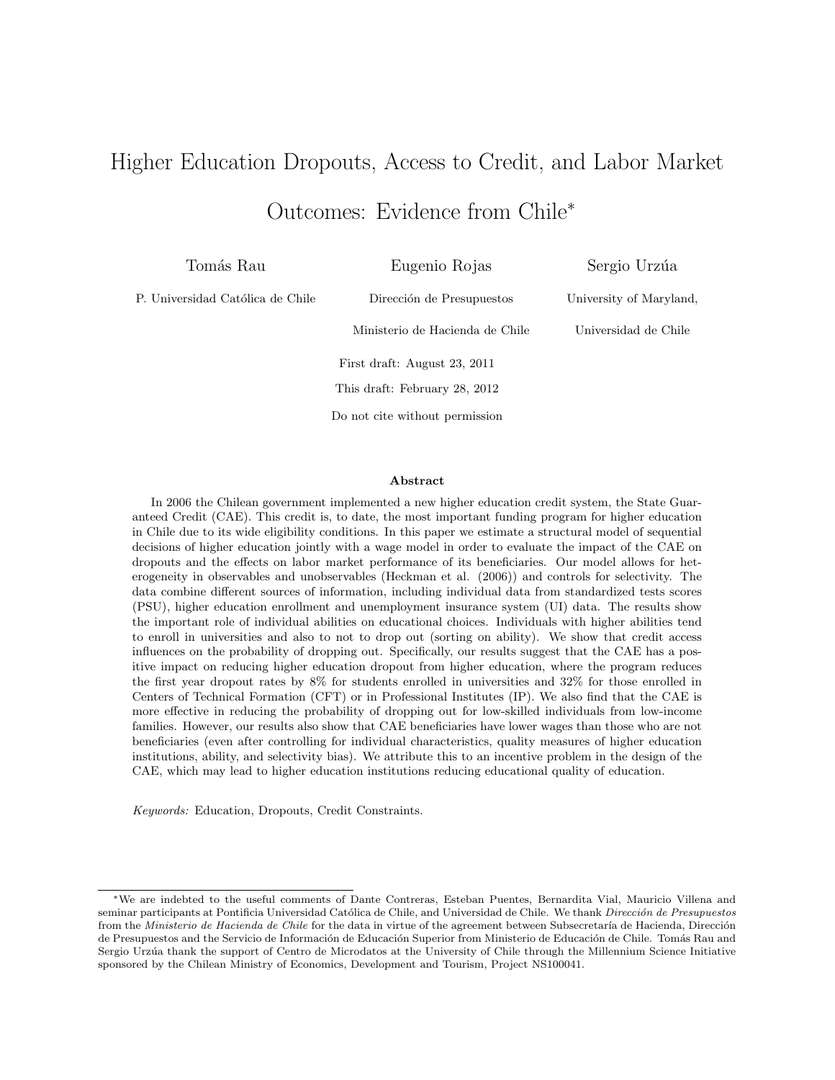# Higher Education Dropouts, Access to Credit, and Labor Market Outcomes: Evidence from Chile<sup>∗</sup>

Tomás Rau

Eugenio Rojas

Dirección de Presupuestos

P. Universidad Católica de Chile

Sergio Urzúa University of Maryland,

Universidad de Chile

Ministerio de Hacienda de Chile First draft: August 23, 2011 This draft: February 28, 2012 Do not cite without permission

#### Abstract

In 2006 the Chilean government implemented a new higher education credit system, the State Guaranteed Credit (CAE). This credit is, to date, the most important funding program for higher education in Chile due to its wide eligibility conditions. In this paper we estimate a structural model of sequential decisions of higher education jointly with a wage model in order to evaluate the impact of the CAE on dropouts and the effects on labor market performance of its beneficiaries. Our model allows for heterogeneity in observables and unobservables (Heckman et al. (2006)) and controls for selectivity. The data combine different sources of information, including individual data from standardized tests scores (PSU), higher education enrollment and unemployment insurance system (UI) data. The results show the important role of individual abilities on educational choices. Individuals with higher abilities tend to enroll in universities and also to not to drop out (sorting on ability). We show that credit access influences on the probability of dropping out. Specifically, our results suggest that the CAE has a positive impact on reducing higher education dropout from higher education, where the program reduces the first year dropout rates by 8% for students enrolled in universities and 32% for those enrolled in Centers of Technical Formation (CFT) or in Professional Institutes (IP). We also find that the CAE is more effective in reducing the probability of dropping out for low-skilled individuals from low-income families. However, our results also show that CAE beneficiaries have lower wages than those who are not beneficiaries (even after controlling for individual characteristics, quality measures of higher education institutions, ability, and selectivity bias). We attribute this to an incentive problem in the design of the CAE, which may lead to higher education institutions reducing educational quality of education.

Keywords: Education, Dropouts, Credit Constraints.

<sup>∗</sup>We are indebted to the useful comments of Dante Contreras, Esteban Puentes, Bernardita Vial, Mauricio Villena and seminar participants at Pontificia Universidad Católica de Chile, and Universidad de Chile. We thank Dirección de Presupuestos from the Ministerio de Hacienda de Chile for the data in virtue of the agreement between Subsecretaría de Hacienda, Dirección de Presupuestos and the Servicio de Información de Educación Superior from Ministerio de Educación de Chile. Tomás Rau and Sergio Urzúa thank the support of Centro de Microdatos at the University of Chile through the Millennium Science Initiative sponsored by the Chilean Ministry of Economics, Development and Tourism, Project NS100041.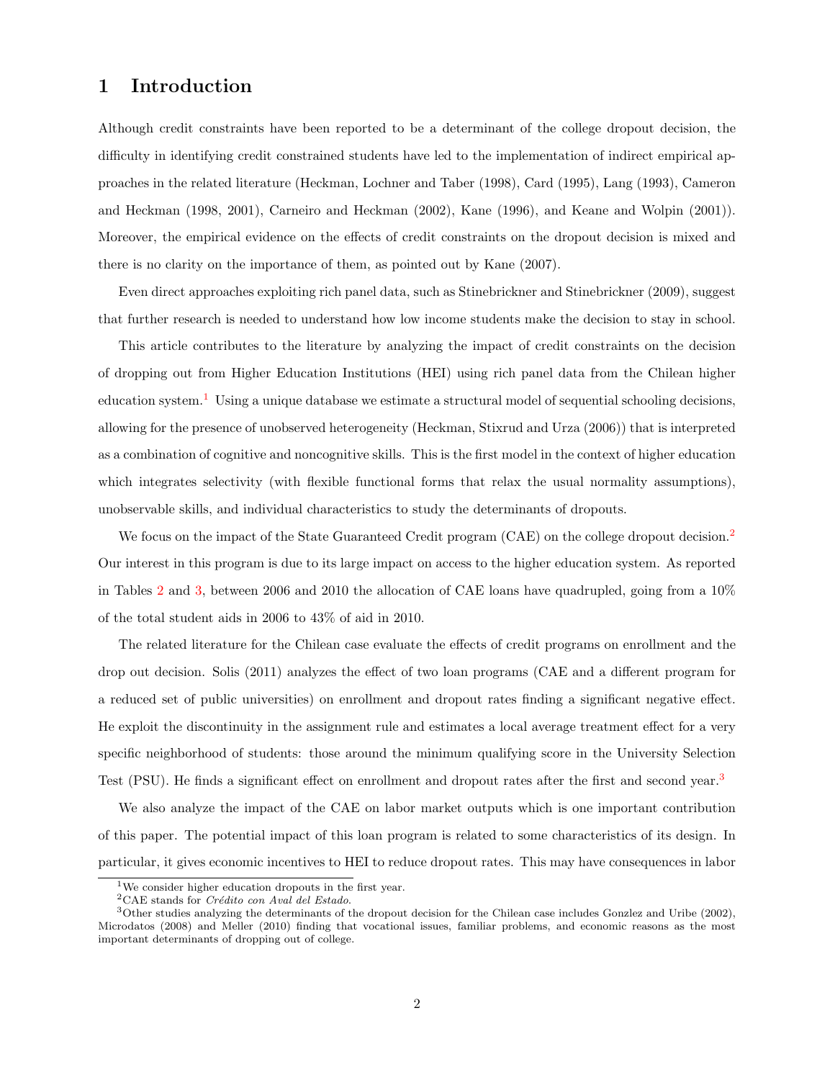### 1 Introduction

Although credit constraints have been reported to be a determinant of the college dropout decision, the difficulty in identifying credit constrained students have led to the implementation of indirect empirical approaches in the related literature (Heckman, Lochner and Taber (1998), Card (1995), Lang (1993), Cameron and Heckman (1998, 2001), Carneiro and Heckman (2002), Kane (1996), and Keane and Wolpin (2001)). Moreover, the empirical evidence on the effects of credit constraints on the dropout decision is mixed and there is no clarity on the importance of them, as pointed out by Kane (2007).

Even direct approaches exploiting rich panel data, such as Stinebrickner and Stinebrickner (2009), suggest that further research is needed to understand how low income students make the decision to stay in school.

This article contributes to the literature by analyzing the impact of credit constraints on the decision of dropping out from Higher Education Institutions (HEI) using rich panel data from the Chilean higher education system.<sup>[1](#page-1-0)</sup> Using a unique database we estimate a structural model of sequential schooling decisions, allowing for the presence of unobserved heterogeneity (Heckman, Stixrud and Urza (2006)) that is interpreted as a combination of cognitive and noncognitive skills. This is the first model in the context of higher education which integrates selectivity (with flexible functional forms that relax the usual normality assumptions), unobservable skills, and individual characteristics to study the determinants of dropouts.

We focus on the impact of the State Guaranteed Credit program (CAE) on the college dropout decision.<sup>[2](#page-1-1)</sup> Our interest in this program is due to its large impact on access to the higher education system. As reported in Tables [2](#page-24-0) and [3,](#page-24-1) between 2006 and 2010 the allocation of CAE loans have quadrupled, going from a 10% of the total student aids in 2006 to 43% of aid in 2010.

The related literature for the Chilean case evaluate the effects of credit programs on enrollment and the drop out decision. Solis (2011) analyzes the effect of two loan programs (CAE and a different program for a reduced set of public universities) on enrollment and dropout rates finding a significant negative effect. He exploit the discontinuity in the assignment rule and estimates a local average treatment effect for a very specific neighborhood of students: those around the minimum qualifying score in the University Selection Test (PSU). He finds a significant effect on enrollment and dropout rates after the first and second year.<sup>[3](#page-1-2)</sup>

We also analyze the impact of the CAE on labor market outputs which is one important contribution of this paper. The potential impact of this loan program is related to some characteristics of its design. In particular, it gives economic incentives to HEI to reduce dropout rates. This may have consequences in labor

<span id="page-1-0"></span><sup>1</sup>We consider higher education dropouts in the first year.

<span id="page-1-2"></span><span id="page-1-1"></span> ${}^{2}$ CAE stands for *Crédito con Aval del Estado*.

 $3$ Other studies analyzing the determinants of the dropout decision for the Chilean case includes Gonzlez and Uribe (2002), Microdatos (2008) and Meller (2010) finding that vocational issues, familiar problems, and economic reasons as the most important determinants of dropping out of college.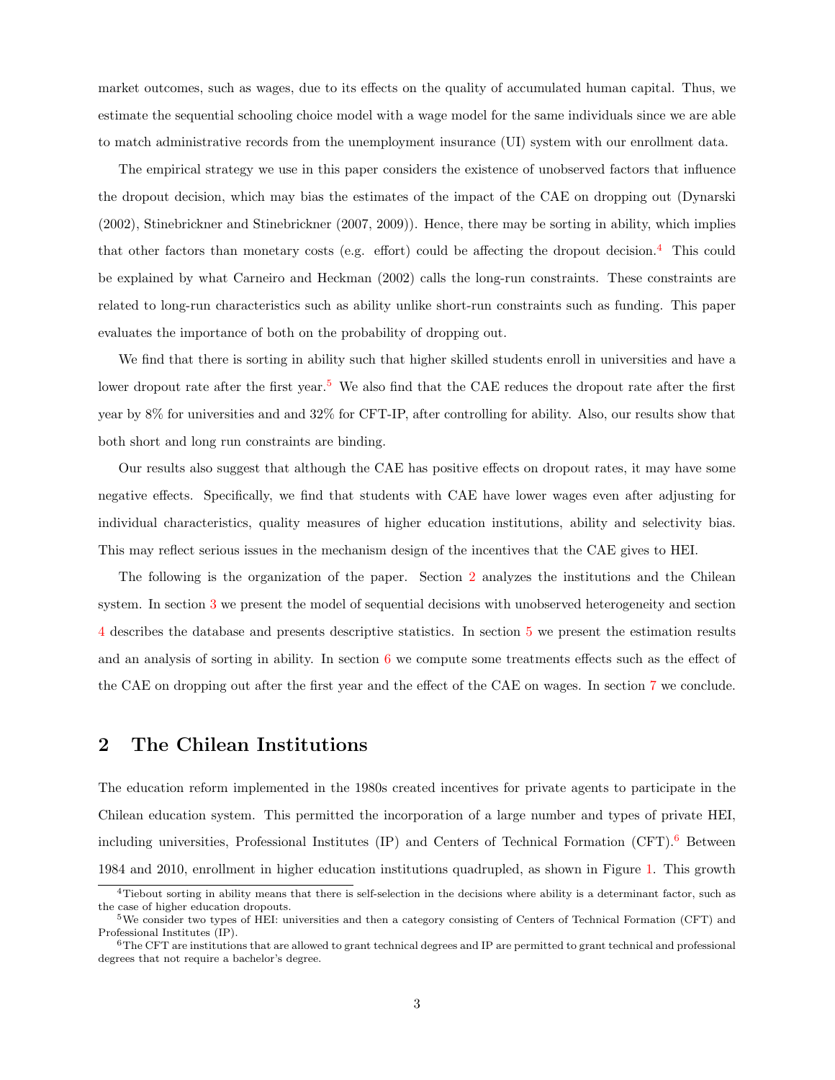market outcomes, such as wages, due to its effects on the quality of accumulated human capital. Thus, we estimate the sequential schooling choice model with a wage model for the same individuals since we are able to match administrative records from the unemployment insurance (UI) system with our enrollment data.

The empirical strategy we use in this paper considers the existence of unobserved factors that influence the dropout decision, which may bias the estimates of the impact of the CAE on dropping out (Dynarski (2002), Stinebrickner and Stinebrickner (2007, 2009)). Hence, there may be sorting in ability, which implies that other factors than monetary costs (e.g. effort) could be affecting the dropout decision.<sup>[4](#page-2-0)</sup> This could be explained by what Carneiro and Heckman (2002) calls the long-run constraints. These constraints are related to long-run characteristics such as ability unlike short-run constraints such as funding. This paper evaluates the importance of both on the probability of dropping out.

We find that there is sorting in ability such that higher skilled students enroll in universities and have a lower dropout rate after the first year.<sup>[5](#page-2-1)</sup> We also find that the CAE reduces the dropout rate after the first year by 8% for universities and and 32% for CFT-IP, after controlling for ability. Also, our results show that both short and long run constraints are binding.

Our results also suggest that although the CAE has positive effects on dropout rates, it may have some negative effects. Specifically, we find that students with CAE have lower wages even after adjusting for individual characteristics, quality measures of higher education institutions, ability and selectivity bias. This may reflect serious issues in the mechanism design of the incentives that the CAE gives to HEI.

The following is the organization of the paper. Section [2](#page-2-2) analyzes the institutions and the Chilean system. In section [3](#page-5-0) we present the model of sequential decisions with unobserved heterogeneity and section [4](#page-10-0) describes the database and presents descriptive statistics. In section [5](#page-11-0) we present the estimation results and an analysis of sorting in ability. In section [6](#page-14-0) we compute some treatments effects such as the effect of the CAE on dropping out after the first year and the effect of the CAE on wages. In section [7](#page-19-0) we conclude.

## <span id="page-2-2"></span>2 The Chilean Institutions

The education reform implemented in the 1980s created incentives for private agents to participate in the Chilean education system. This permitted the incorporation of a large number and types of private HEI, including universities, Professional Institutes (IP) and Centers of Technical Formation (CFT).[6](#page-2-3) Between 1984 and 2010, enrollment in higher education institutions quadrupled, as shown in Figure [1.](#page-34-0) This growth

<span id="page-2-0"></span><sup>4</sup>Tiebout sorting in ability means that there is self-selection in the decisions where ability is a determinant factor, such as the case of higher education dropouts.

<span id="page-2-1"></span><sup>5</sup>We consider two types of HEI: universities and then a category consisting of Centers of Technical Formation (CFT) and Professional Institutes (IP).

<span id="page-2-3"></span> $6$ The CFT are institutions that are allowed to grant technical degrees and IP are permitted to grant technical and professional degrees that not require a bachelor's degree.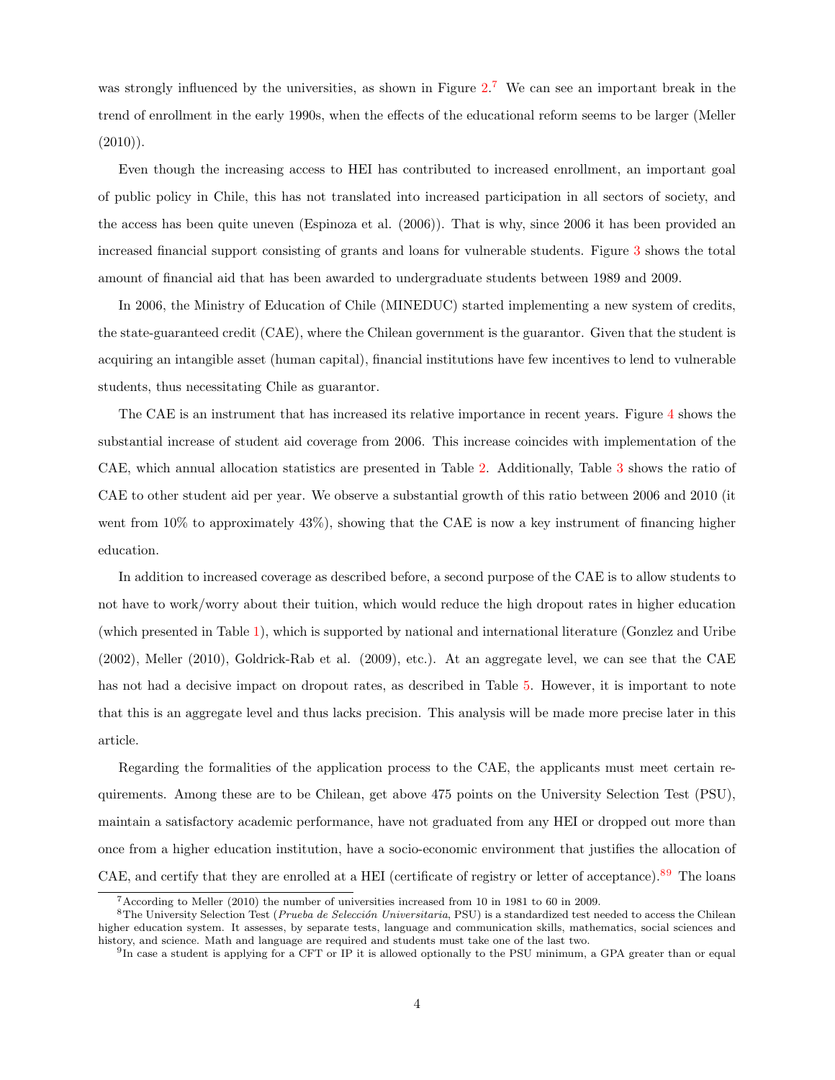was strongly influenced by the universities, as shown in Figure [2.](#page-34-1)<sup>[7](#page-3-0)</sup> We can see an important break in the trend of enrollment in the early 1990s, when the effects of the educational reform seems to be larger (Meller  $(2010)$ ).

Even though the increasing access to HEI has contributed to increased enrollment, an important goal of public policy in Chile, this has not translated into increased participation in all sectors of society, and the access has been quite uneven (Espinoza et al. (2006)). That is why, since 2006 it has been provided an increased financial support consisting of grants and loans for vulnerable students. Figure [3](#page-34-2) shows the total amount of financial aid that has been awarded to undergraduate students between 1989 and 2009.

In 2006, the Ministry of Education of Chile (MINEDUC) started implementing a new system of credits, the state-guaranteed credit (CAE), where the Chilean government is the guarantor. Given that the student is acquiring an intangible asset (human capital), financial institutions have few incentives to lend to vulnerable students, thus necessitating Chile as guarantor.

The CAE is an instrument that has increased its relative importance in recent years. Figure [4](#page-34-3) shows the substantial increase of student aid coverage from 2006. This increase coincides with implementation of the CAE, which annual allocation statistics are presented in Table [2.](#page-24-0) Additionally, Table [3](#page-24-1) shows the ratio of CAE to other student aid per year. We observe a substantial growth of this ratio between 2006 and 2010 (it went from  $10\%$  to approximately  $43\%$ ), showing that the CAE is now a key instrument of financing higher education.

In addition to increased coverage as described before, a second purpose of the CAE is to allow students to not have to work/worry about their tuition, which would reduce the high dropout rates in higher education (which presented in Table [1\)](#page-24-2), which is supported by national and international literature (Gonzlez and Uribe (2002), Meller (2010), Goldrick-Rab et al. (2009), etc.). At an aggregate level, we can see that the CAE has not had a decisive impact on dropout rates, as described in Table [5.](#page-24-3) However, it is important to note that this is an aggregate level and thus lacks precision. This analysis will be made more precise later in this article.

Regarding the formalities of the application process to the CAE, the applicants must meet certain requirements. Among these are to be Chilean, get above 475 points on the University Selection Test (PSU), maintain a satisfactory academic performance, have not graduated from any HEI or dropped out more than once from a higher education institution, have a socio-economic environment that justifies the allocation of CAE, and certify that they are enrolled at a HEI (certificate of registry or letter of acceptance).[8](#page-3-1)[9](#page-3-2) The loans

<span id="page-3-1"></span><span id="page-3-0"></span><sup>7</sup>According to Meller (2010) the number of universities increased from 10 in 1981 to 60 in 2009.

 ${}^{8}$ The University Selection Test (*Prueba de Selección Universitaria*, PSU) is a standardized test needed to access the Chilean higher education system. It assesses, by separate tests, language and communication skills, mathematics, social sciences and history, and science. Math and language are required and students must take one of the last two.

<span id="page-3-2"></span><sup>&</sup>lt;sup>9</sup>In case a student is applying for a CFT or IP it is allowed optionally to the PSU minimum, a GPA greater than or equal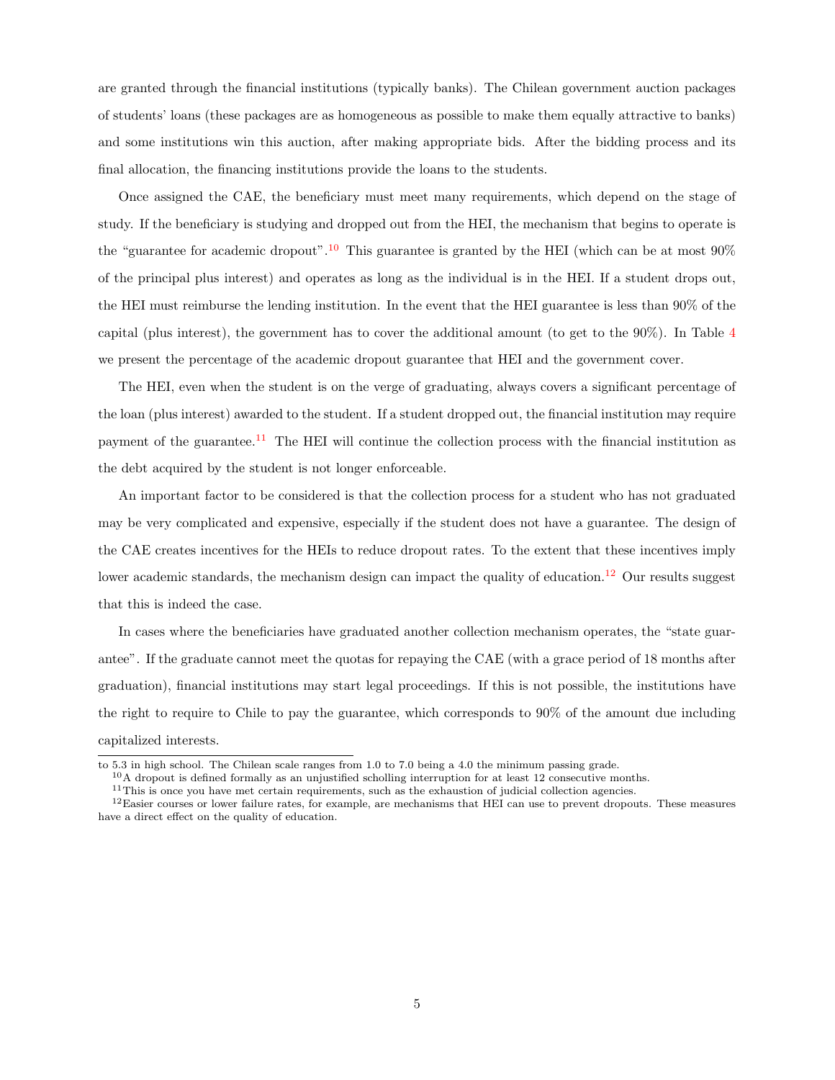are granted through the financial institutions (typically banks). The Chilean government auction packages of students' loans (these packages are as homogeneous as possible to make them equally attractive to banks) and some institutions win this auction, after making appropriate bids. After the bidding process and its final allocation, the financing institutions provide the loans to the students.

Once assigned the CAE, the beneficiary must meet many requirements, which depend on the stage of study. If the beneficiary is studying and dropped out from the HEI, the mechanism that begins to operate is the "guarantee for academic dropout".<sup>[10](#page-4-0)</sup> This guarantee is granted by the HEI (which can be at most  $90\%$ ) of the principal plus interest) and operates as long as the individual is in the HEI. If a student drops out, the HEI must reimburse the lending institution. In the event that the HEI guarantee is less than 90% of the capital (plus interest), the government has to cover the additional amount (to get to the 90%). In Table [4](#page-24-4) we present the percentage of the academic dropout guarantee that HEI and the government cover.

The HEI, even when the student is on the verge of graduating, always covers a significant percentage of the loan (plus interest) awarded to the student. If a student dropped out, the financial institution may require payment of the guarantee.<sup>[11](#page-4-1)</sup> The HEI will continue the collection process with the financial institution as the debt acquired by the student is not longer enforceable.

An important factor to be considered is that the collection process for a student who has not graduated may be very complicated and expensive, especially if the student does not have a guarantee. The design of the CAE creates incentives for the HEIs to reduce dropout rates. To the extent that these incentives imply lower academic standards, the mechanism design can impact the quality of education.<sup>[12](#page-4-2)</sup> Our results suggest that this is indeed the case.

In cases where the beneficiaries have graduated another collection mechanism operates, the "state guarantee". If the graduate cannot meet the quotas for repaying the CAE (with a grace period of 18 months after graduation), financial institutions may start legal proceedings. If this is not possible, the institutions have the right to require to Chile to pay the guarantee, which corresponds to 90% of the amount due including capitalized interests.

to 5.3 in high school. The Chilean scale ranges from 1.0 to 7.0 being a 4.0 the minimum passing grade.

<span id="page-4-0"></span><sup>&</sup>lt;sup>10</sup>A dropout is defined formally as an unjustified scholling interruption for at least 12 consecutive months.

<span id="page-4-2"></span><span id="page-4-1"></span> $11$ This is once you have met certain requirements, such as the exhaustion of judicial collection agencies.

 $12$ Easier courses or lower failure rates, for example, are mechanisms that HEI can use to prevent dropouts. These measures have a direct effect on the quality of education.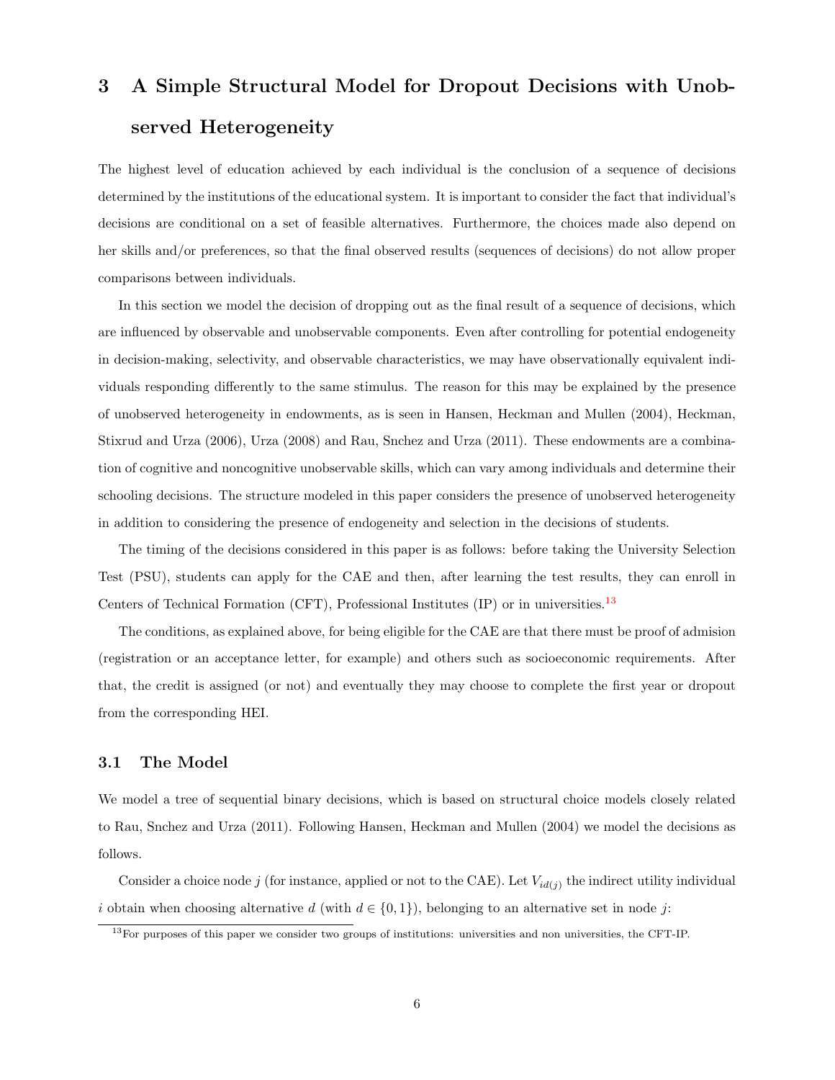# <span id="page-5-0"></span>3 A Simple Structural Model for Dropout Decisions with Unobserved Heterogeneity

The highest level of education achieved by each individual is the conclusion of a sequence of decisions determined by the institutions of the educational system. It is important to consider the fact that individual's decisions are conditional on a set of feasible alternatives. Furthermore, the choices made also depend on her skills and/or preferences, so that the final observed results (sequences of decisions) do not allow proper comparisons between individuals.

In this section we model the decision of dropping out as the final result of a sequence of decisions, which are influenced by observable and unobservable components. Even after controlling for potential endogeneity in decision-making, selectivity, and observable characteristics, we may have observationally equivalent individuals responding differently to the same stimulus. The reason for this may be explained by the presence of unobserved heterogeneity in endowments, as is seen in Hansen, Heckman and Mullen (2004), Heckman, Stixrud and Urza (2006), Urza (2008) and Rau, Snchez and Urza (2011). These endowments are a combination of cognitive and noncognitive unobservable skills, which can vary among individuals and determine their schooling decisions. The structure modeled in this paper considers the presence of unobserved heterogeneity in addition to considering the presence of endogeneity and selection in the decisions of students.

The timing of the decisions considered in this paper is as follows: before taking the University Selection Test (PSU), students can apply for the CAE and then, after learning the test results, they can enroll in Centers of Technical Formation (CFT), Professional Institutes (IP) or in universities.[13](#page-5-1)

The conditions, as explained above, for being eligible for the CAE are that there must be proof of admision (registration or an acceptance letter, for example) and others such as socioeconomic requirements. After that, the credit is assigned (or not) and eventually they may choose to complete the first year or dropout from the corresponding HEI.

#### 3.1 The Model

We model a tree of sequential binary decisions, which is based on structural choice models closely related to Rau, Snchez and Urza (2011). Following Hansen, Heckman and Mullen (2004) we model the decisions as follows.

Consider a choice node j (for instance, applied or not to the CAE). Let  $V_{id(j)}$  the indirect utility individual i obtain when choosing alternative d (with  $d \in \{0, 1\}$ ), belonging to an alternative set in node j:

<span id="page-5-1"></span><sup>13</sup>For purposes of this paper we consider two groups of institutions: universities and non universities, the CFT-IP.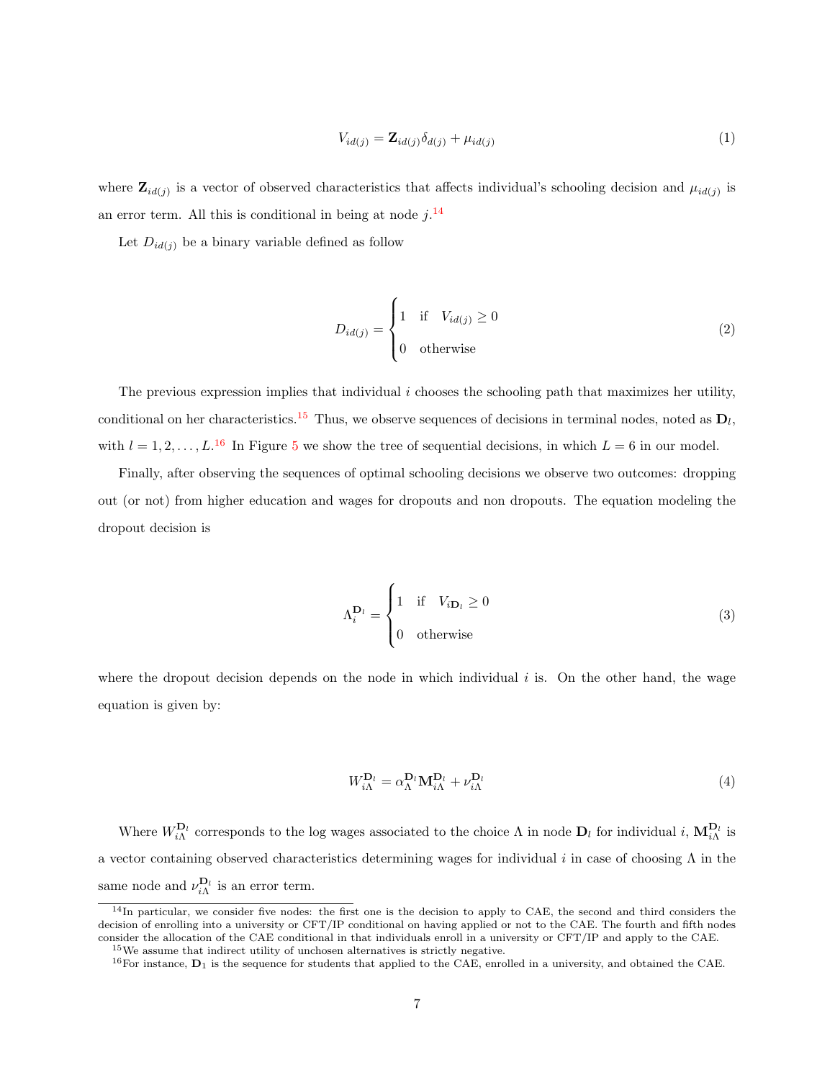<span id="page-6-3"></span>
$$
V_{id(j)} = \mathbf{Z}_{id(j)} \delta_{d(j)} + \mu_{id(j)}
$$
\n
$$
(1)
$$

where  $\mathbf{Z}_{id(j)}$  is a vector of observed characteristics that affects individual's schooling decision and  $\mu_{id(j)}$  is an error term. All this is conditional in being at node  $j$ .<sup>[14](#page-6-0)</sup>

Let  $D_{id(i)}$  be a binary variable defined as follow

<span id="page-6-5"></span>
$$
D_{id(j)} = \begin{cases} 1 & \text{if} \quad V_{id(j)} \ge 0 \\ 0 & \text{otherwise} \end{cases}
$$
 (2)

The previous expression implies that individual  $i$  chooses the schooling path that maximizes her utility, conditional on her characteristics.<sup>[15](#page-6-1)</sup> Thus, we observe sequences of decisions in terminal nodes, noted as  $D_l$ , with  $l = 1, 2, \ldots, L$ .<sup>[16](#page-6-2)</sup> In Figure [5](#page-35-0) we show the tree of sequential decisions, in which  $L = 6$  in our model.

Finally, after observing the sequences of optimal schooling decisions we observe two outcomes: dropping out (or not) from higher education and wages for dropouts and non dropouts. The equation modeling the dropout decision is

$$
\Lambda_i^{\mathbf{D}_l} = \begin{cases} 1 & \text{if} \quad V_{i\mathbf{D}_l} \ge 0 \\ 0 & \text{otherwise} \end{cases}
$$
 (3)

where the dropout decision depends on the node in which individual  $i$  is. On the other hand, the wage equation is given by:

<span id="page-6-4"></span>
$$
W_{i\Lambda}^{\mathbf{D}_l} = \alpha_{\Lambda}^{\mathbf{D}_l} \mathbf{M}_{i\Lambda}^{\mathbf{D}_l} + \nu_{i\Lambda}^{\mathbf{D}_l} \tag{4}
$$

Where  $W_{i\Lambda}^{D_l}$  corresponds to the log wages associated to the choice  $\Lambda$  in node  $D_l$  for individual i,  $M_{i\Lambda}^{D_l}$  is a vector containing observed characteristics determining wages for individual i in case of choosing  $\Lambda$  in the same node and  $\nu_{i\Lambda}^{\mathbf{D}_l}$  is an error term.

<span id="page-6-0"></span> $14$ In particular, we consider five nodes: the first one is the decision to apply to CAE, the second and third considers the decision of enrolling into a university or CFT/IP conditional on having applied or not to the CAE. The fourth and fifth nodes consider the allocation of the CAE conditional in that individuals enroll in a university or CFT/IP and apply to the CAE. <sup>15</sup>We assume that indirect utility of unchosen alternatives is strictly negative.

<span id="page-6-1"></span>

<span id="page-6-2"></span><sup>&</sup>lt;sup>16</sup>For instance,  $D_1$  is the sequence for students that applied to the CAE, enrolled in a university, and obtained the CAE.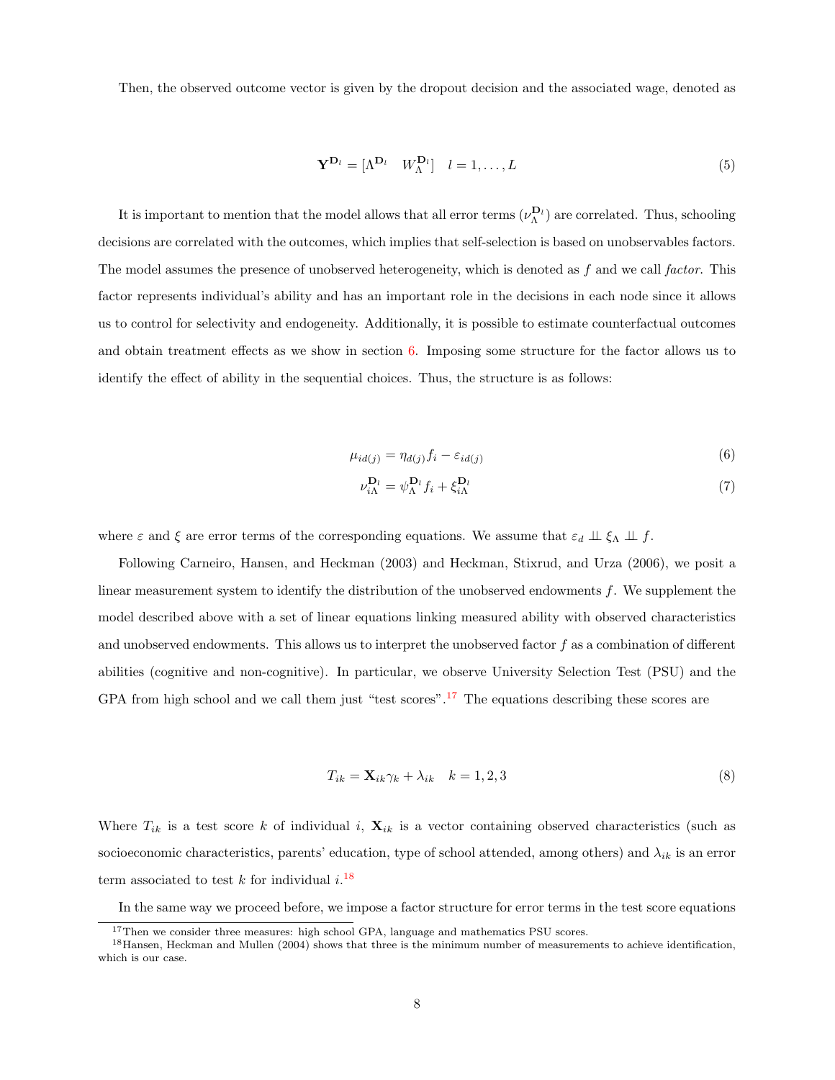Then, the observed outcome vector is given by the dropout decision and the associated wage, denoted as

$$
\mathbf{Y}^{\mathbf{D}_l} = [\Lambda^{\mathbf{D}_l} \quad W_\Lambda^{\mathbf{D}_l}] \quad l = 1, \dots, L \tag{5}
$$

It is important to mention that the model allows that all error terms  $(\nu_\Lambda^{\mathbf{D}_l})$  are correlated. Thus, schooling decisions are correlated with the outcomes, which implies that self-selection is based on unobservables factors. The model assumes the presence of unobserved heterogeneity, which is denoted as  $f$  and we call factor. This factor represents individual's ability and has an important role in the decisions in each node since it allows us to control for selectivity and endogeneity. Additionally, it is possible to estimate counterfactual outcomes and obtain treatment effects as we show in section [6.](#page-14-0) Imposing some structure for the factor allows us to identify the effect of ability in the sequential choices. Thus, the structure is as follows:

$$
\mu_{id(j)} = \eta_{d(j)} f_i - \varepsilon_{id(j)} \tag{6}
$$

<span id="page-7-4"></span><span id="page-7-3"></span>
$$
\nu_{i\Lambda}^{\mathbf{D}_l} = \psi_{\Lambda}^{\mathbf{D}_l} f_i + \xi_{i\Lambda}^{\mathbf{D}_l} \tag{7}
$$

where  $\varepsilon$  and  $\xi$  are error terms of the corresponding equations. We assume that  $\varepsilon_d \perp \!\!\! \perp \xi_{\Lambda} \perp \!\!\! \perp f$ .

Following Carneiro, Hansen, and Heckman (2003) and Heckman, Stixrud, and Urza (2006), we posit a linear measurement system to identify the distribution of the unobserved endowments f. We supplement the model described above with a set of linear equations linking measured ability with observed characteristics and unobserved endowments. This allows us to interpret the unobserved factor f as a combination of different abilities (cognitive and non-cognitive). In particular, we observe University Selection Test (PSU) and the GPA from high school and we call them just "test scores".<sup>[17](#page-7-0)</sup> The equations describing these scores are

<span id="page-7-2"></span>
$$
T_{ik} = \mathbf{X}_{ik}\gamma_k + \lambda_{ik} \quad k = 1, 2, 3 \tag{8}
$$

Where  $T_{ik}$  is a test score k of individual i,  $\mathbf{X}_{ik}$  is a vector containing observed characteristics (such as socioeconomic characteristics, parents' education, type of school attended, among others) and  $\lambda_{ik}$  is an error term associated to test  $k$  for individual  $i$ .<sup>[18](#page-7-1)</sup>

In the same way we proceed before, we impose a factor structure for error terms in the test score equations

<span id="page-7-1"></span><span id="page-7-0"></span><sup>&</sup>lt;sup>17</sup>Then we consider three measures: high school GPA, language and mathematics PSU scores.

<sup>18</sup>Hansen, Heckman and Mullen (2004) shows that three is the minimum number of measurements to achieve identification, which is our case.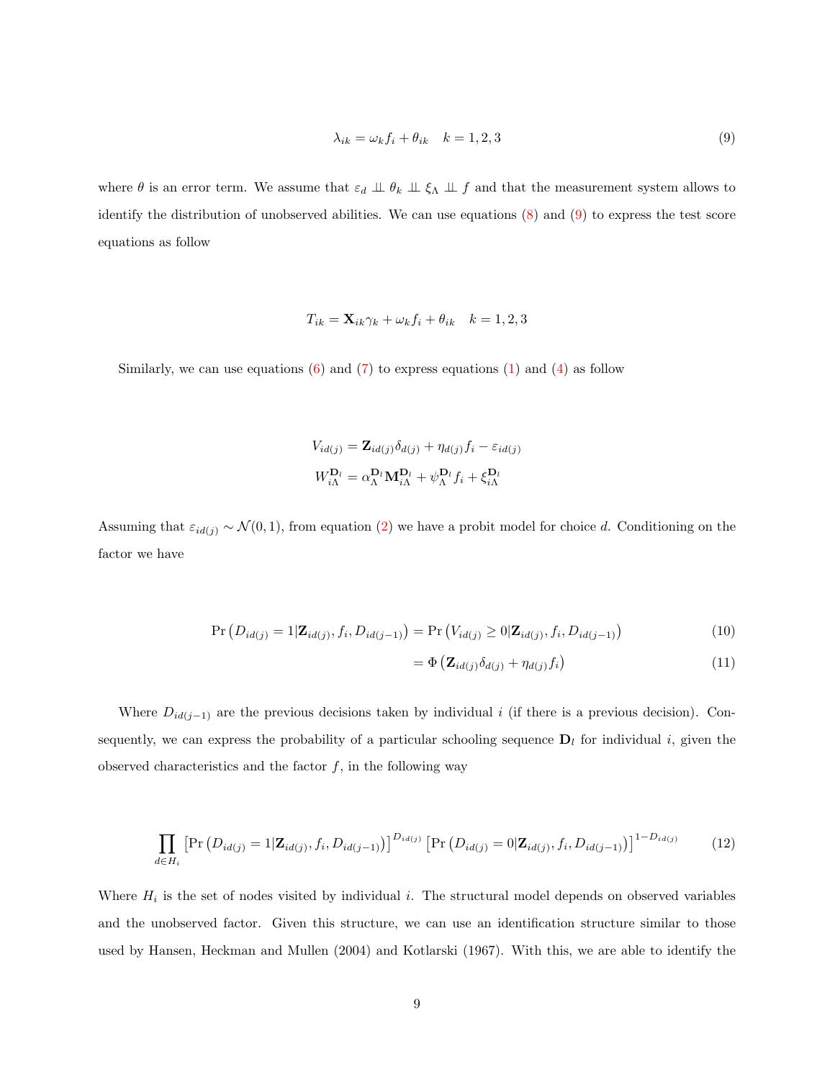<span id="page-8-0"></span>
$$
\lambda_{ik} = \omega_k f_i + \theta_{ik} \quad k = 1, 2, 3 \tag{9}
$$

where  $\theta$  is an error term. We assume that  $\varepsilon_d \perp \!\!\! \perp \theta_k \perp \!\!\! \perp \xi_\Lambda \perp \!\!\! \perp f$  and that the measurement system allows to identify the distribution of unobserved abilities. We can use equations [\(8\)](#page-7-2) and [\(9\)](#page-8-0) to express the test score equations as follow

$$
T_{ik} = \mathbf{X}_{ik}\gamma_k + \omega_k f_i + \theta_{ik} \quad k = 1, 2, 3
$$

Similarly, we can use equations  $(6)$  and  $(7)$  to express equations  $(1)$  and  $(4)$  as follow

$$
V_{id(j)} = \mathbf{Z}_{id(j)} \delta_{d(j)} + \eta_{d(j)} f_i - \varepsilon_{id(j)}
$$

$$
W_{i\Lambda}^{\mathbf{D}_l} = \alpha_{\Lambda}^{\mathbf{D}_l} \mathbf{M}_{i\Lambda}^{\mathbf{D}_l} + \psi_{\Lambda}^{\mathbf{D}_l} f_i + \xi_{i\Lambda}^{\mathbf{D}_l}
$$

Assuming that  $\varepsilon_{id(j)} \sim \mathcal{N}(0, 1)$ , from equation [\(2\)](#page-6-5) we have a probit model for choice d. Conditioning on the factor we have

$$
\Pr(D_{id(j)} = 1 | \mathbf{Z}_{id(j)}, f_i, D_{id(j-1)}) = \Pr(V_{id(j)} \ge 0 | \mathbf{Z}_{id(j)}, f_i, D_{id(j-1)})
$$
\n(10)

$$
= \Phi\left(\mathbf{Z}_{id(j)}\delta_{d(j)} + \eta_{d(j)}f_i\right) \tag{11}
$$

Where  $D_{id(j-1)}$  are the previous decisions taken by individual i (if there is a previous decision). Consequently, we can express the probability of a particular schooling sequence  $D_l$  for individual i, given the observed characteristics and the factor  $f$ , in the following way

$$
\prod_{d \in H_i} \left[ \Pr \left( D_{id(j)} = 1 | \mathbf{Z}_{id(j)}, f_i, D_{id(j-1)} \right) \right]^{D_{id(j)}} \left[ \Pr \left( D_{id(j)} = 0 | \mathbf{Z}_{id(j)}, f_i, D_{id(j-1)} \right) \right]^{1 - D_{id(j)}} \tag{12}
$$

Where  $H_i$  is the set of nodes visited by individual i. The structural model depends on observed variables and the unobserved factor. Given this structure, we can use an identification structure similar to those used by Hansen, Heckman and Mullen (2004) and Kotlarski (1967). With this, we are able to identify the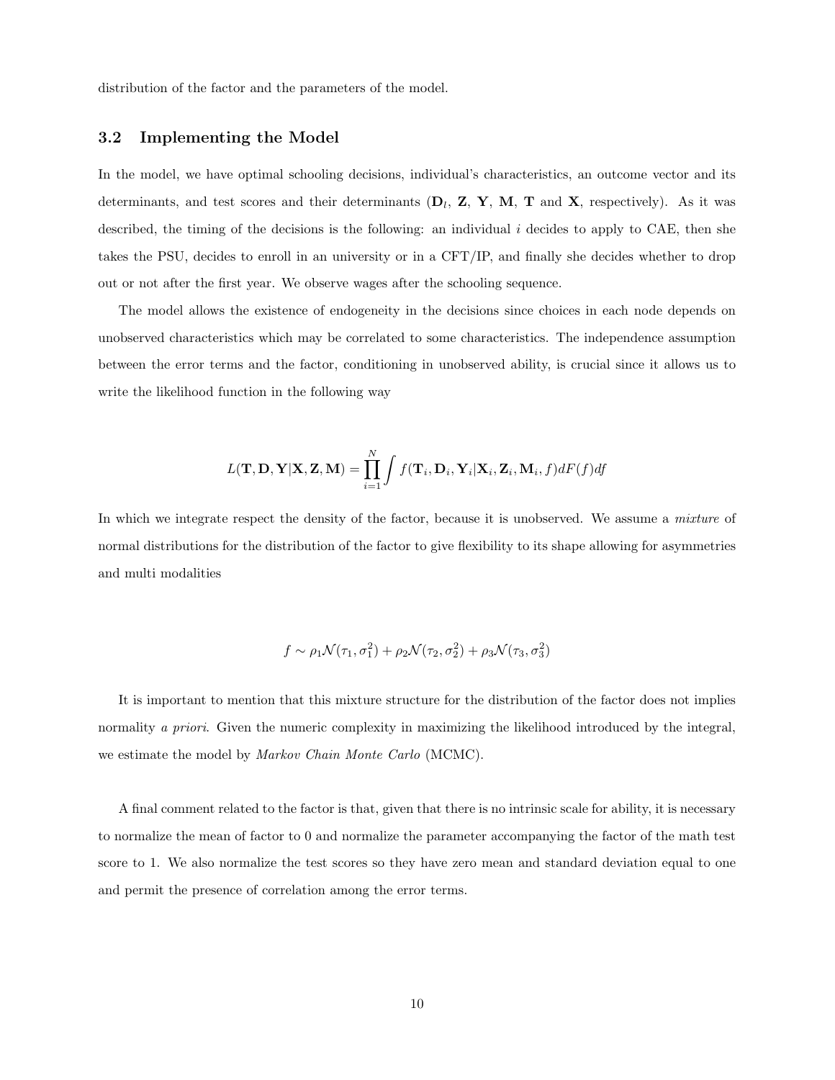distribution of the factor and the parameters of the model.

#### 3.2 Implementing the Model

In the model, we have optimal schooling decisions, individual's characteristics, an outcome vector and its determinants, and test scores and their determinants  $(D_l, Z, Y, M, T$  and X, respectively). As it was described, the timing of the decisions is the following: an individual  $i$  decides to apply to CAE, then she takes the PSU, decides to enroll in an university or in a CFT/IP, and finally she decides whether to drop out or not after the first year. We observe wages after the schooling sequence.

The model allows the existence of endogeneity in the decisions since choices in each node depends on unobserved characteristics which may be correlated to some characteristics. The independence assumption between the error terms and the factor, conditioning in unobserved ability, is crucial since it allows us to write the likelihood function in the following way

$$
L(\mathbf{T}, \mathbf{D}, \mathbf{Y} | \mathbf{X}, \mathbf{Z}, \mathbf{M}) = \prod_{i=1}^{N} \int f(\mathbf{T}_i, \mathbf{D}_i, \mathbf{Y}_i | \mathbf{X}_i, \mathbf{Z}_i, \mathbf{M}_i, f) dF(f) df
$$

In which we integrate respect the density of the factor, because it is unobserved. We assume a mixture of normal distributions for the distribution of the factor to give flexibility to its shape allowing for asymmetries and multi modalities

$$
f \sim \rho_1 \mathcal{N}(\tau_1, \sigma_1^2) + \rho_2 \mathcal{N}(\tau_2, \sigma_2^2) + \rho_3 \mathcal{N}(\tau_3, \sigma_3^2)
$$

It is important to mention that this mixture structure for the distribution of the factor does not implies normality a priori. Given the numeric complexity in maximizing the likelihood introduced by the integral, we estimate the model by *Markov Chain Monte Carlo* (MCMC).

A final comment related to the factor is that, given that there is no intrinsic scale for ability, it is necessary to normalize the mean of factor to 0 and normalize the parameter accompanying the factor of the math test score to 1. We also normalize the test scores so they have zero mean and standard deviation equal to one and permit the presence of correlation among the error terms.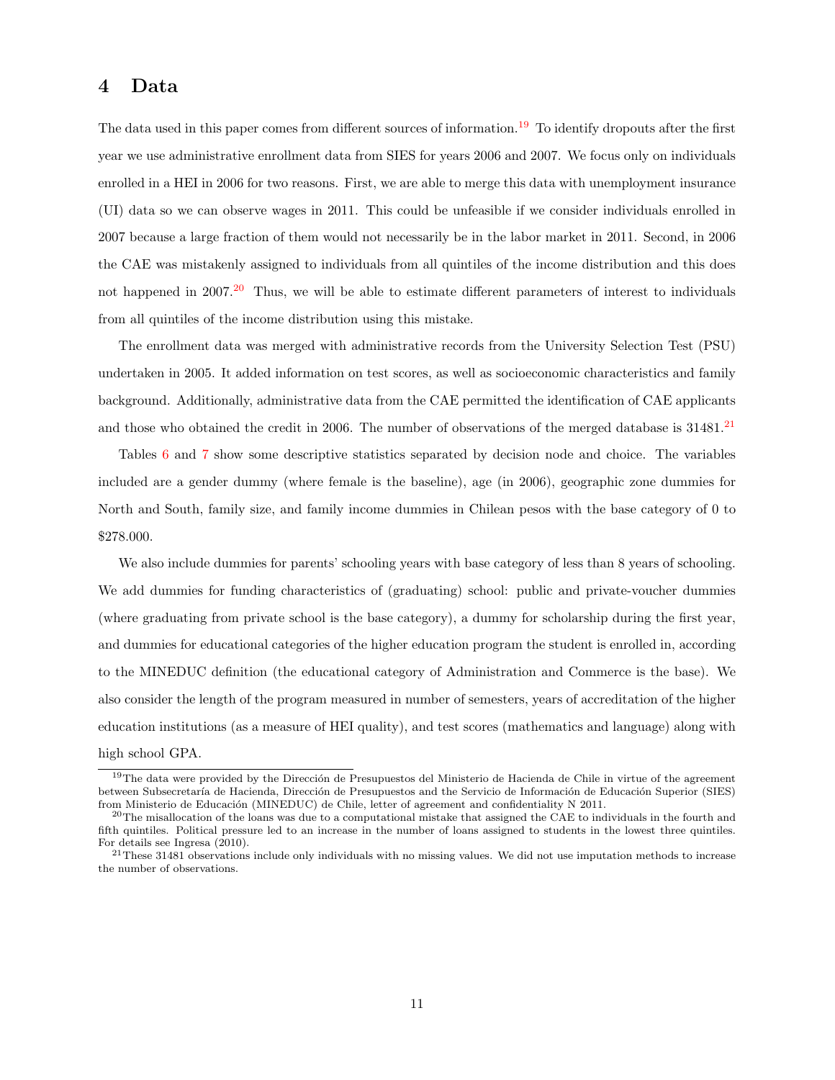#### <span id="page-10-0"></span>4 Data

The data used in this paper comes from different sources of information.<sup>[19](#page-10-1)</sup> To identify dropouts after the first year we use administrative enrollment data from SIES for years 2006 and 2007. We focus only on individuals enrolled in a HEI in 2006 for two reasons. First, we are able to merge this data with unemployment insurance (UI) data so we can observe wages in 2011. This could be unfeasible if we consider individuals enrolled in 2007 because a large fraction of them would not necessarily be in the labor market in 2011. Second, in 2006 the CAE was mistakenly assigned to individuals from all quintiles of the income distribution and this does not happened in  $2007<sup>20</sup>$  $2007<sup>20</sup>$  Thus, we will be able to estimate different parameters of interest to individuals from all quintiles of the income distribution using this mistake.

The enrollment data was merged with administrative records from the University Selection Test (PSU) undertaken in 2005. It added information on test scores, as well as socioeconomic characteristics and family background. Additionally, administrative data from the CAE permitted the identification of CAE applicants and those who obtained the credit in 2006. The number of observations of the merged database is  $31481$ .<sup>[21](#page-10-3)</sup>

Tables [6](#page-25-0) and [7](#page-27-0) show some descriptive statistics separated by decision node and choice. The variables included are a gender dummy (where female is the baseline), age (in 2006), geographic zone dummies for North and South, family size, and family income dummies in Chilean pesos with the base category of 0 to \$278.000.

We also include dummies for parents' schooling years with base category of less than 8 years of schooling. We add dummies for funding characteristics of (graduating) school: public and private-voucher dummies (where graduating from private school is the base category), a dummy for scholarship during the first year, and dummies for educational categories of the higher education program the student is enrolled in, according to the MINEDUC definition (the educational category of Administration and Commerce is the base). We also consider the length of the program measured in number of semesters, years of accreditation of the higher education institutions (as a measure of HEI quality), and test scores (mathematics and language) along with high school GPA.

<span id="page-10-1"></span> $19$ The data were provided by the Dirección de Presupuestos del Ministerio de Hacienda de Chile in virtue of the agreement between Subsecretaría de Hacienda, Dirección de Presupuestos and the Servicio de Información de Educación Superior (SIES) from Ministerio de Educación (MINEDUC) de Chile, letter of agreement and confidentiality N 2011.

<span id="page-10-2"></span> $20$ The misallocation of the loans was due to a computational mistake that assigned the CAE to individuals in the fourth and fifth quintiles. Political pressure led to an increase in the number of loans assigned to students in the lowest three quintiles. For details see Ingresa (2010).

<span id="page-10-3"></span><sup>21</sup>These 31481 observations include only individuals with no missing values. We did not use imputation methods to increase the number of observations.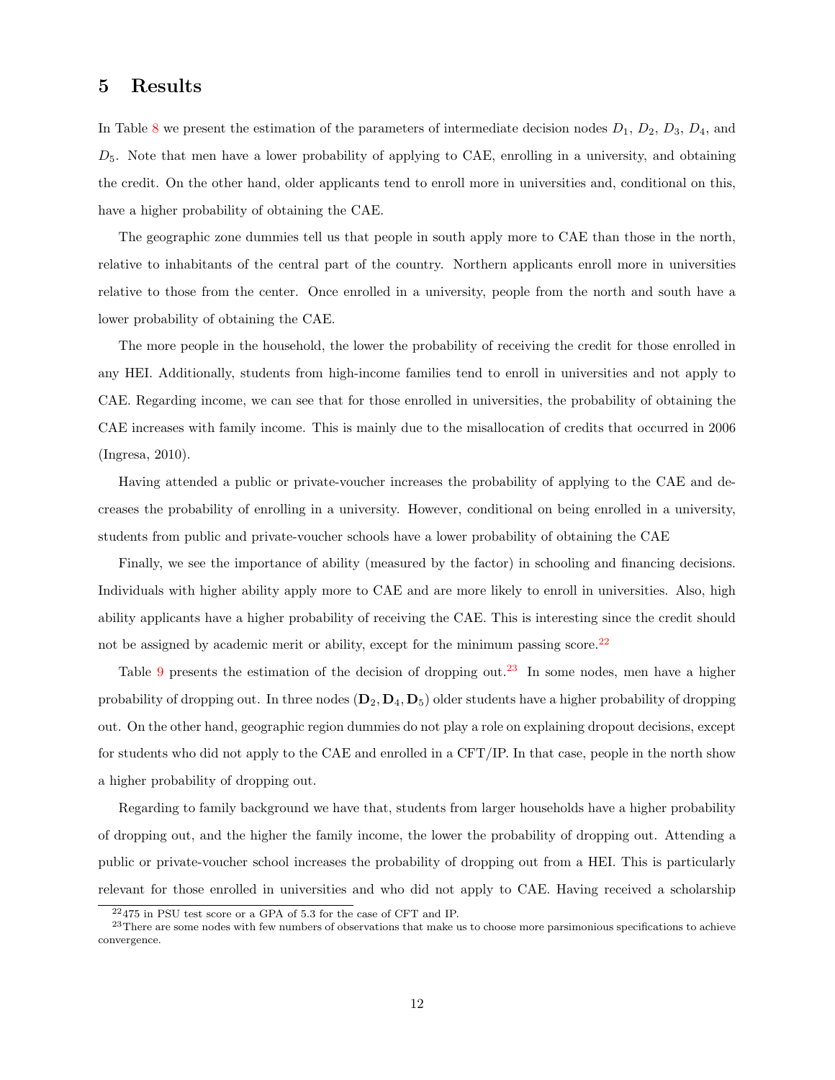### <span id="page-11-0"></span>5 Results

In Table [8](#page-26-0) we present the estimation of the parameters of intermediate decision nodes  $D_1$ ,  $D_2$ ,  $D_3$ ,  $D_4$ , and  $D_5$ . Note that men have a lower probability of applying to CAE, enrolling in a university, and obtaining the credit. On the other hand, older applicants tend to enroll more in universities and, conditional on this, have a higher probability of obtaining the CAE.

The geographic zone dummies tell us that people in south apply more to CAE than those in the north, relative to inhabitants of the central part of the country. Northern applicants enroll more in universities relative to those from the center. Once enrolled in a university, people from the north and south have a lower probability of obtaining the CAE.

The more people in the household, the lower the probability of receiving the credit for those enrolled in any HEI. Additionally, students from high-income families tend to enroll in universities and not apply to CAE. Regarding income, we can see that for those enrolled in universities, the probability of obtaining the CAE increases with family income. This is mainly due to the misallocation of credits that occurred in 2006 (Ingresa, 2010).

Having attended a public or private-voucher increases the probability of applying to the CAE and decreases the probability of enrolling in a university. However, conditional on being enrolled in a university, students from public and private-voucher schools have a lower probability of obtaining the CAE

Finally, we see the importance of ability (measured by the factor) in schooling and financing decisions. Individuals with higher ability apply more to CAE and are more likely to enroll in universities. Also, high ability applicants have a higher probability of receiving the CAE. This is interesting since the credit should not be assigned by academic merit or ability, except for the minimum passing score.<sup>[22](#page-11-1)</sup>

Table [9](#page-28-0) presents the estimation of the decision of dropping out.<sup>[23](#page-11-2)</sup> In some nodes, men have a higher probability of dropping out. In three nodes  $(D_2, D_4, D_5)$  older students have a higher probability of dropping out. On the other hand, geographic region dummies do not play a role on explaining dropout decisions, except for students who did not apply to the CAE and enrolled in a CFT/IP. In that case, people in the north show a higher probability of dropping out.

Regarding to family background we have that, students from larger households have a higher probability of dropping out, and the higher the family income, the lower the probability of dropping out. Attending a public or private-voucher school increases the probability of dropping out from a HEI. This is particularly relevant for those enrolled in universities and who did not apply to CAE. Having received a scholarship

<span id="page-11-2"></span><span id="page-11-1"></span><sup>22</sup>475 in PSU test score or a GPA of 5.3 for the case of CFT and IP.

<sup>&</sup>lt;sup>23</sup>There are some nodes with few numbers of observations that make us to choose more parsimonious specifications to achieve convergence.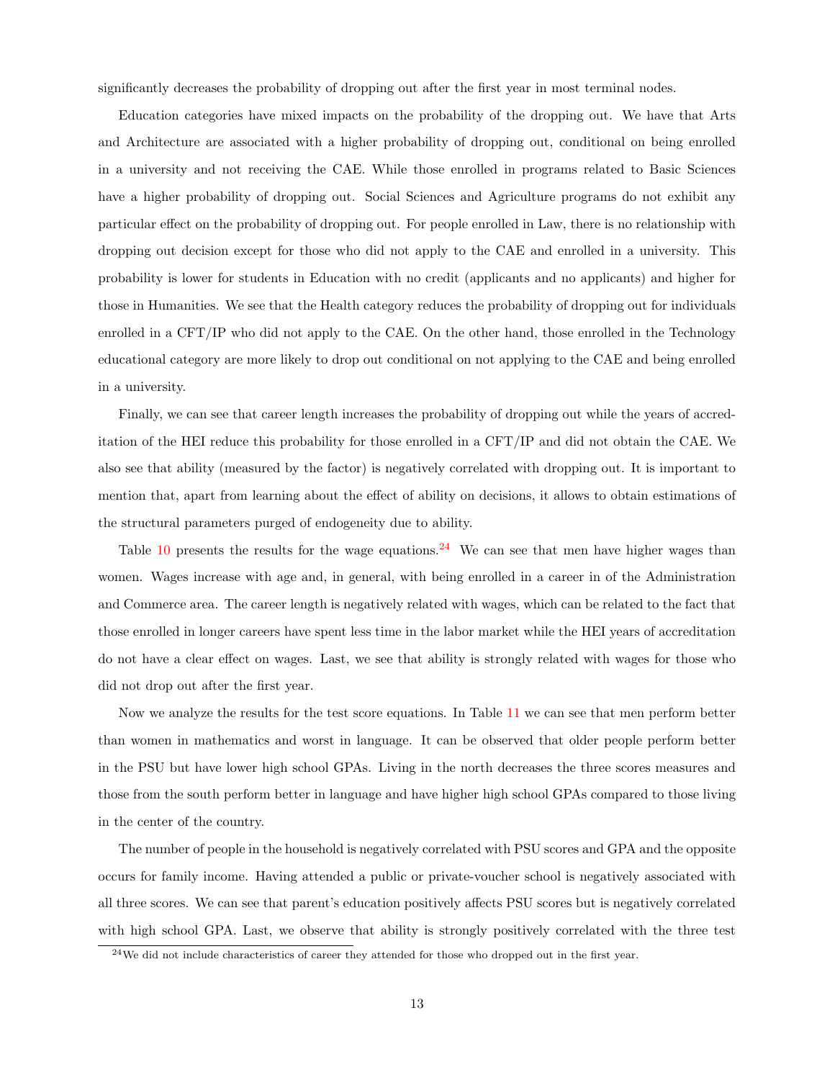significantly decreases the probability of dropping out after the first year in most terminal nodes.

Education categories have mixed impacts on the probability of the dropping out. We have that Arts and Architecture are associated with a higher probability of dropping out, conditional on being enrolled in a university and not receiving the CAE. While those enrolled in programs related to Basic Sciences have a higher probability of dropping out. Social Sciences and Agriculture programs do not exhibit any particular effect on the probability of dropping out. For people enrolled in Law, there is no relationship with dropping out decision except for those who did not apply to the CAE and enrolled in a university. This probability is lower for students in Education with no credit (applicants and no applicants) and higher for those in Humanities. We see that the Health category reduces the probability of dropping out for individuals enrolled in a CFT/IP who did not apply to the CAE. On the other hand, those enrolled in the Technology educational category are more likely to drop out conditional on not applying to the CAE and being enrolled in a university.

Finally, we can see that career length increases the probability of dropping out while the years of accreditation of the HEI reduce this probability for those enrolled in a CFT/IP and did not obtain the CAE. We also see that ability (measured by the factor) is negatively correlated with dropping out. It is important to mention that, apart from learning about the effect of ability on decisions, it allows to obtain estimations of the structural parameters purged of endogeneity due to ability.

Table [10](#page-29-0) presents the results for the wage equations.<sup>[24](#page-12-0)</sup> We can see that men have higher wages than women. Wages increase with age and, in general, with being enrolled in a career in of the Administration and Commerce area. The career length is negatively related with wages, which can be related to the fact that those enrolled in longer careers have spent less time in the labor market while the HEI years of accreditation do not have a clear effect on wages. Last, we see that ability is strongly related with wages for those who did not drop out after the first year.

Now we analyze the results for the test score equations. In Table [11](#page-30-0) we can see that men perform better than women in mathematics and worst in language. It can be observed that older people perform better in the PSU but have lower high school GPAs. Living in the north decreases the three scores measures and those from the south perform better in language and have higher high school GPAs compared to those living in the center of the country.

The number of people in the household is negatively correlated with PSU scores and GPA and the opposite occurs for family income. Having attended a public or private-voucher school is negatively associated with all three scores. We can see that parent's education positively affects PSU scores but is negatively correlated with high school GPA. Last, we observe that ability is strongly positively correlated with the three test

<span id="page-12-0"></span> $^{24}\mathrm{We}$  did not include characteristics of career they attended for those who dropped out in the first year.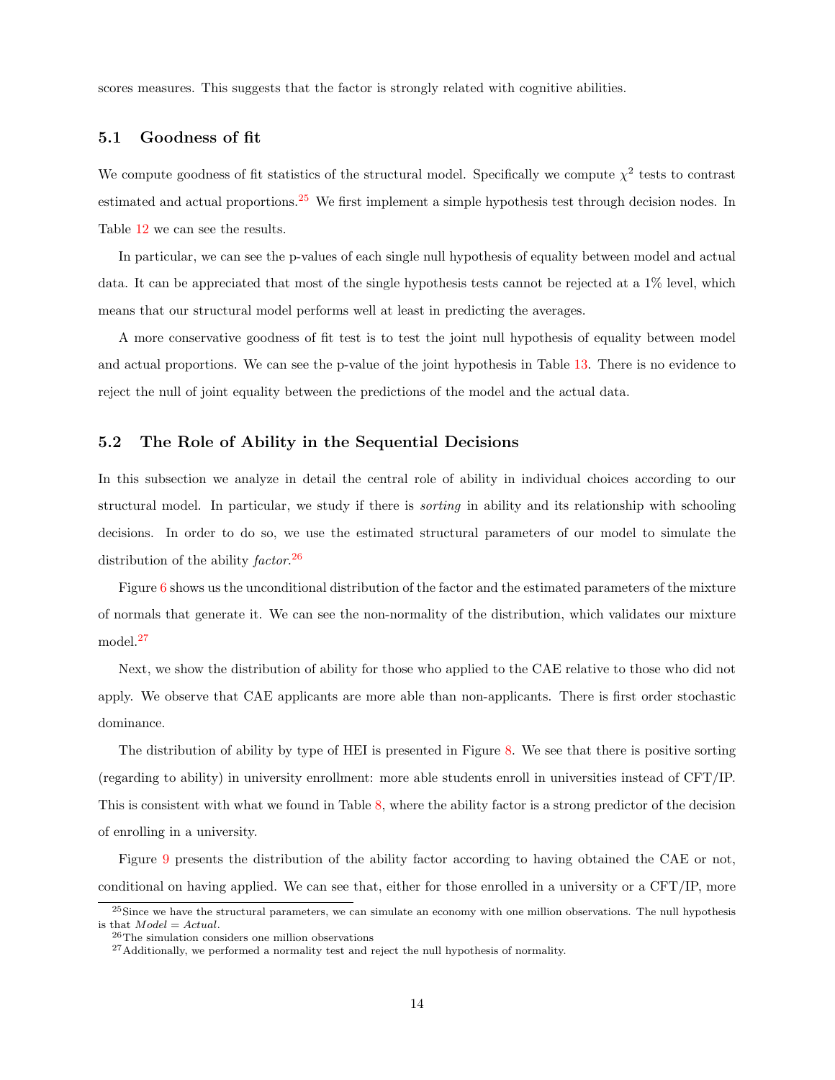scores measures. This suggests that the factor is strongly related with cognitive abilities.

#### 5.1 Goodness of fit

We compute goodness of fit statistics of the structural model. Specifically we compute  $\chi^2$  tests to contrast estimated and actual proportions.<sup>[25](#page-13-0)</sup> We first implement a simple hypothesis test through decision nodes. In Table [12](#page-30-1) we can see the results.

In particular, we can see the p-values of each single null hypothesis of equality between model and actual data. It can be appreciated that most of the single hypothesis tests cannot be rejected at a 1% level, which means that our structural model performs well at least in predicting the averages.

A more conservative goodness of fit test is to test the joint null hypothesis of equality between model and actual proportions. We can see the p-value of the joint hypothesis in Table [13.](#page-31-0) There is no evidence to reject the null of joint equality between the predictions of the model and the actual data.

#### 5.2 The Role of Ability in the Sequential Decisions

In this subsection we analyze in detail the central role of ability in individual choices according to our structural model. In particular, we study if there is sorting in ability and its relationship with schooling decisions. In order to do so, we use the estimated structural parameters of our model to simulate the distribution of the ability factor.<sup>[26](#page-13-1)</sup>

Figure [6](#page-36-0) shows us the unconditional distribution of the factor and the estimated parameters of the mixture of normals that generate it. We can see the non-normality of the distribution, which validates our mixture model.<sup>[27](#page-13-2)</sup>

Next, we show the distribution of ability for those who applied to the CAE relative to those who did not apply. We observe that CAE applicants are more able than non-applicants. There is first order stochastic dominance.

The distribution of ability by type of HEI is presented in Figure [8.](#page-37-0) We see that there is positive sorting (regarding to ability) in university enrollment: more able students enroll in universities instead of CFT/IP. This is consistent with what we found in Table [8,](#page-26-0) where the ability factor is a strong predictor of the decision of enrolling in a university.

Figure [9](#page-37-1) presents the distribution of the ability factor according to having obtained the CAE or not, conditional on having applied. We can see that, either for those enrolled in a university or a CFT/IP, more

<span id="page-13-0"></span> $^{25}$ Since we have the structural parameters, we can simulate an economy with one million observations. The null hypothesis is that  $Model = Actual$ .

<span id="page-13-1"></span><sup>26</sup>The simulation considers one million observations

<span id="page-13-2"></span> $^{27}\mbox{Additionally, we performed a normality test and reject the null hypothesis of normality.}$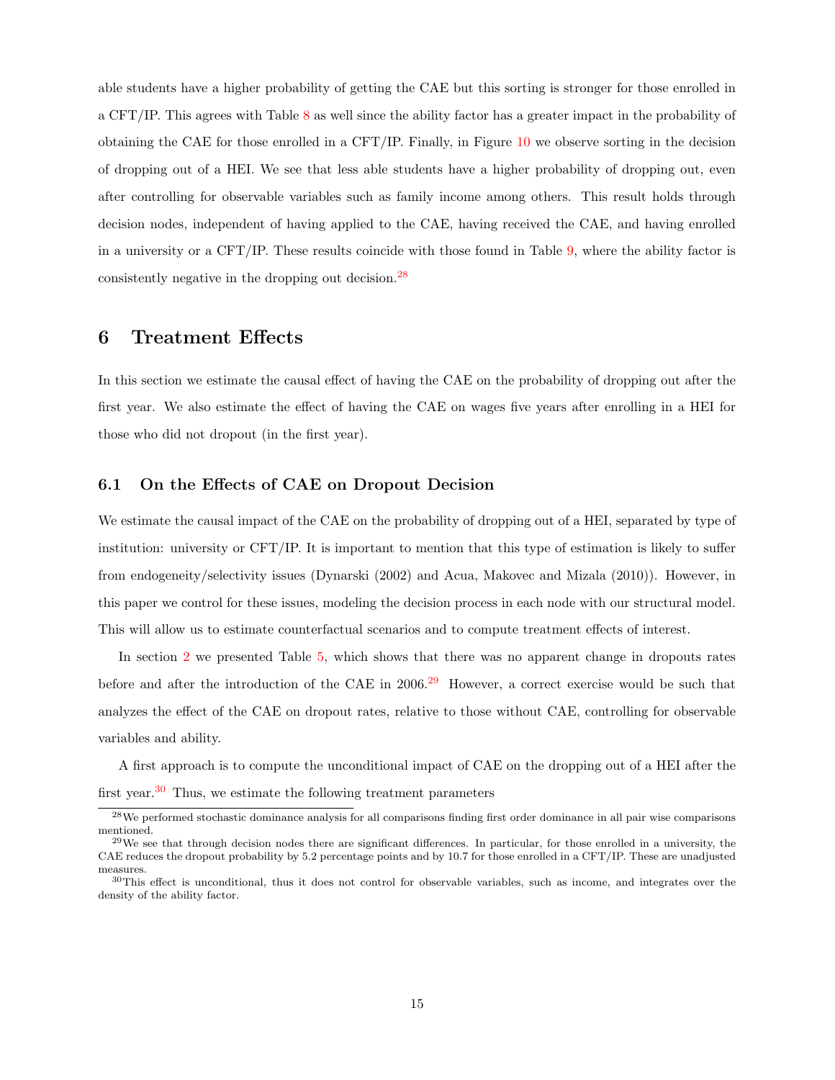able students have a higher probability of getting the CAE but this sorting is stronger for those enrolled in a CFT/IP. This agrees with Table [8](#page-26-0) as well since the ability factor has a greater impact in the probability of obtaining the CAE for those enrolled in a CFT/IP. Finally, in Figure [10](#page-38-0) we observe sorting in the decision of dropping out of a HEI. We see that less able students have a higher probability of dropping out, even after controlling for observable variables such as family income among others. This result holds through decision nodes, independent of having applied to the CAE, having received the CAE, and having enrolled in a university or a CFT/IP. These results coincide with those found in Table [9,](#page-28-0) where the ability factor is consistently negative in the dropping out decision.[28](#page-14-1)

### <span id="page-14-0"></span>6 Treatment Effects

In this section we estimate the causal effect of having the CAE on the probability of dropping out after the first year. We also estimate the effect of having the CAE on wages five years after enrolling in a HEI for those who did not dropout (in the first year).

#### 6.1 On the Effects of CAE on Dropout Decision

We estimate the causal impact of the CAE on the probability of dropping out of a HEI, separated by type of institution: university or CFT/IP. It is important to mention that this type of estimation is likely to suffer from endogeneity/selectivity issues (Dynarski (2002) and Acua, Makovec and Mizala (2010)). However, in this paper we control for these issues, modeling the decision process in each node with our structural model. This will allow us to estimate counterfactual scenarios and to compute treatment effects of interest.

In section [2](#page-2-2) we presented Table [5,](#page-24-3) which shows that there was no apparent change in dropouts rates before and after the introduction of the CAE in 2006.<sup>[29](#page-14-2)</sup> However, a correct exercise would be such that analyzes the effect of the CAE on dropout rates, relative to those without CAE, controlling for observable variables and ability.

A first approach is to compute the unconditional impact of CAE on the dropping out of a HEI after the first year.<sup>[30](#page-14-3)</sup> Thus, we estimate the following treatment parameters

<span id="page-14-1"></span><sup>28</sup>We performed stochastic dominance analysis for all comparisons finding first order dominance in all pair wise comparisons mentioned.

<span id="page-14-2"></span> $^{29}$ We see that through decision nodes there are significant differences. In particular, for those enrolled in a university, the CAE reduces the dropout probability by 5.2 percentage points and by 10.7 for those enrolled in a CFT/IP. These are unadjusted measures.

<span id="page-14-3"></span><sup>&</sup>lt;sup>30</sup>This effect is unconditional, thus it does not control for observable variables, such as income, and integrates over the density of the ability factor.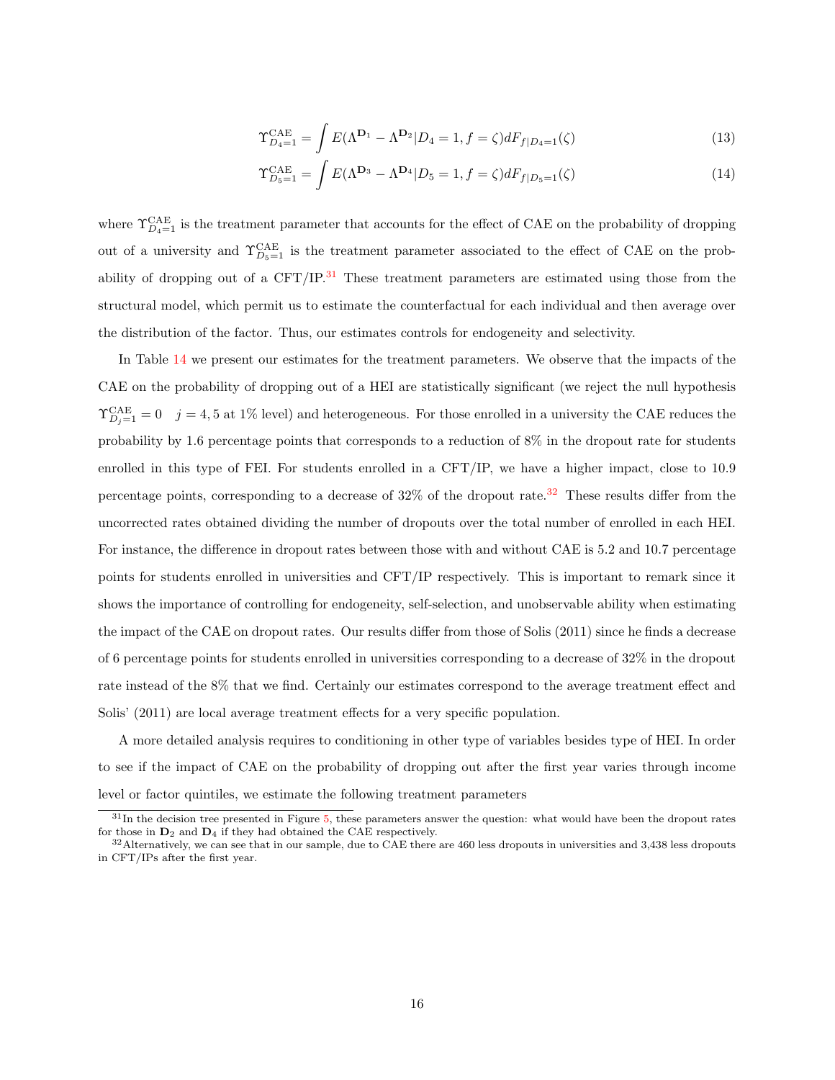$$
\Upsilon_{D_4=1}^{\text{CAE}} = \int E(\Lambda^{\mathbf{D}_1} - \Lambda^{\mathbf{D}_2} | D_4 = 1, f = \zeta) dF_{f|D_4=1}(\zeta)
$$
\n(13)

$$
\Upsilon_{D_5=1}^{\text{CAE}} = \int E(\Lambda^{\mathbf{D}_3} - \Lambda^{\mathbf{D}_4} | D_5 = 1, f = \zeta) dF_{f|D_5=1}(\zeta)
$$
\n(14)

where  $\Upsilon_{D_4=1}^{\text{CAE}}$  is the treatment parameter that accounts for the effect of CAE on the probability of dropping out of a university and  $\Upsilon_{D_5=1}^{\text{CAE}}$  is the treatment parameter associated to the effect of CAE on the probability of dropping out of a  $CFT/IP<sup>31</sup>$  $CFT/IP<sup>31</sup>$  $CFT/IP<sup>31</sup>$  These treatment parameters are estimated using those from the structural model, which permit us to estimate the counterfactual for each individual and then average over the distribution of the factor. Thus, our estimates controls for endogeneity and selectivity.

In Table [14](#page-31-1) we present our estimates for the treatment parameters. We observe that the impacts of the CAE on the probability of dropping out of a HEI are statistically significant (we reject the null hypothesis  $\Upsilon_{D_j=1}^{\text{CAE}}=0$   $j=4,5$  at 1% level) and heterogeneous. For those enrolled in a university the CAE reduces the probability by 1.6 percentage points that corresponds to a reduction of 8% in the dropout rate for students enrolled in this type of FEI. For students enrolled in a CFT/IP, we have a higher impact, close to 10.9 percentage points, corresponding to a decrease of  $32\%$  $32\%$  of the dropout rate.<sup>32</sup> These results differ from the uncorrected rates obtained dividing the number of dropouts over the total number of enrolled in each HEI. For instance, the difference in dropout rates between those with and without CAE is 5.2 and 10.7 percentage points for students enrolled in universities and CFT/IP respectively. This is important to remark since it shows the importance of controlling for endogeneity, self-selection, and unobservable ability when estimating the impact of the CAE on dropout rates. Our results differ from those of Solis (2011) since he finds a decrease of 6 percentage points for students enrolled in universities corresponding to a decrease of 32% in the dropout rate instead of the 8% that we find. Certainly our estimates correspond to the average treatment effect and Solis' (2011) are local average treatment effects for a very specific population.

A more detailed analysis requires to conditioning in other type of variables besides type of HEI. In order to see if the impact of CAE on the probability of dropping out after the first year varies through income level or factor quintiles, we estimate the following treatment parameters

<span id="page-15-0"></span> $31$ In the decision tree presented in Figure [5,](#page-35-0) these parameters answer the question: what would have been the dropout rates for those in  $D_2$  and  $D_4$  if they had obtained the CAE respectively.

<span id="page-15-1"></span> $32$ Alternatively, we can see that in our sample, due to CAE there are 460 less dropouts in universities and 3,438 less dropouts in CFT/IPs after the first year.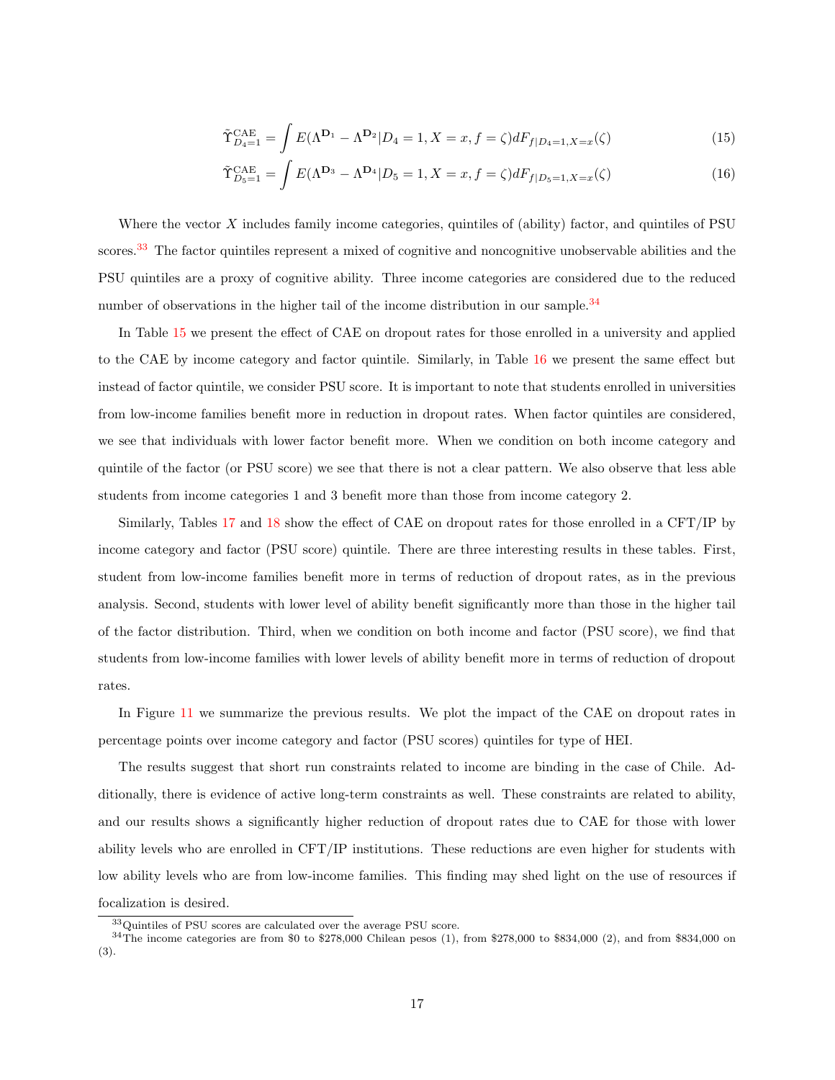$$
\tilde{\Upsilon}_{D_4=1}^{\text{CAE}} = \int E(\Lambda^{D_1} - \Lambda^{D_2} | D_4 = 1, X = x, f = \zeta) dF_{f|D_4=1, X=x}(\zeta)
$$
\n(15)

$$
\tilde{\Upsilon}_{D_5=1}^{\text{CAE}} = \int E(\Lambda^{\mathbf{D}_3} - \Lambda^{\mathbf{D}_4} | D_5 = 1, X = x, f = \zeta) dF_{f|D_5=1, X=x}(\zeta)
$$
\n(16)

Where the vector  $X$  includes family income categories, quintiles of (ability) factor, and quintiles of PSU scores.<sup>[33](#page-16-0)</sup> The factor quintiles represent a mixed of cognitive and noncognitive unobservable abilities and the PSU quintiles are a proxy of cognitive ability. Three income categories are considered due to the reduced number of observations in the higher tail of the income distribution in our sample.<sup>[34](#page-16-1)</sup>

In Table [15](#page-31-2) we present the effect of CAE on dropout rates for those enrolled in a university and applied to the CAE by income category and factor quintile. Similarly, in Table [16](#page-32-0) we present the same effect but instead of factor quintile, we consider PSU score. It is important to note that students enrolled in universities from low-income families benefit more in reduction in dropout rates. When factor quintiles are considered, we see that individuals with lower factor benefit more. When we condition on both income category and quintile of the factor (or PSU score) we see that there is not a clear pattern. We also observe that less able students from income categories 1 and 3 benefit more than those from income category 2.

Similarly, Tables [17](#page-32-1) and [18](#page-32-2) show the effect of CAE on dropout rates for those enrolled in a CFT/IP by income category and factor (PSU score) quintile. There are three interesting results in these tables. First, student from low-income families benefit more in terms of reduction of dropout rates, as in the previous analysis. Second, students with lower level of ability benefit significantly more than those in the higher tail of the factor distribution. Third, when we condition on both income and factor (PSU score), we find that students from low-income families with lower levels of ability benefit more in terms of reduction of dropout rates.

In Figure [11](#page-39-0) we summarize the previous results. We plot the impact of the CAE on dropout rates in percentage points over income category and factor (PSU scores) quintiles for type of HEI.

The results suggest that short run constraints related to income are binding in the case of Chile. Additionally, there is evidence of active long-term constraints as well. These constraints are related to ability, and our results shows a significantly higher reduction of dropout rates due to CAE for those with lower ability levels who are enrolled in CFT/IP institutions. These reductions are even higher for students with low ability levels who are from low-income families. This finding may shed light on the use of resources if focalization is desired.

<span id="page-16-1"></span><span id="page-16-0"></span><sup>33</sup>Quintiles of PSU scores are calculated over the average PSU score.

 $34$ The income categories are from \$0 to \$278,000 Chilean pesos (1), from \$278,000 to \$834,000 (2), and from \$834,000 on (3).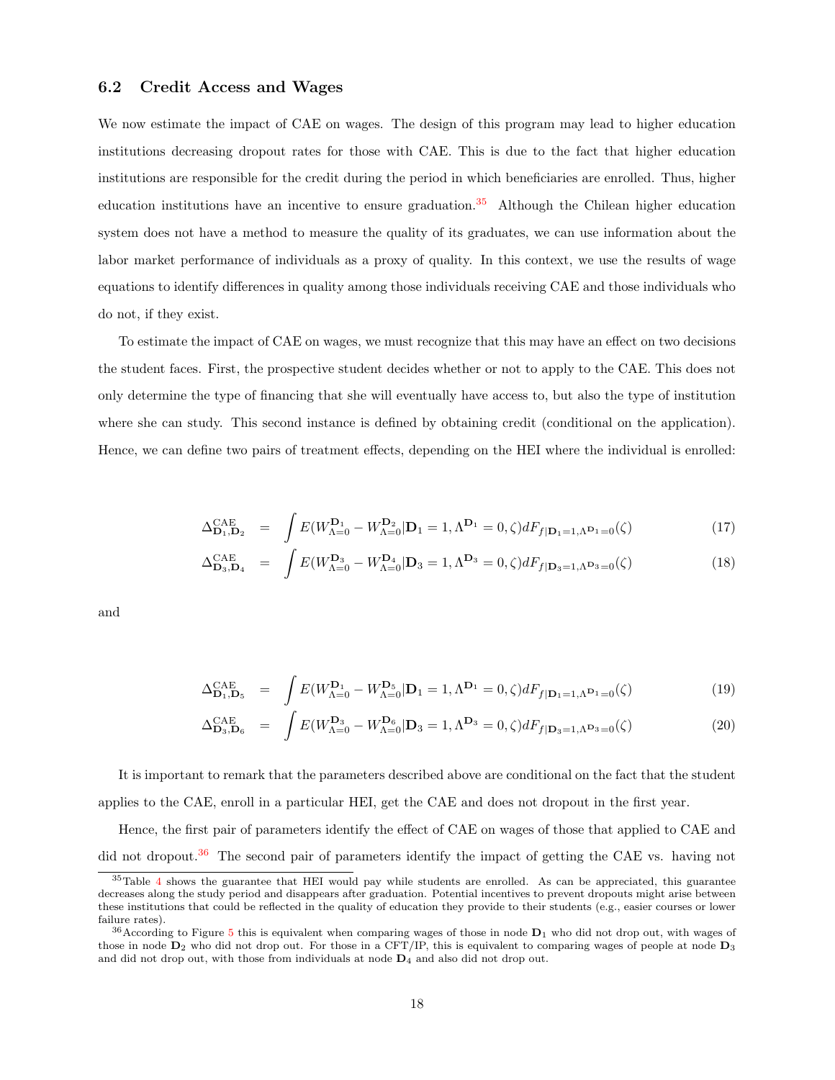#### 6.2 Credit Access and Wages

We now estimate the impact of CAE on wages. The design of this program may lead to higher education institutions decreasing dropout rates for those with CAE. This is due to the fact that higher education institutions are responsible for the credit during the period in which beneficiaries are enrolled. Thus, higher education institutions have an incentive to ensure graduation.<sup>[35](#page-17-0)</sup> Although the Chilean higher education system does not have a method to measure the quality of its graduates, we can use information about the labor market performance of individuals as a proxy of quality. In this context, we use the results of wage equations to identify differences in quality among those individuals receiving CAE and those individuals who do not, if they exist.

To estimate the impact of CAE on wages, we must recognize that this may have an effect on two decisions the student faces. First, the prospective student decides whether or not to apply to the CAE. This does not only determine the type of financing that she will eventually have access to, but also the type of institution where she can study. This second instance is defined by obtaining credit (conditional on the application). Hence, we can define two pairs of treatment effects, depending on the HEI where the individual is enrolled:

$$
\Delta_{\mathbf{D}_1, \mathbf{D}_2}^{\text{CAE}} = \int E(W_{\Lambda=0}^{\mathbf{D}_1} - W_{\Lambda=0}^{\mathbf{D}_2} | \mathbf{D}_1 = 1, \Lambda^{\mathbf{D}_1} = 0, \zeta) dF_{f|\mathbf{D}_1 = 1, \Lambda^{\mathbf{D}_1} = 0}(\zeta)
$$
\n(17)

$$
\Delta_{\mathbf{D}_3,\mathbf{D}_4}^{\mathbf{CAE}} = \int E(W_{\Lambda=0}^{\mathbf{D}_3} - W_{\Lambda=0}^{\mathbf{D}_4} | \mathbf{D}_3 = 1, \Lambda^{\mathbf{D}_3} = 0, \zeta) dF_{f|\mathbf{D}_3 = 1, \Lambda^{\mathbf{D}_3} = 0}(\zeta)
$$
\n(18)

and

$$
\Delta_{\mathbf{D}_1, \mathbf{D}_5}^{\text{CAE}} = \int E(W_{\Lambda=0}^{\mathbf{D}_1} - W_{\Lambda=0}^{\mathbf{D}_5} | \mathbf{D}_1 = 1, \Lambda^{\mathbf{D}_1} = 0, \zeta) dF_{f|\mathbf{D}_1 = 1, \Lambda^{\mathbf{D}_1} = 0}(\zeta)
$$
\n(19)

$$
\Delta_{\mathbf{D}_3,\mathbf{D}_6}^{\text{CAE}} = \int E(W_{\Lambda=0}^{\mathbf{D}_3} - W_{\Lambda=0}^{\mathbf{D}_6} | \mathbf{D}_3 = 1, \Lambda^{\mathbf{D}_3} = 0, \zeta) dF_{f|\mathbf{D}_3 = 1, \Lambda^{\mathbf{D}_3} = 0}(\zeta)
$$
\n(20)

It is important to remark that the parameters described above are conditional on the fact that the student applies to the CAE, enroll in a particular HEI, get the CAE and does not dropout in the first year.

Hence, the first pair of parameters identify the effect of CAE on wages of those that applied to CAE and did not dropout.<sup>[36](#page-17-1)</sup> The second pair of parameters identify the impact of getting the CAE vs. having not

<span id="page-17-0"></span><sup>35</sup>Table [4](#page-24-4) shows the guarantee that HEI would pay while students are enrolled. As can be appreciated, this guarantee decreases along the study period and disappears after graduation. Potential incentives to prevent dropouts might arise between these institutions that could be reflected in the quality of education they provide to their students (e.g., easier courses or lower failure rates).

<span id="page-17-1"></span> $36$ According to Figure [5](#page-35-0) this is equivalent when comparing wages of those in node  $D_1$  who did not drop out, with wages of those in node  $D_2$  who did not drop out. For those in a CFT/IP, this is equivalent to comparing wages of people at node  $D_3$ and did not drop out, with those from individuals at node  $D_4$  and also did not drop out.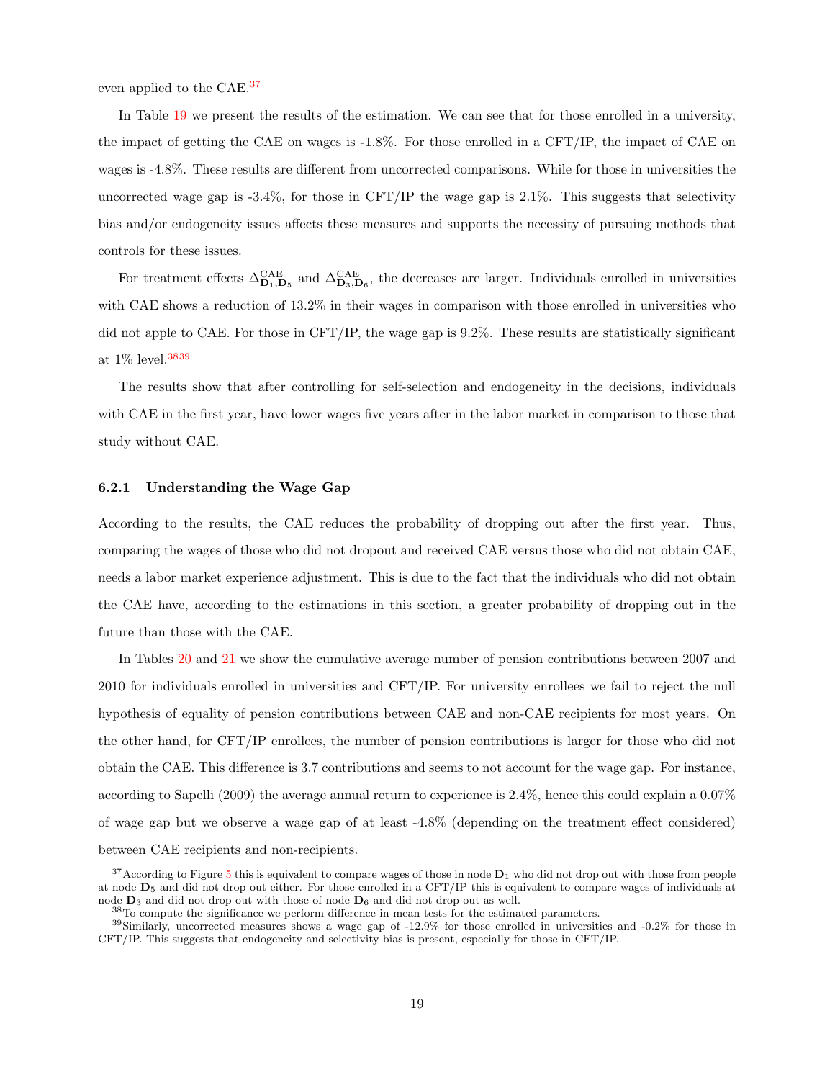even applied to the CAE.[37](#page-18-0)

In Table [19](#page-32-3) we present the results of the estimation. We can see that for those enrolled in a university, the impact of getting the CAE on wages is -1.8%. For those enrolled in a CFT/IP, the impact of CAE on wages is -4.8%. These results are different from uncorrected comparisons. While for those in universities the uncorrected wage gap is  $-3.4\%$ , for those in CFT/IP the wage gap is  $2.1\%$ . This suggests that selectivity bias and/or endogeneity issues affects these measures and supports the necessity of pursuing methods that controls for these issues.

For treatment effects  $\Delta_{\mathbf{D}_1,\mathbf{D}_5}^{\mathbf{CAE}}$  and  $\Delta_{\mathbf{D}_3,\mathbf{D}_6}^{\mathbf{CAE}}$ , the decreases are larger. Individuals enrolled in universities with CAE shows a reduction of  $13.2\%$  in their wages in comparison with those enrolled in universities who did not apple to CAE. For those in CFT/IP, the wage gap is 9.2%. These results are statistically significant at 1% level.[38](#page-18-1)[39](#page-18-2)

The results show that after controlling for self-selection and endogeneity in the decisions, individuals with CAE in the first year, have lower wages five years after in the labor market in comparison to those that study without CAE.

#### 6.2.1 Understanding the Wage Gap

According to the results, the CAE reduces the probability of dropping out after the first year. Thus, comparing the wages of those who did not dropout and received CAE versus those who did not obtain CAE, needs a labor market experience adjustment. This is due to the fact that the individuals who did not obtain the CAE have, according to the estimations in this section, a greater probability of dropping out in the future than those with the CAE.

In Tables [20](#page-33-0) and [21](#page-33-1) we show the cumulative average number of pension contributions between 2007 and 2010 for individuals enrolled in universities and CFT/IP. For university enrollees we fail to reject the null hypothesis of equality of pension contributions between CAE and non-CAE recipients for most years. On the other hand, for CFT/IP enrollees, the number of pension contributions is larger for those who did not obtain the CAE. This difference is 3.7 contributions and seems to not account for the wage gap. For instance, according to Sapelli (2009) the average annual return to experience is 2.4%, hence this could explain a 0.07% of wage gap but we observe a wage gap of at least -4.8% (depending on the treatment effect considered) between CAE recipients and non-recipients.

<span id="page-18-0"></span> $37$ According to Figure [5](#page-35-0) this is equivalent to compare wages of those in node  $D_1$  who did not drop out with those from people at node D<sup>5</sup> and did not drop out either. For those enrolled in a CFT/IP this is equivalent to compare wages of individuals at node  $D_3$  and did not drop out with those of node  $D_6$  and did not drop out as well.

<span id="page-18-2"></span><span id="page-18-1"></span><sup>38</sup>To compute the significance we perform difference in mean tests for the estimated parameters.

 $39$ Similarly, uncorrected measures shows a wage gap of -12.9% for those enrolled in universities and -0.2% for those in CFT/IP. This suggests that endogeneity and selectivity bias is present, especially for those in CFT/IP.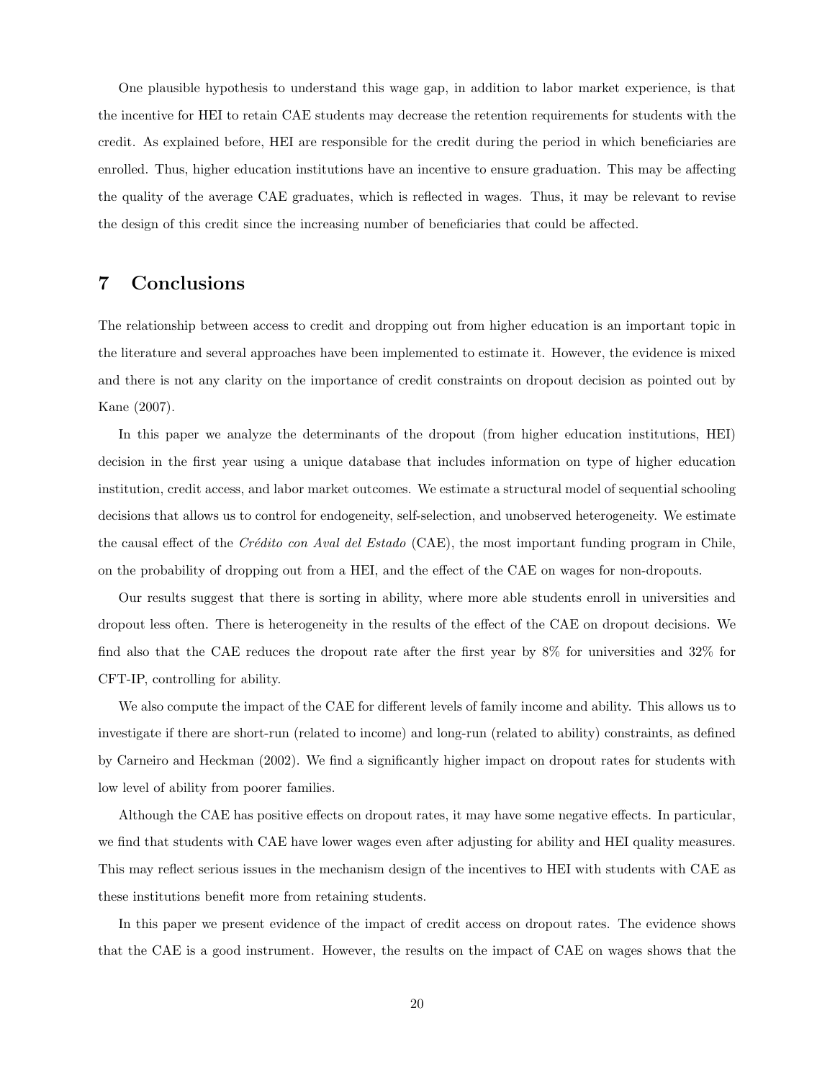One plausible hypothesis to understand this wage gap, in addition to labor market experience, is that the incentive for HEI to retain CAE students may decrease the retention requirements for students with the credit. As explained before, HEI are responsible for the credit during the period in which beneficiaries are enrolled. Thus, higher education institutions have an incentive to ensure graduation. This may be affecting the quality of the average CAE graduates, which is reflected in wages. Thus, it may be relevant to revise the design of this credit since the increasing number of beneficiaries that could be affected.

## <span id="page-19-0"></span>7 Conclusions

The relationship between access to credit and dropping out from higher education is an important topic in the literature and several approaches have been implemented to estimate it. However, the evidence is mixed and there is not any clarity on the importance of credit constraints on dropout decision as pointed out by Kane (2007).

In this paper we analyze the determinants of the dropout (from higher education institutions, HEI) decision in the first year using a unique database that includes information on type of higher education institution, credit access, and labor market outcomes. We estimate a structural model of sequential schooling decisions that allows us to control for endogeneity, self-selection, and unobserved heterogeneity. We estimate the causal effect of the Crédito con Aval del Estado (CAE), the most important funding program in Chile. on the probability of dropping out from a HEI, and the effect of the CAE on wages for non-dropouts.

Our results suggest that there is sorting in ability, where more able students enroll in universities and dropout less often. There is heterogeneity in the results of the effect of the CAE on dropout decisions. We find also that the CAE reduces the dropout rate after the first year by 8% for universities and 32% for CFT-IP, controlling for ability.

We also compute the impact of the CAE for different levels of family income and ability. This allows us to investigate if there are short-run (related to income) and long-run (related to ability) constraints, as defined by Carneiro and Heckman (2002). We find a significantly higher impact on dropout rates for students with low level of ability from poorer families.

Although the CAE has positive effects on dropout rates, it may have some negative effects. In particular, we find that students with CAE have lower wages even after adjusting for ability and HEI quality measures. This may reflect serious issues in the mechanism design of the incentives to HEI with students with CAE as these institutions benefit more from retaining students.

In this paper we present evidence of the impact of credit access on dropout rates. The evidence shows that the CAE is a good instrument. However, the results on the impact of CAE on wages shows that the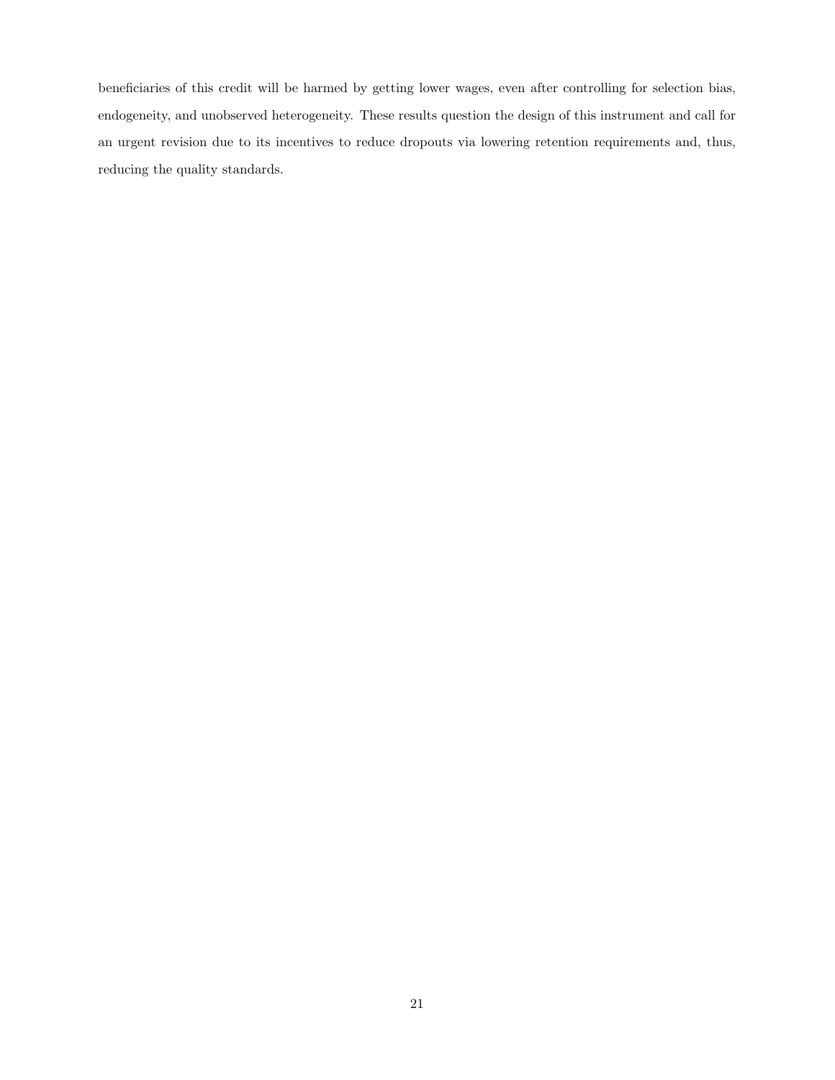beneficiaries of this credit will be harmed by getting lower wages, even after controlling for selection bias, endogeneity, and unobserved heterogeneity. These results question the design of this instrument and call for an urgent revision due to its incentives to reduce dropouts via lowering retention requirements and, thus, reducing the quality standards.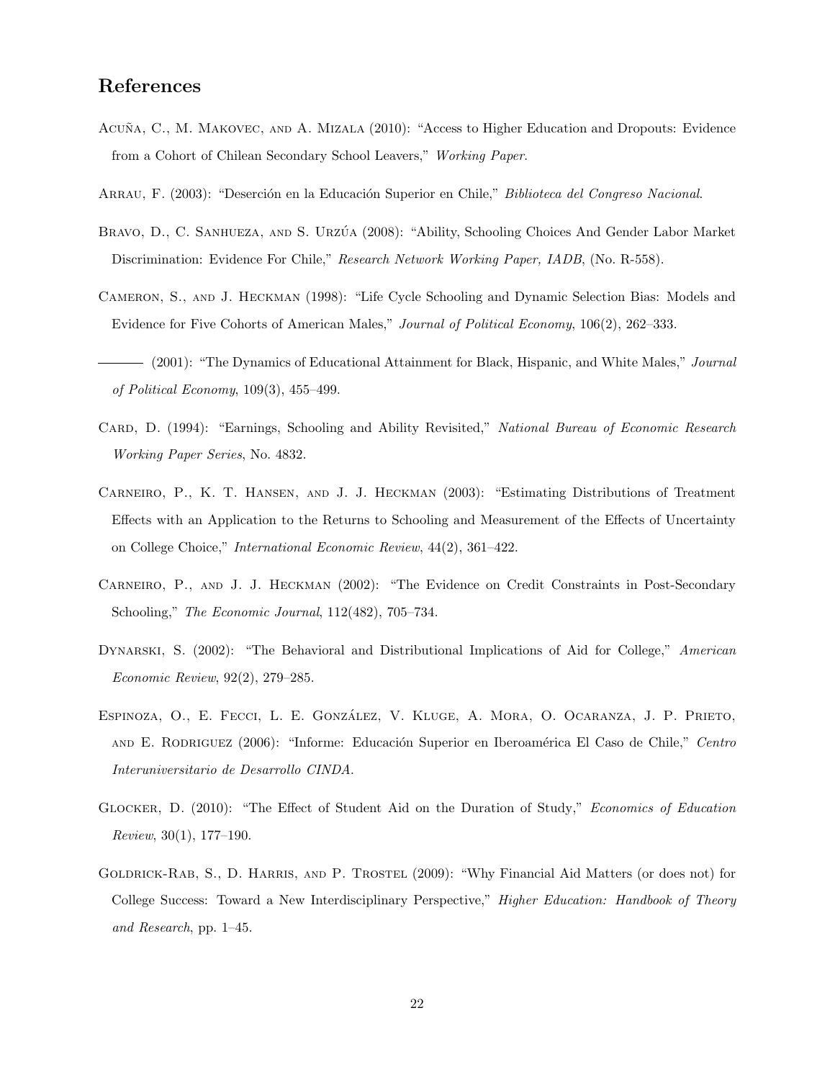## References

- ACUÑA, C., M. MAKOVEC, AND A. MIZALA (2010): "Access to Higher Education and Dropouts: Evidence from a Cohort of Chilean Secondary School Leavers," Working Paper.
- ARRAU, F. (2003): "Deserción en la Educación Superior en Chile," Biblioteca del Congreso Nacional.
- BRAVO, D., C. SANHUEZA, AND S. URZÚA (2008): "Ability, Schooling Choices And Gender Labor Market Discrimination: Evidence For Chile," Research Network Working Paper, IADB, (No. R-558).
- Cameron, S., and J. Heckman (1998): "Life Cycle Schooling and Dynamic Selection Bias: Models and Evidence for Five Cohorts of American Males," Journal of Political Economy, 106(2), 262–333.
- (2001): "The Dynamics of Educational Attainment for Black, Hispanic, and White Males," *Journal* of Political Economy, 109(3), 455–499.
- CARD, D. (1994): "Earnings, Schooling and Ability Revisited," National Bureau of Economic Research Working Paper Series, No. 4832.
- Carneiro, P., K. T. Hansen, and J. J. Heckman (2003): "Estimating Distributions of Treatment Effects with an Application to the Returns to Schooling and Measurement of the Effects of Uncertainty on College Choice," International Economic Review, 44(2), 361–422.
- Carneiro, P., and J. J. Heckman (2002): "The Evidence on Credit Constraints in Post-Secondary Schooling," The Economic Journal, 112(482), 705–734.
- DYNARSKI, S. (2002): "The Behavioral and Distributional Implications of Aid for College," American Economic Review, 92(2), 279–285.
- Espinoza, O., E. Fecci, L. E. Gonzalez, V. Kluge, A. Mora, O. Ocaranza, J. P. Prieto, ´ and E. RODRIGUEZ (2006): "Informe: Educación Superior en Iberoamérica El Caso de Chile," Centro Interuniversitario de Desarrollo CINDA.
- Glocker, D. (2010): "The Effect of Student Aid on the Duration of Study," Economics of Education Review, 30(1), 177–190.
- Goldrick-Rab, S., D. Harris, and P. Trostel (2009): "Why Financial Aid Matters (or does not) for College Success: Toward a New Interdisciplinary Perspective," Higher Education: Handbook of Theory and Research, pp. 1–45.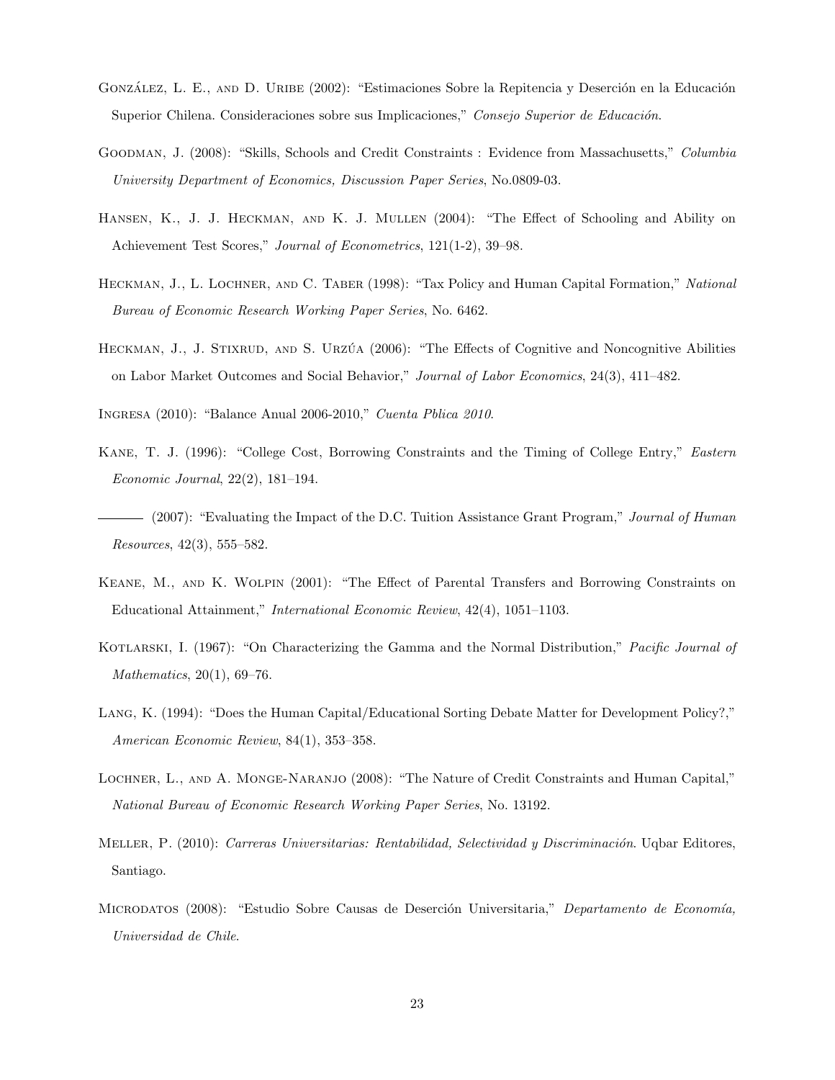- GONZÁLEZ, L. E., AND D. URIBE (2002): "Estimaciones Sobre la Repitencia y Deserción en la Educación Superior Chilena. Consideraciones sobre sus Implicaciones," Consejo Superior de Educación.
- GOODMAN, J. (2008): "Skills, Schools and Credit Constraints : Evidence from Massachusetts," Columbia University Department of Economics, Discussion Paper Series, No.0809-03.
- Hansen, K., J. J. Heckman, and K. J. Mullen (2004): "The Effect of Schooling and Ability on Achievement Test Scores," Journal of Econometrics, 121(1-2), 39–98.
- HECKMAN, J., L. LOCHNER, AND C. TABER (1998): "Tax Policy and Human Capital Formation," National Bureau of Economic Research Working Paper Series, No. 6462.
- HECKMAN, J., J. STIXRUD, AND S. URZÚA (2006): "The Effects of Cognitive and Noncognitive Abilities on Labor Market Outcomes and Social Behavior," Journal of Labor Economics, 24(3), 411–482.

Ingresa (2010): "Balance Anual 2006-2010," Cuenta Pblica 2010.

- Kane, T. J. (1996): "College Cost, Borrowing Constraints and the Timing of College Entry," Eastern Economic Journal, 22(2), 181–194.
- (2007): "Evaluating the Impact of the D.C. Tuition Assistance Grant Program," Journal of Human Resources, 42(3), 555–582.
- Keane, M., and K. Wolpin (2001): "The Effect of Parental Transfers and Borrowing Constraints on Educational Attainment," International Economic Review, 42(4), 1051–1103.
- KOTLARSKI, I. (1967): "On Characterizing the Gamma and the Normal Distribution," Pacific Journal of Mathematics, 20(1), 69–76.
- Lang, K. (1994): "Does the Human Capital/Educational Sorting Debate Matter for Development Policy?," American Economic Review, 84(1), 353–358.
- Lochner, L., and A. Monge-Naranjo (2008): "The Nature of Credit Constraints and Human Capital," National Bureau of Economic Research Working Paper Series, No. 13192.
- MELLER, P. (2010): Carreras Universitarias: Rentabilidad, Selectividad y Discriminación. Uqbar Editores, Santiago.
- MICRODATOS (2008): "Estudio Sobre Causas de Deserción Universitaria," Departamento de Economía, Universidad de Chile.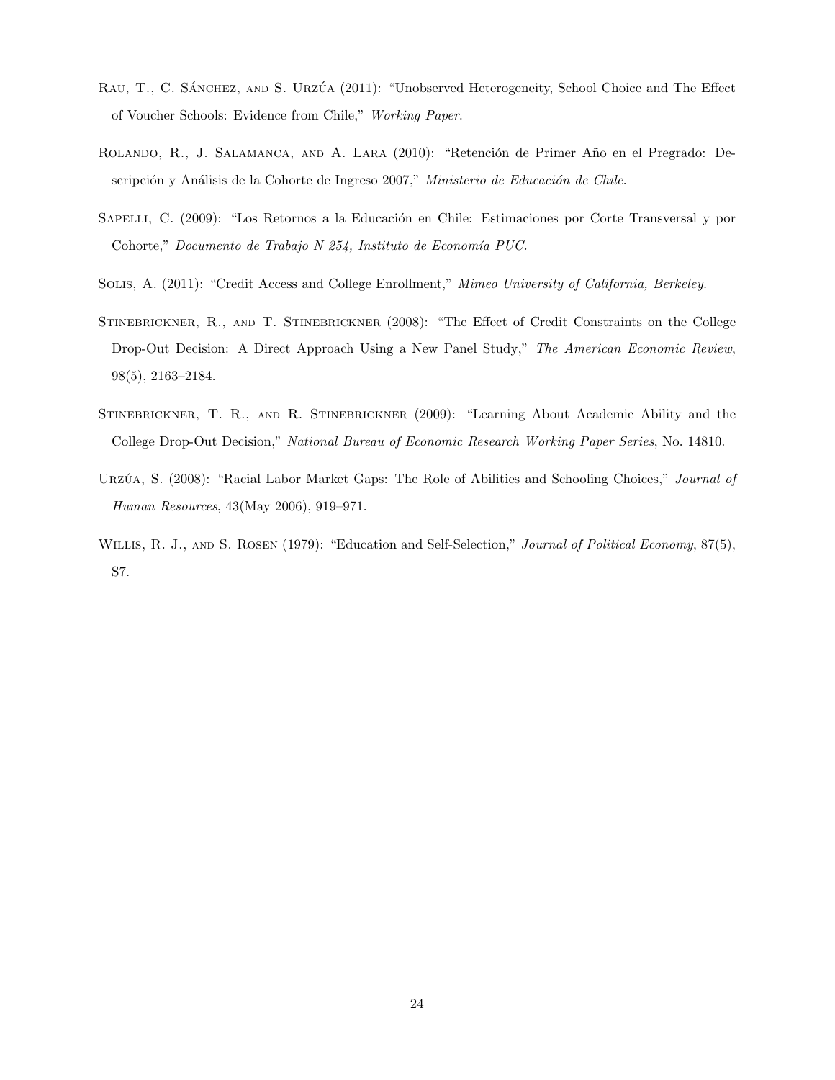- RAU, T., C. SÁNCHEZ, AND S. URZÚA (2011): "Unobserved Heterogeneity, School Choice and The Effect of Voucher Schools: Evidence from Chile," Working Paper.
- ROLANDO, R., J. SALAMANCA, AND A. LARA (2010): "Retención de Primer Año en el Pregrado: Descripción y Análisis de la Cohorte de Ingreso 2007," Ministerio de Educación de Chile.
- SAPELLI, C. (2009): "Los Retornos a la Educación en Chile: Estimaciones por Corte Transversal y por Cohorte," Documento de Trabajo N 254, Instituto de Economía PUC.
- Solis, A. (2011): "Credit Access and College Enrollment," Mimeo University of California, Berkeley.
- Stinebrickner, R., and T. Stinebrickner (2008): "The Effect of Credit Constraints on the College Drop-Out Decision: A Direct Approach Using a New Panel Study," The American Economic Review, 98(5), 2163–2184.
- Stinebrickner, T. R., and R. Stinebrickner (2009): "Learning About Academic Ability and the College Drop-Out Decision," National Bureau of Economic Research Working Paper Series, No. 14810.
- URZÚA, S. (2008): "Racial Labor Market Gaps: The Role of Abilities and Schooling Choices," Journal of Human Resources, 43(May 2006), 919–971.
- WILLIS, R. J., AND S. ROSEN (1979): "Education and Self-Selection," Journal of Political Economy, 87(5), S7.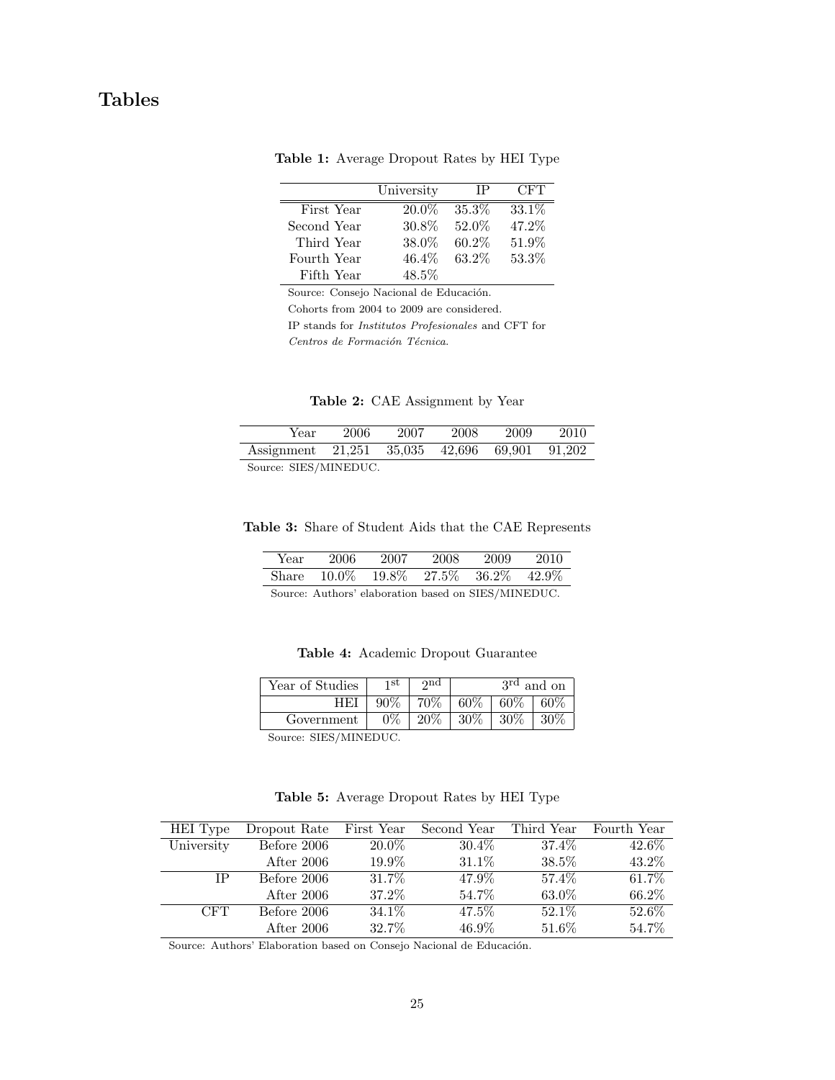## <span id="page-24-2"></span>Tables

|             | University |          | CFT    |
|-------------|------------|----------|--------|
| First Year  | $20.0\%$   | 35.3%    | 33.1\% |
| Second Year | 30.8%      | 52.0%    | 47.2%  |
| Third Year  | 38.0%      | $60.2\%$ | 51.9%  |
| Fourth Year | 46.4\%     | 63.2%    | 53.3%  |
| Fifth Year  | 48.5%      |          |        |

Table 1: Average Dropout Rates by HEI Type

Source: Consejo Nacional de Educación.

Cohorts from 2004 to 2009 are considered.

IP stands for Institutos Profesionales and CFT for Centros de Formación Técnica.

|  |  | Table 2: CAE Assignment by Year |  |  |
|--|--|---------------------------------|--|--|
|--|--|---------------------------------|--|--|

<span id="page-24-0"></span>

| Year                                          | 2006 | 2007 | 2008 | 2009 | 2010 |
|-----------------------------------------------|------|------|------|------|------|
| Assignment 21,251 35,035 42,696 69,901 91,202 |      |      |      |      |      |
| Source: SIES/MINEDUC.                         |      |      |      |      |      |

<span id="page-24-1"></span>Table 3: Share of Student Aids that the CAE Represents

| Year  | 2006 | 2007 | 2008 | 2009                       |          |
|-------|------|------|------|----------------------------|----------|
| Share |      |      |      | $10.0\%$ 19.8% 27.5% 36.2% | $42.9\%$ |

Source: Authors' elaboration based on SIES/MINEDUC.

Table 4: Academic Dropout Guarantee

<span id="page-24-4"></span>

| Year of Studies                   | 1 St  | $\gamma$ nd |        |        | 3 <sup>rd</sup> and on |
|-----------------------------------|-------|-------------|--------|--------|------------------------|
|                                   | 90%   | 70%         | 60%    | $60\%$ | 60%                    |
| Government                        | $0\%$ | $20\%$      | $30\%$ | $30\%$ | $30\%$                 |
| S <sub>ourco</sub> . CIEC/MINEDHC |       |             |        |        |                        |

Source: SIES/MINEDUC.

Table 5: Average Dropout Rates by HEI Type

<span id="page-24-3"></span>

| HEI Type   | Dropout Rate | First Year | Second Year | Third Year | Fourth Year |
|------------|--------------|------------|-------------|------------|-------------|
| University | Before 2006  | 20.0%      | $30.4\%$    | 37.4%      | 42.6%       |
|            | After 2006   | 19.9%      | 31.1%       | 38.5%      | 43.2%       |
| IΡ         | Before 2006  | 31.7\%     | 47.9%       | 57.4%      | 61.7%       |
|            | After 2006   | 37.2%      | 54.7%       | 63.0%      | 66.2%       |
| <b>CFT</b> | Before 2006  | 34.1\%     | 47.5%       | 52.1\%     | 52.6%       |
|            | After $2006$ | 32.7%      | 46.9%       | 51.6%      | 54.7%       |

Source: Authors' Elaboration based on Consejo Nacional de Educación.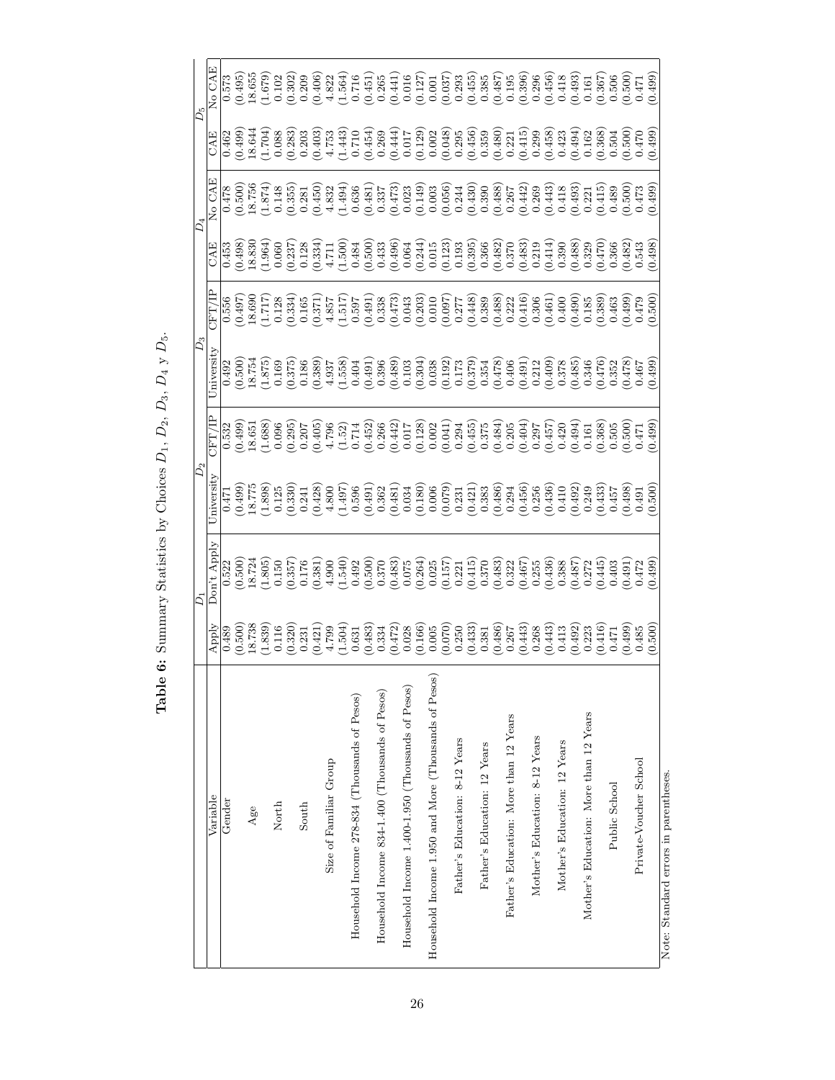<span id="page-25-0"></span>

|                                                      |                                                                                                                                                                                                                                                                                                                                   | Ď,                                                                                                                                                                                                                                                                                                   | $D_2$                                           |                                 | $D_3$                                                 |                                                                                                                                                                                                                                                             |                       | D,      |                                                                                                                                                                                                                                                                                                                                                                                                                 | Ďs                                                                                                                                                                                                                                                                                                             |
|------------------------------------------------------|-----------------------------------------------------------------------------------------------------------------------------------------------------------------------------------------------------------------------------------------------------------------------------------------------------------------------------------|------------------------------------------------------------------------------------------------------------------------------------------------------------------------------------------------------------------------------------------------------------------------------------------------------|-------------------------------------------------|---------------------------------|-------------------------------------------------------|-------------------------------------------------------------------------------------------------------------------------------------------------------------------------------------------------------------------------------------------------------------|-----------------------|---------|-----------------------------------------------------------------------------------------------------------------------------------------------------------------------------------------------------------------------------------------------------------------------------------------------------------------------------------------------------------------------------------------------------------------|----------------------------------------------------------------------------------------------------------------------------------------------------------------------------------------------------------------------------------------------------------------------------------------------------------------|
| Variable                                             | $_{\rm Apply}$                                                                                                                                                                                                                                                                                                                    | Don't Apply                                                                                                                                                                                                                                                                                          | Jniversity                                      | FT/IP                           | niversity                                             | CFT/IP                                                                                                                                                                                                                                                      | CAE                   | No CAE  | E<br>AE                                                                                                                                                                                                                                                                                                                                                                                                         | No CAE                                                                                                                                                                                                                                                                                                         |
| Gender                                               | 0.489                                                                                                                                                                                                                                                                                                                             | 0.522                                                                                                                                                                                                                                                                                                | 0.471                                           | 0.532                           | 0.492                                                 | 0.556                                                                                                                                                                                                                                                       | 0.453                 | 0.478   | 0.462                                                                                                                                                                                                                                                                                                                                                                                                           | 0.573                                                                                                                                                                                                                                                                                                          |
|                                                      | (0.500)                                                                                                                                                                                                                                                                                                                           | (0.500)                                                                                                                                                                                                                                                                                              | (0.499)                                         | (0.499)                         | (0.500)                                               | $(0.497)$<br>18.690                                                                                                                                                                                                                                         |                       |         | (0.499)                                                                                                                                                                                                                                                                                                                                                                                                         | (0.495)                                                                                                                                                                                                                                                                                                        |
| Age                                                  | 18.738                                                                                                                                                                                                                                                                                                                            | 18.724                                                                                                                                                                                                                                                                                               | 18.775                                          | 18.651                          |                                                       |                                                                                                                                                                                                                                                             |                       |         |                                                                                                                                                                                                                                                                                                                                                                                                                 | 18.655                                                                                                                                                                                                                                                                                                         |
|                                                      | (1.839)                                                                                                                                                                                                                                                                                                                           | (1.805)                                                                                                                                                                                                                                                                                              | $\begin{array}{c} (1.898) \\ 0.125 \end{array}$ |                                 |                                                       |                                                                                                                                                                                                                                                             |                       |         |                                                                                                                                                                                                                                                                                                                                                                                                                 |                                                                                                                                                                                                                                                                                                                |
| North                                                |                                                                                                                                                                                                                                                                                                                                   | 0.150                                                                                                                                                                                                                                                                                                |                                                 |                                 |                                                       |                                                                                                                                                                                                                                                             |                       |         |                                                                                                                                                                                                                                                                                                                                                                                                                 |                                                                                                                                                                                                                                                                                                                |
|                                                      |                                                                                                                                                                                                                                                                                                                                   | (0.357)                                                                                                                                                                                                                                                                                              |                                                 |                                 | $\frac{18.754}{(1.875)}$<br>$\frac{(1.875)}{(0.169)}$ |                                                                                                                                                                                                                                                             |                       |         |                                                                                                                                                                                                                                                                                                                                                                                                                 |                                                                                                                                                                                                                                                                                                                |
| South                                                |                                                                                                                                                                                                                                                                                                                                   |                                                                                                                                                                                                                                                                                                      |                                                 |                                 |                                                       |                                                                                                                                                                                                                                                             |                       |         |                                                                                                                                                                                                                                                                                                                                                                                                                 |                                                                                                                                                                                                                                                                                                                |
|                                                      |                                                                                                                                                                                                                                                                                                                                   |                                                                                                                                                                                                                                                                                                      |                                                 |                                 |                                                       |                                                                                                                                                                                                                                                             |                       |         |                                                                                                                                                                                                                                                                                                                                                                                                                 |                                                                                                                                                                                                                                                                                                                |
| Size of Familiar Group                               |                                                                                                                                                                                                                                                                                                                                   |                                                                                                                                                                                                                                                                                                      |                                                 |                                 |                                                       |                                                                                                                                                                                                                                                             |                       |         |                                                                                                                                                                                                                                                                                                                                                                                                                 |                                                                                                                                                                                                                                                                                                                |
|                                                      | $\begin{smallmatrix} 6 & 116 & 0 \\ 0 & 320 & 0 \\ 0 & 0 & 420 & 0 \\ 0 & 0 & 0 & 44 \\ 0 & 0 & 0 & 0 \\ 0 & 0 & 0 & 0 \\ 0 & 0 & 0 & 0 \\ 0 & 0 & 0 & 0 \\ 0 & 0 & 0 & 0 \\ 0 & 0 & 0 & 0 \\ 0 & 0 & 0 & 0 \\ 0 & 0 & 0 & 0 \\ 0 & 0 & 0 & 0 \\ 0 & 0 & 0 & 0 \\ 0 & 0 & 0 & 0 \\ 0 & 0 & 0 & 0 \\ 0 & 0 & 0 & 0 \\ 0 & 0 & 0 &$ | $\begin{array}{l} (178.3)\\ (278.3)\\ (38.4)\\ (49.4)\\ (50.5)\\ (60.4)\\ (60.6)\\ (60.6)\\ (60.6)\\ (60.6)\\ (60.6)\\ (60.6)\\ (60.6)\\ (60.6)\\ (60.6)\\ (60.6)\\ (60.6)\\ (60.6)\\ (60.6)\\ (60.6)\\ (60.6)\\ (60.6)\\ (60.6)\\ (60.6)\\ (60.6)\\ (60.6)\\ (60.6)\\ (60.6)\\ (60.6)\\ (60.6)\\ ($ |                                                 |                                 |                                                       | $\begin{smallmatrix} 111&12&8&7\\ 11&12&13&15\\ 11&12&15&15\\ 11&12&15&15\\ 11&12&15&15\\ 11&12&15&15\\ 11&12&15&15\\ 11&12&15&15\\ 11&12&15&15\\ 11&12&15&15\\ 11&12&15&15\\ 11&12&15&15\\ 11&12&15&15\\ 11&12&15&15\\ 11&12&15&15\\ 11&12&15&15\\ 11&12&$ |                       |         | $\begin{array}{l} \Xi \to 0 \quad \  \  \, \Xi \to 0 \quad \  \  \, \Xi \to 0 \quad \  \  \, \Xi \to 0 \quad \  \  \, \Xi \to 0 \quad \  \  \, \Xi \to 0 \quad \  \  \, \Xi \to 0 \quad \  \  \, \Xi \to 0 \quad \  \  \, \Xi \to 0 \quad \  \  \, \Xi \to 0 \quad \  \  \, \Xi \to 0 \quad \  \  \, \Xi \to 0 \quad \  \  \, \Xi \to 0 \quad \  \  \, \Xi \to 0 \quad \  \, \Xi \to 0 \quad \  \, \Xi \to 0 \$ | $\begin{array}{l} (5,0)\\ (5,0)\\ (5,0)\\ (5,0)\\ (5,0)\\ (5,0)\\ (5,0)\\ (5,0)\\ (5,0)\\ (5,0)\\ (5,0)\\ (5,0)\\ (5,0)\\ (5,0)\\ (5,0)\\ (5,0)\\ (5,0)\\ (5,0)\\ (5,0)\\ (5,0)\\ (5,0)\\ (5,0)\\ (5,0)\\ (5,0)\\ (5,0)\\ (5,0)\\ (5,0)\\ (5,0)\\ (5,0)\\ (5,0)\\ (5,0)\\ (5,0)\\ (5,0)\\ (5,0)\\ (5,0)\\ (5,$ |
| Household Income 278-834 (Thousands of Pesos)        |                                                                                                                                                                                                                                                                                                                                   |                                                                                                                                                                                                                                                                                                      |                                                 |                                 |                                                       |                                                                                                                                                                                                                                                             |                       |         |                                                                                                                                                                                                                                                                                                                                                                                                                 |                                                                                                                                                                                                                                                                                                                |
|                                                      |                                                                                                                                                                                                                                                                                                                                   |                                                                                                                                                                                                                                                                                                      |                                                 |                                 |                                                       |                                                                                                                                                                                                                                                             |                       |         |                                                                                                                                                                                                                                                                                                                                                                                                                 |                                                                                                                                                                                                                                                                                                                |
| Household Income 834-1.400 (Thousands of Pesos)      |                                                                                                                                                                                                                                                                                                                                   |                                                                                                                                                                                                                                                                                                      |                                                 |                                 |                                                       |                                                                                                                                                                                                                                                             |                       |         |                                                                                                                                                                                                                                                                                                                                                                                                                 |                                                                                                                                                                                                                                                                                                                |
|                                                      |                                                                                                                                                                                                                                                                                                                                   |                                                                                                                                                                                                                                                                                                      |                                                 |                                 |                                                       |                                                                                                                                                                                                                                                             |                       |         |                                                                                                                                                                                                                                                                                                                                                                                                                 |                                                                                                                                                                                                                                                                                                                |
| Household Income 1.400-1.950 (Thousands of Pesos)    |                                                                                                                                                                                                                                                                                                                                   |                                                                                                                                                                                                                                                                                                      |                                                 |                                 |                                                       |                                                                                                                                                                                                                                                             |                       |         |                                                                                                                                                                                                                                                                                                                                                                                                                 |                                                                                                                                                                                                                                                                                                                |
|                                                      |                                                                                                                                                                                                                                                                                                                                   |                                                                                                                                                                                                                                                                                                      |                                                 |                                 |                                                       |                                                                                                                                                                                                                                                             |                       |         |                                                                                                                                                                                                                                                                                                                                                                                                                 |                                                                                                                                                                                                                                                                                                                |
| Household Income 1.950 and More (Thousands of Pesos) |                                                                                                                                                                                                                                                                                                                                   |                                                                                                                                                                                                                                                                                                      |                                                 |                                 |                                                       |                                                                                                                                                                                                                                                             |                       |         |                                                                                                                                                                                                                                                                                                                                                                                                                 |                                                                                                                                                                                                                                                                                                                |
|                                                      |                                                                                                                                                                                                                                                                                                                                   |                                                                                                                                                                                                                                                                                                      |                                                 |                                 |                                                       |                                                                                                                                                                                                                                                             |                       |         |                                                                                                                                                                                                                                                                                                                                                                                                                 |                                                                                                                                                                                                                                                                                                                |
| Father's Education: 8-12 Years                       |                                                                                                                                                                                                                                                                                                                                   |                                                                                                                                                                                                                                                                                                      |                                                 |                                 |                                                       |                                                                                                                                                                                                                                                             |                       |         |                                                                                                                                                                                                                                                                                                                                                                                                                 |                                                                                                                                                                                                                                                                                                                |
|                                                      |                                                                                                                                                                                                                                                                                                                                   |                                                                                                                                                                                                                                                                                                      |                                                 |                                 |                                                       |                                                                                                                                                                                                                                                             |                       |         |                                                                                                                                                                                                                                                                                                                                                                                                                 |                                                                                                                                                                                                                                                                                                                |
| Father's Education: 12 Years                         |                                                                                                                                                                                                                                                                                                                                   |                                                                                                                                                                                                                                                                                                      |                                                 |                                 |                                                       |                                                                                                                                                                                                                                                             |                       |         |                                                                                                                                                                                                                                                                                                                                                                                                                 |                                                                                                                                                                                                                                                                                                                |
|                                                      |                                                                                                                                                                                                                                                                                                                                   |                                                                                                                                                                                                                                                                                                      |                                                 |                                 |                                                       |                                                                                                                                                                                                                                                             |                       |         |                                                                                                                                                                                                                                                                                                                                                                                                                 |                                                                                                                                                                                                                                                                                                                |
| Father's Education: More than 12 Years               |                                                                                                                                                                                                                                                                                                                                   |                                                                                                                                                                                                                                                                                                      |                                                 |                                 |                                                       |                                                                                                                                                                                                                                                             |                       |         |                                                                                                                                                                                                                                                                                                                                                                                                                 |                                                                                                                                                                                                                                                                                                                |
|                                                      |                                                                                                                                                                                                                                                                                                                                   |                                                                                                                                                                                                                                                                                                      |                                                 |                                 |                                                       |                                                                                                                                                                                                                                                             |                       |         |                                                                                                                                                                                                                                                                                                                                                                                                                 |                                                                                                                                                                                                                                                                                                                |
| Mother's Education: 8-12 Years                       |                                                                                                                                                                                                                                                                                                                                   |                                                                                                                                                                                                                                                                                                      |                                                 |                                 |                                                       |                                                                                                                                                                                                                                                             |                       |         |                                                                                                                                                                                                                                                                                                                                                                                                                 |                                                                                                                                                                                                                                                                                                                |
|                                                      |                                                                                                                                                                                                                                                                                                                                   |                                                                                                                                                                                                                                                                                                      |                                                 |                                 |                                                       |                                                                                                                                                                                                                                                             |                       |         |                                                                                                                                                                                                                                                                                                                                                                                                                 |                                                                                                                                                                                                                                                                                                                |
| Mother's Education: 12 Years                         |                                                                                                                                                                                                                                                                                                                                   |                                                                                                                                                                                                                                                                                                      |                                                 |                                 |                                                       |                                                                                                                                                                                                                                                             |                       |         |                                                                                                                                                                                                                                                                                                                                                                                                                 |                                                                                                                                                                                                                                                                                                                |
|                                                      | $\begin{array}{c} (0.492) \\ 0.223 \end{array}$                                                                                                                                                                                                                                                                                   | $\begin{array}{c} (0.487) \\ 0.272 \\ 0.445) \\ 0.445 \end{array}$                                                                                                                                                                                                                                   |                                                 |                                 |                                                       |                                                                                                                                                                                                                                                             |                       |         |                                                                                                                                                                                                                                                                                                                                                                                                                 |                                                                                                                                                                                                                                                                                                                |
| Mother's Education: More than 12 Years               |                                                                                                                                                                                                                                                                                                                                   |                                                                                                                                                                                                                                                                                                      |                                                 |                                 |                                                       |                                                                                                                                                                                                                                                             |                       |         |                                                                                                                                                                                                                                                                                                                                                                                                                 |                                                                                                                                                                                                                                                                                                                |
|                                                      | (0.416)                                                                                                                                                                                                                                                                                                                           |                                                                                                                                                                                                                                                                                                      |                                                 |                                 |                                                       |                                                                                                                                                                                                                                                             |                       |         |                                                                                                                                                                                                                                                                                                                                                                                                                 |                                                                                                                                                                                                                                                                                                                |
| Public School                                        | 0.471                                                                                                                                                                                                                                                                                                                             |                                                                                                                                                                                                                                                                                                      |                                                 |                                 |                                                       |                                                                                                                                                                                                                                                             |                       |         | 0.504                                                                                                                                                                                                                                                                                                                                                                                                           |                                                                                                                                                                                                                                                                                                                |
|                                                      | (665.0)                                                                                                                                                                                                                                                                                                                           | (0.491)                                                                                                                                                                                                                                                                                              |                                                 |                                 | (827.0)                                               |                                                                                                                                                                                                                                                             | $\frac{0.482}{0.543}$ |         | $(0.500)$<br>0.470                                                                                                                                                                                                                                                                                                                                                                                              |                                                                                                                                                                                                                                                                                                                |
| Private-Voucher School                               | 0.485                                                                                                                                                                                                                                                                                                                             | 0.472                                                                                                                                                                                                                                                                                                |                                                 | $(66500)$<br>$11700$<br>$10050$ |                                                       |                                                                                                                                                                                                                                                             |                       |         |                                                                                                                                                                                                                                                                                                                                                                                                                 |                                                                                                                                                                                                                                                                                                                |
|                                                      | (0.500)                                                                                                                                                                                                                                                                                                                           | (665.0)                                                                                                                                                                                                                                                                                              | (0.500)                                         |                                 | (6.499)                                               | (0.500)                                                                                                                                                                                                                                                     | (864, 0)              | (665.0) | (664.0)                                                                                                                                                                                                                                                                                                                                                                                                         | (664.0)                                                                                                                                                                                                                                                                                                        |
| Note: Standard errors in parentheses.                |                                                                                                                                                                                                                                                                                                                                   |                                                                                                                                                                                                                                                                                                      |                                                 |                                 |                                                       |                                                                                                                                                                                                                                                             |                       |         |                                                                                                                                                                                                                                                                                                                                                                                                                 |                                                                                                                                                                                                                                                                                                                |

Table 6: Summary Statistics by Choices  $D_1, D_2, D_3, D_4$  y  $D_5$ . **Table 6:** Summary Statistics by Choices  $D_1, D_2, D_3, D_4$  y  $D_5$ .

26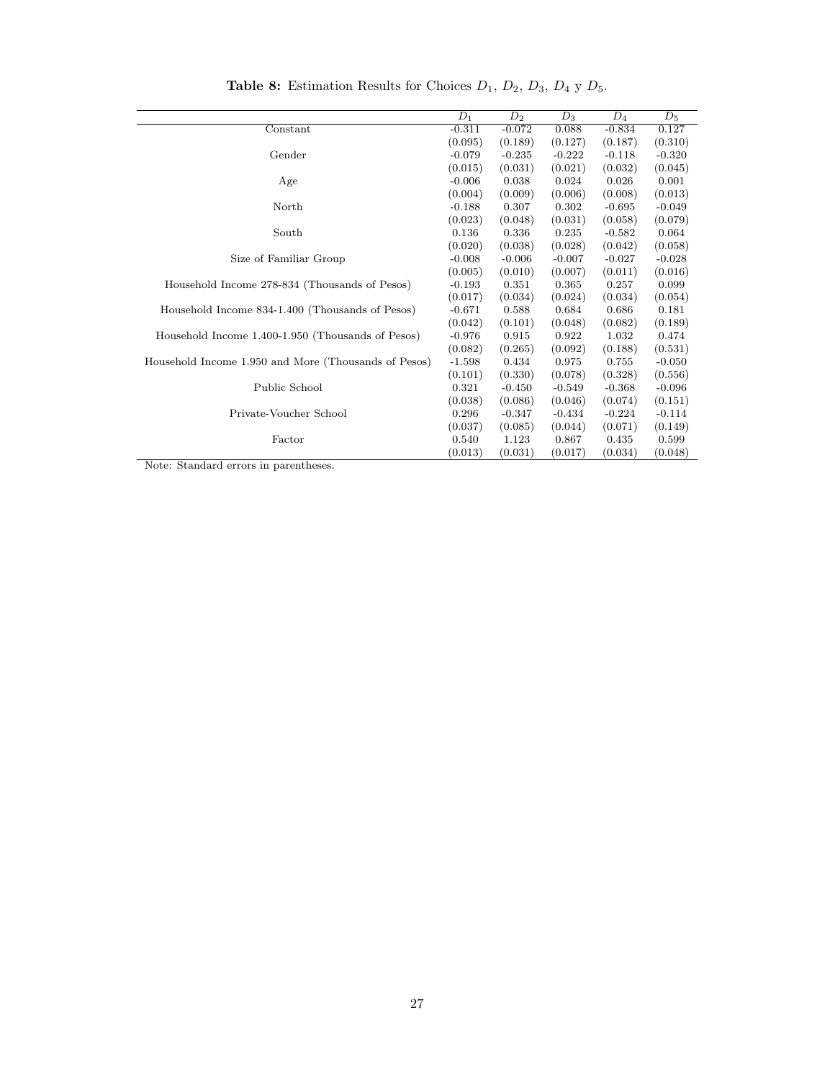<span id="page-26-0"></span>

|                                                      | $D_1$    | $D_2$    | $D_3$    | $D_4$    | $\overline{D}_5$ |
|------------------------------------------------------|----------|----------|----------|----------|------------------|
| Constant                                             | $-0.311$ | $-0.072$ | 0.088    | $-0.834$ | 0.127            |
|                                                      | (0.095)  | (0.189)  | (0.127)  | (0.187)  | (0.310)          |
| Gender                                               | $-0.079$ | $-0.235$ | $-0.222$ | $-0.118$ | $-0.320$         |
|                                                      | (0.015)  | (0.031)  | (0.021)  | (0.032)  | (0.045)          |
| Age                                                  | $-0.006$ | 0.038    | 0.024    | 0.026    | 0.001            |
|                                                      |          | (0.009)  | (0.006)  | (0.008)  | (0.013)          |
|                                                      | (0.004)  |          |          |          |                  |
| North                                                | $-0.188$ | 0.307    | 0.302    | $-0.695$ | $-0.049$         |
|                                                      | (0.023)  | (0.048)  | (0.031)  | (0.058)  | (0.079)          |
| South                                                | 0.136    | 0.336    | 0.235    | $-0.582$ | 0.064            |
|                                                      | (0.020)  | (0.038)  | (0.028)  | (0.042)  | (0.058)          |
| Size of Familiar Group                               | $-0.008$ | $-0.006$ | $-0.007$ | $-0.027$ | $-0.028$         |
|                                                      | (0.005)  | (0.010)  | (0.007)  | (0.011)  | (0.016)          |
| Household Income 278-834 (Thousands of Pesos)        | $-0.193$ | 0.351    | 0.365    | 0.257    | 0.099            |
|                                                      | (0.017)  | (0.034)  | (0.024)  | (0.034)  | (0.054)          |
| Household Income 834-1.400 (Thousands of Pesos)      | $-0.671$ | 0.588    | 0.684    | 0.686    | 0.181            |
|                                                      | (0.042)  | (0.101)  | (0.048)  | (0.082)  | (0.189)          |
| Household Income 1.400-1.950 (Thousands of Pesos)    | $-0.976$ | 0.915    | 0.922    | 1.032    | 0.474            |
|                                                      | (0.082)  | (0.265)  | (0.092)  | (0.188)  | (0.531)          |
| Household Income 1.950 and More (Thousands of Pesos) | $-1.598$ | 0.434    | 0.975    | 0.755    | $-0.050$         |
|                                                      | (0.101)  | (0.330)  | (0.078)  | (0.328)  | (0.556)          |
| Public School                                        | 0.321    | $-0.450$ | $-0.549$ | $-0.368$ | $-0.096$         |
|                                                      | (0.038)  | (0.086)  | (0.046)  | (0.074)  | (0.151)          |
| Private-Voucher School                               | 0.296    | $-0.347$ | $-0.434$ | $-0.224$ | $-0.114$         |
|                                                      | (0.037)  | (0.085)  | (0.044)  | (0.071)  | (0.149)          |
| Factor                                               | 0.540    | 1.123    | 0.867    | 0.435    | 0.599            |
|                                                      | (0.013)  | (0.031)  | (0.017)  | (0.034)  | (0.048)          |
|                                                      |          |          |          |          |                  |

**Table 8:** Estimation Results for Choices  $D_1$ ,  $D_2$ ,  $D_3$ ,  $D_4$  y  $D_5$ .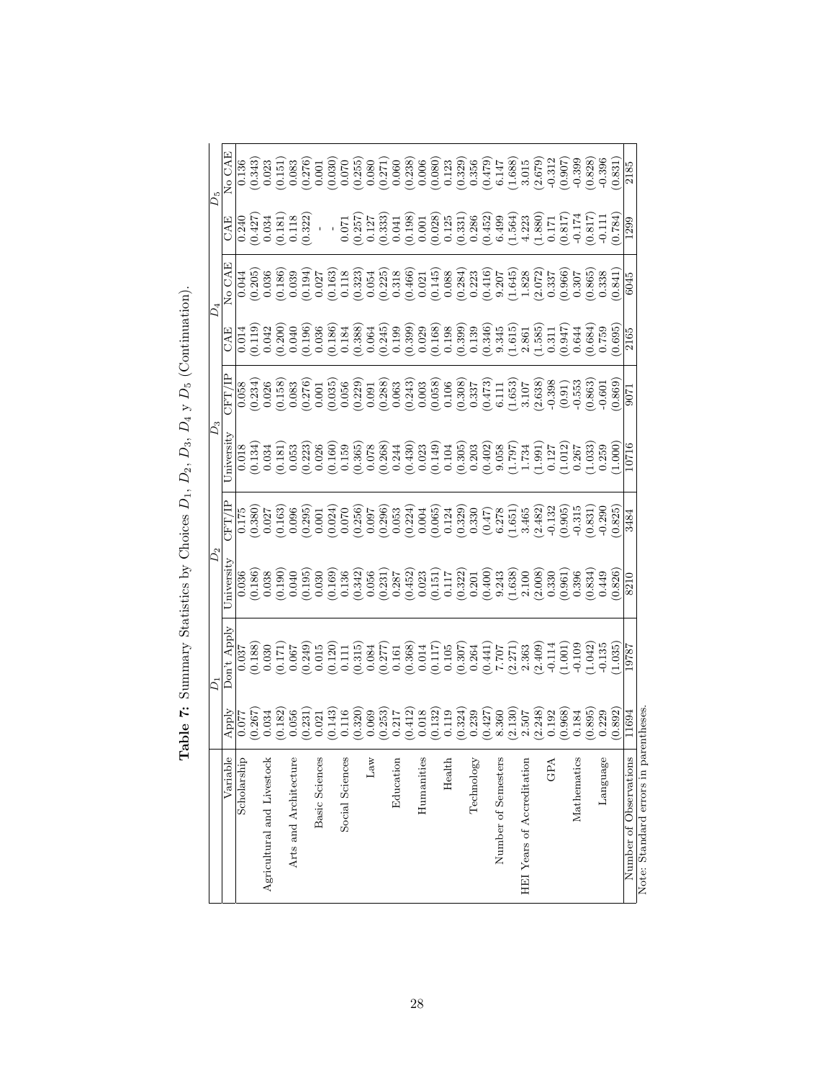<span id="page-27-0"></span>

|                                       |                                                 | ς                                                                                                                                                                                                                                                                   | $D_{2}$                                                   |                                                                                                  | $D_3$      |                                                                                                                                                                                                                                                                                                         |       | $D_4$                                                                                                                                                                                                                                                                                                                                                                                                                                                          |                                                                                                                                                                                                                                                                                                     | $D_5$                                                                                                                                                                                                                                                                                             |
|---------------------------------------|-------------------------------------------------|---------------------------------------------------------------------------------------------------------------------------------------------------------------------------------------------------------------------------------------------------------------------|-----------------------------------------------------------|--------------------------------------------------------------------------------------------------|------------|---------------------------------------------------------------------------------------------------------------------------------------------------------------------------------------------------------------------------------------------------------------------------------------------------------|-------|----------------------------------------------------------------------------------------------------------------------------------------------------------------------------------------------------------------------------------------------------------------------------------------------------------------------------------------------------------------------------------------------------------------------------------------------------------------|-----------------------------------------------------------------------------------------------------------------------------------------------------------------------------------------------------------------------------------------------------------------------------------------------------|---------------------------------------------------------------------------------------------------------------------------------------------------------------------------------------------------------------------------------------------------------------------------------------------------|
| Variable                              | Apply                                           | Don't Apply                                                                                                                                                                                                                                                         | niversity                                                 |                                                                                                  | Iniversity |                                                                                                                                                                                                                                                                                                         | CAE   | No CAE                                                                                                                                                                                                                                                                                                                                                                                                                                                         | CAE                                                                                                                                                                                                                                                                                                 | No CAE                                                                                                                                                                                                                                                                                            |
| Scholarship                           | 0.077                                           | 0.037                                                                                                                                                                                                                                                               | 0.036                                                     |                                                                                                  | 0.018      | 0.058                                                                                                                                                                                                                                                                                                   |       | 0.044                                                                                                                                                                                                                                                                                                                                                                                                                                                          | 0.240                                                                                                                                                                                                                                                                                               |                                                                                                                                                                                                                                                                                                   |
|                                       | $\frac{0.267}{0.034}$                           | $\begin{array}{c} (0.188) \\ 0.030 \end{array}$                                                                                                                                                                                                                     |                                                           | $\begin{array}{c} 0.175 \\ 0.380 \end{array}$<br>0.027                                           |            | $(0.234)$<br>0.026                                                                                                                                                                                                                                                                                      |       | $\begin{array}{c} (0.205) \\ 0.036 \end{array}$                                                                                                                                                                                                                                                                                                                                                                                                                | $\frac{0.427}{0.034}$                                                                                                                                                                                                                                                                               | (0.343)                                                                                                                                                                                                                                                                                           |
| Agricultural and Livestock            |                                                 |                                                                                                                                                                                                                                                                     |                                                           |                                                                                                  |            |                                                                                                                                                                                                                                                                                                         |       |                                                                                                                                                                                                                                                                                                                                                                                                                                                                |                                                                                                                                                                                                                                                                                                     | 0.023                                                                                                                                                                                                                                                                                             |
|                                       | $\begin{array}{c} (0.182) \\ 0.056 \end{array}$ | $\frac{171}{171.0}$                                                                                                                                                                                                                                                 |                                                           | (0.163)                                                                                          |            | $\begin{array}{c} (0.158) \\ 0.083 \\ 0.276) \\ 0.01 \end{array}$                                                                                                                                                                                                                                       |       | (0.186)                                                                                                                                                                                                                                                                                                                                                                                                                                                        | 0.181)<br>0.118<br>0.322                                                                                                                                                                                                                                                                            | (0.151)                                                                                                                                                                                                                                                                                           |
| Arts and Architecture                 |                                                 |                                                                                                                                                                                                                                                                     |                                                           | 0.096                                                                                            |            |                                                                                                                                                                                                                                                                                                         |       | 0.039                                                                                                                                                                                                                                                                                                                                                                                                                                                          |                                                                                                                                                                                                                                                                                                     | 0.083                                                                                                                                                                                                                                                                                             |
|                                       | $\frac{0.231}{0.021}$                           | $\begin{array}{c} (0.249) \\ 0.015 \end{array}$                                                                                                                                                                                                                     |                                                           | (0.295)                                                                                          |            |                                                                                                                                                                                                                                                                                                         |       | (0.194)                                                                                                                                                                                                                                                                                                                                                                                                                                                        |                                                                                                                                                                                                                                                                                                     | (0.276)                                                                                                                                                                                                                                                                                           |
| <b>Basic Sciences</b>                 |                                                 |                                                                                                                                                                                                                                                                     |                                                           | 0.001                                                                                            |            |                                                                                                                                                                                                                                                                                                         |       |                                                                                                                                                                                                                                                                                                                                                                                                                                                                | $\hat{\mathcal{J}}$                                                                                                                                                                                                                                                                                 | 0.001                                                                                                                                                                                                                                                                                             |
|                                       |                                                 |                                                                                                                                                                                                                                                                     |                                                           | $(0.024)$<br>$0.070$<br>$(0.256)$<br>$(0.256)$                                                   |            |                                                                                                                                                                                                                                                                                                         |       |                                                                                                                                                                                                                                                                                                                                                                                                                                                                |                                                                                                                                                                                                                                                                                                     | (0.030)                                                                                                                                                                                                                                                                                           |
| Social Sciences                       |                                                 |                                                                                                                                                                                                                                                                     |                                                           |                                                                                                  |            |                                                                                                                                                                                                                                                                                                         |       |                                                                                                                                                                                                                                                                                                                                                                                                                                                                |                                                                                                                                                                                                                                                                                                     |                                                                                                                                                                                                                                                                                                   |
|                                       |                                                 |                                                                                                                                                                                                                                                                     |                                                           |                                                                                                  |            |                                                                                                                                                                                                                                                                                                         |       |                                                                                                                                                                                                                                                                                                                                                                                                                                                                |                                                                                                                                                                                                                                                                                                     | $(0.070)$<br>$(0.255)$                                                                                                                                                                                                                                                                            |
| $_{\rm Law}$                          |                                                 |                                                                                                                                                                                                                                                                     |                                                           |                                                                                                  |            |                                                                                                                                                                                                                                                                                                         |       |                                                                                                                                                                                                                                                                                                                                                                                                                                                                |                                                                                                                                                                                                                                                                                                     |                                                                                                                                                                                                                                                                                                   |
|                                       |                                                 |                                                                                                                                                                                                                                                                     |                                                           |                                                                                                  |            |                                                                                                                                                                                                                                                                                                         |       |                                                                                                                                                                                                                                                                                                                                                                                                                                                                |                                                                                                                                                                                                                                                                                                     |                                                                                                                                                                                                                                                                                                   |
| Education                             |                                                 |                                                                                                                                                                                                                                                                     |                                                           |                                                                                                  |            |                                                                                                                                                                                                                                                                                                         |       |                                                                                                                                                                                                                                                                                                                                                                                                                                                                |                                                                                                                                                                                                                                                                                                     |                                                                                                                                                                                                                                                                                                   |
|                                       |                                                 |                                                                                                                                                                                                                                                                     |                                                           |                                                                                                  |            |                                                                                                                                                                                                                                                                                                         |       |                                                                                                                                                                                                                                                                                                                                                                                                                                                                |                                                                                                                                                                                                                                                                                                     |                                                                                                                                                                                                                                                                                                   |
| Humanities                            |                                                 |                                                                                                                                                                                                                                                                     |                                                           |                                                                                                  |            |                                                                                                                                                                                                                                                                                                         |       |                                                                                                                                                                                                                                                                                                                                                                                                                                                                |                                                                                                                                                                                                                                                                                                     |                                                                                                                                                                                                                                                                                                   |
|                                       |                                                 | $\begin{array}{l} (0.120)\\ 0.111\\ 0.315)\\ 0.084\\ 0.077\\ 0.084\\ 0.077\\ 0.036\\ 0.014\\ 0.014\\ 0.05\\ 0.0364\\ 0.0364\\ 0.0364\\ 0.0364\\ 0.0364\\ 0.0364\\ 0.0364\\ 0.0364\\ 0.0364\\ 0.0364\\ 0.0364\\ 0.0364\\ 0.0364\\ 0.0364\\ 0.0364\\ 0.0364\\ 0.0364$ |                                                           | $\begin{array}{l} (0.296)\\ 0.053\\ 0.004\\ 0.0065\\ 0.0065\\ 0.124\\ 0.329\\ 0.330 \end{array}$ |            | $\begin{smallmatrix} 0.035 \\ 0.056 \\ 0.029 \\ 0.040 \\ 0.056 \\ 0.001 \\ 0.001 \\ 0.003 \\ 0.000 \\ 0.000 \\ 0.000 \\ 0.000 \\ 0.000 \\ 0.000 \\ 0.000 \\ 0.000 \\ 0.000 \\ 0.000 \\ 0.000 \\ 0.000 \\ 0.000 \\ 0.000 \\ 0.000 \\ 0.000 \\ 0.000 \\ 0.000 \\ 0.000 \\ 0.000 \\ 0.000 \\ 0.000 \\ 0.0$ |       | $\begin{array}{l} \mathbf{1} \\ \mathbf{1} \\ \mathbf{2} \\ \mathbf{3} \\ \mathbf{4} \\ \mathbf{5} \\ \mathbf{6} \\ \mathbf{7} \\ \mathbf{8} \\ \mathbf{9} \\ \mathbf{1} \\ \mathbf{1} \\ \mathbf{2} \\ \mathbf{3} \\ \mathbf{4} \\ \mathbf{5} \\ \mathbf{6} \\ \mathbf{7} \\ \mathbf{8} \\ \mathbf{9} \\ \mathbf{1} \\ \mathbf{1} \\ \mathbf{1} \\ \mathbf{2} \\ \mathbf{3} \\ \mathbf{4} \\ \mathbf{5} \\ \mathbf{6} \\ \mathbf{7} \\ \mathbf{8} \\ \mathbf$ | $\begin{array}{l} 1.071 \\ 0.075 \\ 0.071 \\ 0.070 \\ 0.070 \\ 0.070 \\ 0.070 \\ 0.070 \\ 0.070 \\ 0.070 \\ 0.070 \\ 0.070 \\ 0.070 \\ 0.070 \\ 0.070 \\ 0.070 \\ 0.070 \\ 0.070 \\ 0.070 \\ 0.070 \\ 0.070 \\ 0.070 \\ 0.070 \\ 0.070 \\ 0.070 \\ 0.070 \\ 0.070 \\ 0.070 \\ 0.070 \\ 0.070 \\ 0.$ | $\begin{smallmatrix} 0.080 \\ 0.271 \\ 0.663 \\ 0.0638 \\ 0.0000 \\ 0.0000 \\ 0.0000 \\ 0.0000 \\ 0.0000 \\ 0.0000 \\ 0.0000 \\ 0.0000 \\ 0.0000 \\ 0.0000 \\ 0.0000 \\ 0.0000 \\ 0.0000 \\ 0.0000 \\ 0.0000 \\ 0.0000 \\ 0.0000 \\ 0.0000 \\ 0.0000 \\ 0.0000 \\ 0.0000 \\ 0.0000 \\ 0.0000 \\ $ |
| Health                                |                                                 |                                                                                                                                                                                                                                                                     |                                                           |                                                                                                  |            |                                                                                                                                                                                                                                                                                                         |       |                                                                                                                                                                                                                                                                                                                                                                                                                                                                |                                                                                                                                                                                                                                                                                                     |                                                                                                                                                                                                                                                                                                   |
|                                       |                                                 |                                                                                                                                                                                                                                                                     |                                                           |                                                                                                  |            |                                                                                                                                                                                                                                                                                                         |       |                                                                                                                                                                                                                                                                                                                                                                                                                                                                |                                                                                                                                                                                                                                                                                                     |                                                                                                                                                                                                                                                                                                   |
| Technology                            |                                                 |                                                                                                                                                                                                                                                                     |                                                           |                                                                                                  |            |                                                                                                                                                                                                                                                                                                         |       |                                                                                                                                                                                                                                                                                                                                                                                                                                                                |                                                                                                                                                                                                                                                                                                     |                                                                                                                                                                                                                                                                                                   |
|                                       |                                                 |                                                                                                                                                                                                                                                                     |                                                           |                                                                                                  |            |                                                                                                                                                                                                                                                                                                         |       |                                                                                                                                                                                                                                                                                                                                                                                                                                                                |                                                                                                                                                                                                                                                                                                     |                                                                                                                                                                                                                                                                                                   |
| Number of Semesters                   |                                                 |                                                                                                                                                                                                                                                                     |                                                           |                                                                                                  |            |                                                                                                                                                                                                                                                                                                         |       |                                                                                                                                                                                                                                                                                                                                                                                                                                                                |                                                                                                                                                                                                                                                                                                     |                                                                                                                                                                                                                                                                                                   |
|                                       |                                                 | $(0.441)$<br>$7.707$<br>$(2.271)$<br>$2.363$<br>$(2.409)$<br>$-0.114$<br>$(1.001)$                                                                                                                                                                                  |                                                           | $\begin{array}{c} (0.47) \\ 6.278 \\ 1.651 \\ 3.465 \end{array}$                                 |            |                                                                                                                                                                                                                                                                                                         |       |                                                                                                                                                                                                                                                                                                                                                                                                                                                                |                                                                                                                                                                                                                                                                                                     |                                                                                                                                                                                                                                                                                                   |
| HEI Years of Accreditation            |                                                 |                                                                                                                                                                                                                                                                     |                                                           |                                                                                                  |            |                                                                                                                                                                                                                                                                                                         |       |                                                                                                                                                                                                                                                                                                                                                                                                                                                                |                                                                                                                                                                                                                                                                                                     |                                                                                                                                                                                                                                                                                                   |
|                                       |                                                 |                                                                                                                                                                                                                                                                     |                                                           | $(2.482)$<br>-0.132                                                                              |            |                                                                                                                                                                                                                                                                                                         |       |                                                                                                                                                                                                                                                                                                                                                                                                                                                                |                                                                                                                                                                                                                                                                                                     |                                                                                                                                                                                                                                                                                                   |
| GPA                                   |                                                 |                                                                                                                                                                                                                                                                     |                                                           |                                                                                                  |            |                                                                                                                                                                                                                                                                                                         |       |                                                                                                                                                                                                                                                                                                                                                                                                                                                                |                                                                                                                                                                                                                                                                                                     |                                                                                                                                                                                                                                                                                                   |
|                                       |                                                 |                                                                                                                                                                                                                                                                     | $\begin{array}{c} (0.961) \\ 0.396 \\ 0.834) \end{array}$ | (0.905)                                                                                          |            |                                                                                                                                                                                                                                                                                                         |       |                                                                                                                                                                                                                                                                                                                                                                                                                                                                |                                                                                                                                                                                                                                                                                                     | (0.907)                                                                                                                                                                                                                                                                                           |
| Mathematics                           | 0.184                                           | 0.109                                                                                                                                                                                                                                                               |                                                           | $-0.315$                                                                                         |            |                                                                                                                                                                                                                                                                                                         |       |                                                                                                                                                                                                                                                                                                                                                                                                                                                                |                                                                                                                                                                                                                                                                                                     | $-0.399$                                                                                                                                                                                                                                                                                          |
|                                       | $(0.895)$<br>$0.229$                            | $1.042$<br>$0.135$                                                                                                                                                                                                                                                  |                                                           | (0.831)                                                                                          |            | 0.863                                                                                                                                                                                                                                                                                                   |       | (0.865)                                                                                                                                                                                                                                                                                                                                                                                                                                                        |                                                                                                                                                                                                                                                                                                     | 0.828                                                                                                                                                                                                                                                                                             |
| Language                              |                                                 |                                                                                                                                                                                                                                                                     | 0.449                                                     | $-0.290$                                                                                         |            | $-0.601$                                                                                                                                                                                                                                                                                                |       | 0.338                                                                                                                                                                                                                                                                                                                                                                                                                                                          |                                                                                                                                                                                                                                                                                                     | $-0.396$                                                                                                                                                                                                                                                                                          |
|                                       | 0.892                                           | (.035)                                                                                                                                                                                                                                                              | 0.826                                                     | 0.825                                                                                            | 1.000      | 0.869                                                                                                                                                                                                                                                                                                   | 0.695 | 0.841                                                                                                                                                                                                                                                                                                                                                                                                                                                          | 0.784                                                                                                                                                                                                                                                                                               | 0.831                                                                                                                                                                                                                                                                                             |
| Number of Observations                | 11694                                           | 19787                                                                                                                                                                                                                                                               | 8210                                                      | 3484                                                                                             | .0716      |                                                                                                                                                                                                                                                                                                         | 2165  | 6045                                                                                                                                                                                                                                                                                                                                                                                                                                                           | 1299                                                                                                                                                                                                                                                                                                | 2185                                                                                                                                                                                                                                                                                              |
| Note: Standard errors in parentheses. |                                                 |                                                                                                                                                                                                                                                                     |                                                           |                                                                                                  |            |                                                                                                                                                                                                                                                                                                         |       |                                                                                                                                                                                                                                                                                                                                                                                                                                                                |                                                                                                                                                                                                                                                                                                     |                                                                                                                                                                                                                                                                                                   |

Table 7: Summary Statistics by Choices  $D_1$ ,  $D_2$ ,  $D_3$ ,  $D_4$  y  $D_5$  (Continuation). **Table 7:** Summary Statistics by Choices  $D_1$ ,  $D_2$ ,  $D_3$ ,  $D_4$  y  $D_5$  (Continuation).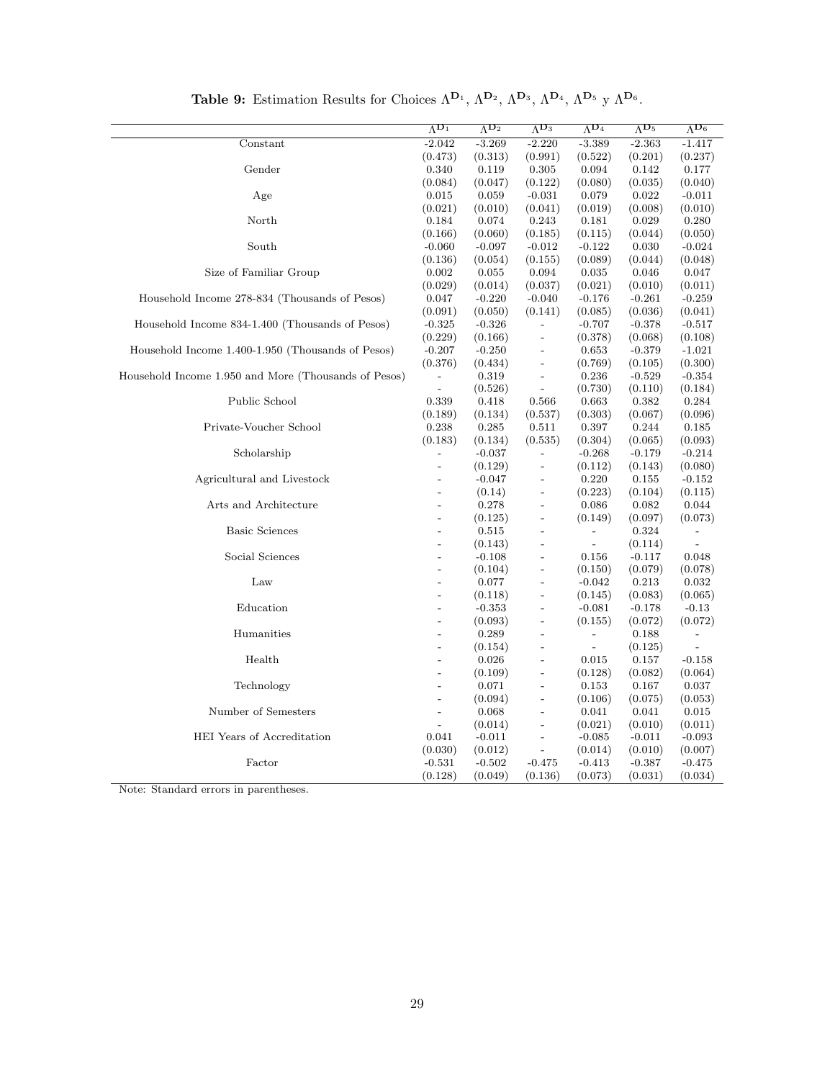<span id="page-28-0"></span>

|                                                      | $\Lambda^{\mathbf{D}_1}$ | $\Lambda^{\mathbf{D}_2}$ | $\Lambda^{D_3}$          | $\Lambda^{D_4}$          | $\Lambda^{D_5}$ | $\overline{\Lambda^{D_6}}$ |
|------------------------------------------------------|--------------------------|--------------------------|--------------------------|--------------------------|-----------------|----------------------------|
| Constant                                             | $-2.042$                 | $-3.269$                 | $-2.220$                 | $-3.389$                 | $-2.363$        | $-1.417$                   |
|                                                      | (0.473)                  | (0.313)                  | (0.991)                  | (0.522)                  | (0.201)         | (0.237)                    |
| Gender                                               | 0.340                    | 0.119                    | 0.305                    | 0.094                    | 0.142           | 0.177                      |
|                                                      | (0.084)                  | (0.047)                  | (0.122)                  | (0.080)                  | (0.035)         | (0.040)                    |
| Age                                                  | 0.015                    | 0.059                    | $-0.031$                 | 0.079                    | 0.022           | $-0.011$                   |
|                                                      | (0.021)                  | (0.010)                  | (0.041)                  | (0.019)                  | (0.008)         | (0.010)                    |
| North                                                | 0.184                    | 0.074                    | 0.243                    | 0.181                    | 0.029           | 0.280                      |
|                                                      | (0.166)                  | (0.060)                  | (0.185)                  | (0.115)                  | (0.044)         | (0.050)                    |
| South                                                | $-0.060$                 | $-0.097$                 | $-0.012$                 | $-0.122$                 | 0.030           | $-0.024$                   |
|                                                      | (0.136)                  | (0.054)                  | (0.155)                  | (0.089)                  | (0.044)         | (0.048)                    |
| Size of Familiar Group                               | 0.002                    | 0.055                    | 0.094                    | 0.035                    | 0.046           | 0.047                      |
|                                                      | (0.029)                  | (0.014)                  | (0.037)                  | (0.021)                  | (0.010)         | (0.011)                    |
| Household Income 278-834 (Thousands of Pesos)        | 0.047                    | $-0.220$                 | $-0.040$                 | $-0.176$                 | $-0.261$        | $-0.259$                   |
|                                                      | (0.091)                  | (0.050)                  | (0.141)                  | (0.085)                  | (0.036)         | (0.041)                    |
| Household Income 834-1.400 (Thousands of Pesos)      | $-0.325$                 | $-0.326$                 |                          | $-0.707$                 | $-0.378$        | $-0.517$                   |
|                                                      | (0.229)                  | (0.166)                  | $\overline{\phantom{0}}$ | (0.378)                  | (0.068)         | (0.108)                    |
| Household Income 1.400-1.950 (Thousands of Pesos)    | $-0.207$                 | $-0.250$                 | $\qquad \qquad -$        | 0.653                    | $-0.379$        | $-1.021$                   |
|                                                      | (0.376)                  | (0.434)                  | $\qquad \qquad -$        | (0.769)                  | (0.105)         | (0.300)                    |
| Household Income 1.950 and More (Thousands of Pesos) |                          | 0.319                    | $\overline{a}$           | 0.236                    | $-0.529$        | $-0.354$                   |
|                                                      | $\overline{\phantom{a}}$ | (0.526)                  | $\frac{1}{2}$            | (0.730)                  | (0.110)         | (0.184)                    |
| Public School                                        | 0.339                    | 0.418                    | 0.566                    | 0.663                    | 0.382           | 0.284                      |
|                                                      | (0.189)                  | (0.134)                  | (0.537)                  | (0.303)                  | (0.067)         | (0.096)                    |
| Private-Voucher School                               | 0.238                    | 0.285                    | 0.511                    | 0.397                    | 0.244           | 0.185                      |
|                                                      | (0.183)                  | (0.134)                  | (0.535)                  | (0.304)                  | (0.065)         | (0.093)                    |
| Scholarship                                          | $\overline{a}$           | $-0.037$                 | $\overline{a}$           | $-0.268$                 | $-0.179$        | $-0.214$                   |
|                                                      | $\overline{\phantom{a}}$ | (0.129)                  | $\overline{\phantom{0}}$ | (0.112)                  | (0.143)         | (0.080)                    |
| Agricultural and Livestock                           | $\frac{1}{2}$            | $-0.047$                 | $\overline{a}$           | 0.220                    | 0.155           | $-0.152$                   |
|                                                      | $\overline{a}$           | (0.14)                   | $\overline{a}$           | (0.223)                  | (0.104)         | (0.115)                    |
| Arts and Architecture                                | $\overline{a}$           | 0.278                    | $\overline{\phantom{0}}$ | 0.086                    | 0.082           | 0.044                      |
|                                                      | $\frac{1}{2}$            | (0.125)                  | $\overline{\phantom{0}}$ | (0.149)                  | (0.097)         | (0.073)                    |
| <b>Basic Sciences</b>                                | $\overline{\phantom{a}}$ | 0.515                    | $\overline{\phantom{0}}$ | $\overline{\phantom{0}}$ | 0.324           |                            |
|                                                      | $\overline{\phantom{a}}$ | (0.143)                  | $\overline{a}$           | $\overline{a}$           | (0.114)         |                            |
| Social Sciences                                      | $\overline{a}$           | $-0.108$                 | $\overline{a}$           | 0.156                    | $-0.117$        | 0.048                      |
|                                                      | $\overline{a}$           | (0.104)                  | $\overline{\phantom{0}}$ | (0.150)                  | (0.079)         | (0.078)                    |
| Law                                                  | $\overline{a}$           | 0.077                    | $\overline{a}$           | $-0.042$                 | 0.213           | 0.032                      |
|                                                      | $\overline{\phantom{a}}$ | (0.118)                  | $\overline{\phantom{0}}$ | (0.145)                  | (0.083)         | (0.065)                    |
| Education                                            | $\overline{a}$           | $-0.353$                 | $\overline{a}$           | $-0.081$                 | $-0.178$        | $-0.13$                    |
|                                                      | $\overline{\phantom{a}}$ | (0.093)                  | $\overline{\phantom{0}}$ | (0.155)                  | (0.072)         | (0.072)                    |
| Humanities                                           | $\overline{a}$           | 0.289                    |                          | $\overline{\phantom{0}}$ | 0.188           |                            |
|                                                      | $\overline{\phantom{a}}$ | (0.154)                  | $\overline{a}$           | $\overline{\phantom{a}}$ | (0.125)         |                            |
| Health                                               | $\overline{a}$           | 0.026                    | $\overline{a}$           | 0.015                    | 0.157           | $-0.158$                   |
|                                                      | $\overline{a}$           | (0.109)                  | $\overline{\phantom{0}}$ | (0.128)                  | (0.082)         | (0.064)                    |
| Technology                                           | $\overline{a}$           | 0.071                    | $\overline{\phantom{0}}$ | 0.153                    | 0.167           | 0.037                      |
|                                                      | $\overline{\phantom{a}}$ | (0.094)                  | $\overline{a}$           | (0.106)                  | (0.075)         | (0.053)                    |
| Number of Semesters                                  | $\overline{a}$           | 0.068                    | $\overline{\phantom{0}}$ | 0.041                    | 0.041           | 0.015                      |
|                                                      | $\overline{a}$           | (0.014)                  | $\overline{\phantom{0}}$ | (0.021)                  | (0.010)         | (0.011)                    |
| HEI Years of Accreditation                           | 0.041                    | $-0.011$                 | $\overline{a}$           | $-0.085$                 | $-0.011$        | $-0.093$                   |
|                                                      | (0.030)                  | (0.012)                  |                          | (0.014)                  | (0.010)         | (0.007)                    |
| Factor                                               | $-0.531$                 | $-0.502$                 | $-0.475$                 | $-0.413$                 | $-0.387$        | $-0.475$                   |
|                                                      | (0.128)                  | (0.049)                  | (0.136)                  | (0.073)                  | (0.031)         | (0.034)                    |

Table 9: Estimation Results for Choices  $\Lambda^{D_1}$ ,  $\Lambda^{D_2}$ ,  $\Lambda^{D_3}$ ,  $\Lambda^{D_4}$ ,  $\Lambda^{D_5}$  y  $\Lambda^{D_6}$ .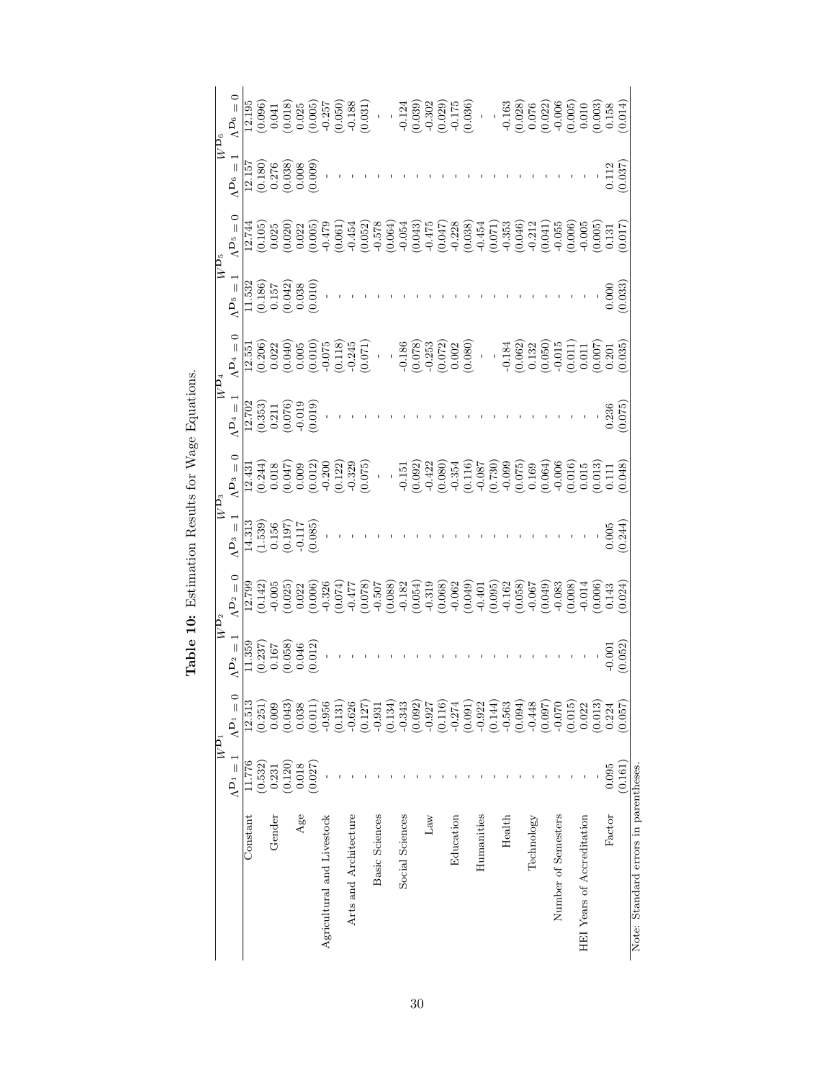<span id="page-29-0"></span>

|                                      |                   | $\overline{W^{\mathbf{D}_1}}$                                         | $\overline{W\mathbf{D}_2}$                                                     |                            | $\frac{\overline{W\mathbf{D}_3}}{\overline{1}^{\prime\prime}} = 1 \qquad \qquad \mathbf{A}$                     |                                                                                                                                                                                                                                                                                                                                                                                                                                                   | $\ensuremath{\widehat{W}}\xspace^{\mathbf{D}_4}$                       |                                                                                                                                              | $\frac{\overline{W}^{D_5}}{1!}$ $\overline{W}^{D_5}$ .                        |                                                                                                                                                                                                                                                                                             | $\overline{W^{\mathbf{D}_6}}$                                                              |                                                                                                                                                                                                                                                   |
|--------------------------------------|-------------------|-----------------------------------------------------------------------|--------------------------------------------------------------------------------|----------------------------|-----------------------------------------------------------------------------------------------------------------|---------------------------------------------------------------------------------------------------------------------------------------------------------------------------------------------------------------------------------------------------------------------------------------------------------------------------------------------------------------------------------------------------------------------------------------------------|------------------------------------------------------------------------|----------------------------------------------------------------------------------------------------------------------------------------------|-------------------------------------------------------------------------------|---------------------------------------------------------------------------------------------------------------------------------------------------------------------------------------------------------------------------------------------------------------------------------------------|--------------------------------------------------------------------------------------------|---------------------------------------------------------------------------------------------------------------------------------------------------------------------------------------------------------------------------------------------------|
|                                      | $\Lambda^{D_1}=1$ | $\Lambda$ Dı = 0                                                      | $\Lambda^{D_2}=1$                                                              | $\Lambda^{{\rm\bf D}_2}=0$ |                                                                                                                 | $\Lambda$ D <sub>3</sub> = 0                                                                                                                                                                                                                                                                                                                                                                                                                      | $\Lambda^{{\rm\bf D}_4}=1$                                             | $\Lambda^{\mathbf{D}_4}=0$                                                                                                                   |                                                                               | $\Lambda$ $\mathbf{D}_5 = 0$                                                                                                                                                                                                                                                                | $\Lambda^{D_6}=1$                                                                          | $\Lambda^{\text{De}}=0$                                                                                                                                                                                                                           |
| Constant                             | 11.776            | 12.513                                                                | $\frac{11.359}{(0.237)}$<br>$\frac{0.167}{(0.058)}$<br>$\frac{0.046}{(0.046)}$ |                            |                                                                                                                 |                                                                                                                                                                                                                                                                                                                                                                                                                                                   |                                                                        |                                                                                                                                              |                                                                               |                                                                                                                                                                                                                                                                                             |                                                                                            |                                                                                                                                                                                                                                                   |
|                                      | (0.532)           | (0.251)                                                               |                                                                                |                            |                                                                                                                 |                                                                                                                                                                                                                                                                                                                                                                                                                                                   |                                                                        |                                                                                                                                              |                                                                               |                                                                                                                                                                                                                                                                                             |                                                                                            |                                                                                                                                                                                                                                                   |
| Gender                               | 0.231             | 0.009                                                                 |                                                                                |                            |                                                                                                                 |                                                                                                                                                                                                                                                                                                                                                                                                                                                   |                                                                        |                                                                                                                                              |                                                                               |                                                                                                                                                                                                                                                                                             |                                                                                            |                                                                                                                                                                                                                                                   |
|                                      | (0.120)           | (0.043)                                                               |                                                                                |                            |                                                                                                                 |                                                                                                                                                                                                                                                                                                                                                                                                                                                   |                                                                        |                                                                                                                                              |                                                                               |                                                                                                                                                                                                                                                                                             |                                                                                            |                                                                                                                                                                                                                                                   |
| Age                                  | 0.018             | 0.038                                                                 |                                                                                |                            |                                                                                                                 |                                                                                                                                                                                                                                                                                                                                                                                                                                                   |                                                                        |                                                                                                                                              |                                                                               |                                                                                                                                                                                                                                                                                             |                                                                                            |                                                                                                                                                                                                                                                   |
|                                      | (0.027)           | (0.011)                                                               | 0.012                                                                          |                            | $\begin{array}{c} 14.313 \\ (1.539) \\ 0.156 \\ \hline 0.197) \\ -0.117 \\ -0.117 \\ \hline 0.085) \end{array}$ | $\begin{array}{l} 12.431 \\ (0.244) \\ (0.018) \\ (0.047) \\ (0.009) \\ (0.012) \\ (0.012) \\ (0.122) \\ (0.123) \\ (0.075) \end{array}$                                                                                                                                                                                                                                                                                                          | $12.702$<br>$(0.353)$<br>$0.211$<br>$(0.076)$<br>$-0.019$<br>$(0.019)$ | $\begin{array}{l} 12.551 \\ (0.206) \\ (0.022) \\ (0.040) \\ (0.005) \\ (0.010) \\ (0.010) \\ (0.118) \\ (-0.245) \\ (0.071) \\ \end{array}$ | $\frac{11.532}{(0.186)}$<br>$\frac{(0.157}{0.042)}$<br>$\frac{(0.042)}{0.03}$ |                                                                                                                                                                                                                                                                                             | $\begin{array}{l} 12.157 \\ (0.180) \\ (0.276) \\ (0.038) \\ (0.008) \\ 0.009 \end{array}$ | $\begin{array}{l} \text{12.195} \\ \text{(0.096)} \\ \text{(0.097)} \\ \text{(0.018)} \\ \text{(0.019)} \\ \text{(0.019)} \\ \text{(0.025)} \\ \text{(0.05)} \\ \text{(0.050)} \\ \text{(0.050)} \\ \text{(0.031)} \\ \text{(0.031)} \end{array}$ |
| Agricultural and Livestock           |                   | $-0.956$                                                              |                                                                                |                            |                                                                                                                 |                                                                                                                                                                                                                                                                                                                                                                                                                                                   |                                                                        |                                                                                                                                              |                                                                               |                                                                                                                                                                                                                                                                                             |                                                                                            |                                                                                                                                                                                                                                                   |
|                                      |                   | (0.131)                                                               |                                                                                |                            |                                                                                                                 |                                                                                                                                                                                                                                                                                                                                                                                                                                                   |                                                                        |                                                                                                                                              |                                                                               |                                                                                                                                                                                                                                                                                             |                                                                                            |                                                                                                                                                                                                                                                   |
| Arts and Architecture                |                   | $-0.626$                                                              |                                                                                |                            |                                                                                                                 |                                                                                                                                                                                                                                                                                                                                                                                                                                                   |                                                                        |                                                                                                                                              |                                                                               |                                                                                                                                                                                                                                                                                             |                                                                                            |                                                                                                                                                                                                                                                   |
|                                      |                   | (0.127)                                                               |                                                                                |                            |                                                                                                                 |                                                                                                                                                                                                                                                                                                                                                                                                                                                   |                                                                        |                                                                                                                                              |                                                                               |                                                                                                                                                                                                                                                                                             |                                                                                            |                                                                                                                                                                                                                                                   |
| <b>Basic Sciences</b>                |                   | $-0.931$                                                              |                                                                                |                            |                                                                                                                 |                                                                                                                                                                                                                                                                                                                                                                                                                                                   |                                                                        |                                                                                                                                              |                                                                               |                                                                                                                                                                                                                                                                                             |                                                                                            |                                                                                                                                                                                                                                                   |
|                                      |                   | (0.134)                                                               |                                                                                |                            |                                                                                                                 |                                                                                                                                                                                                                                                                                                                                                                                                                                                   |                                                                        |                                                                                                                                              |                                                                               |                                                                                                                                                                                                                                                                                             |                                                                                            |                                                                                                                                                                                                                                                   |
| Social Sciences                      |                   | $-0.343$<br>(0.092)                                                   |                                                                                |                            |                                                                                                                 |                                                                                                                                                                                                                                                                                                                                                                                                                                                   |                                                                        |                                                                                                                                              |                                                                               |                                                                                                                                                                                                                                                                                             |                                                                                            |                                                                                                                                                                                                                                                   |
|                                      |                   |                                                                       |                                                                                |                            |                                                                                                                 |                                                                                                                                                                                                                                                                                                                                                                                                                                                   |                                                                        |                                                                                                                                              |                                                                               |                                                                                                                                                                                                                                                                                             |                                                                                            |                                                                                                                                                                                                                                                   |
| Lаw                                  |                   |                                                                       |                                                                                |                            |                                                                                                                 |                                                                                                                                                                                                                                                                                                                                                                                                                                                   |                                                                        |                                                                                                                                              |                                                                               |                                                                                                                                                                                                                                                                                             |                                                                                            |                                                                                                                                                                                                                                                   |
|                                      |                   | $\begin{array}{c} -0.927 \\ (0.116) \\ -0.274 \\ (0.091) \end{array}$ |                                                                                |                            |                                                                                                                 |                                                                                                                                                                                                                                                                                                                                                                                                                                                   |                                                                        |                                                                                                                                              |                                                                               |                                                                                                                                                                                                                                                                                             |                                                                                            |                                                                                                                                                                                                                                                   |
| Education                            |                   |                                                                       |                                                                                |                            |                                                                                                                 |                                                                                                                                                                                                                                                                                                                                                                                                                                                   |                                                                        |                                                                                                                                              |                                                                               |                                                                                                                                                                                                                                                                                             |                                                                                            |                                                                                                                                                                                                                                                   |
|                                      |                   |                                                                       |                                                                                |                            |                                                                                                                 | $\begin{array}{c} \mathbf{1}_{1} \\ \mathbf{1}_{2} \\ \mathbf{1}_{3} \\ \mathbf{1}_{4} \\ \mathbf{1}_{5} \\ \mathbf{1}_{6} \\ \mathbf{1}_{7} \\ \mathbf{1}_{8} \\ \mathbf{1}_{9} \\ \mathbf{1}_{10} \\ \mathbf{1}_{11} \\ \mathbf{1}_{12} \\ \mathbf{1}_{13} \\ \mathbf{1}_{14} \\ \mathbf{1}_{15} \\ \mathbf{1}_{16} \\ \mathbf{1}_{17} \\ \mathbf{1}_{18} \\ \mathbf{1}_{19} \\ \mathbf{1}_{10} \\ \mathbf{1}_{17} \\ \mathbf{1}_{18} \\ \math$ |                                                                        |                                                                                                                                              |                                                                               | $\begin{array}{l} 11.740 \\ 11.000 \\ 01.000 \\ 01.000 \\ 01.000 \\ 01.000 \\ 01.000 \\ 01.000 \\ 01.000 \\ 01.000 \\ 01.000 \\ 01.000 \\ 01.000 \\ 01.000 \\ 01.000 \\ 01.000 \\ 01.000 \\ 01.000 \\ 01.000 \\ 01.000 \\ 01.000 \\ 01.000 \\ 01.000 \\ 01.000 \\ 01.000 \\ 01.000 \\ 01.0$ |                                                                                            |                                                                                                                                                                                                                                                   |
| Humanities                           |                   |                                                                       |                                                                                |                            |                                                                                                                 |                                                                                                                                                                                                                                                                                                                                                                                                                                                   |                                                                        |                                                                                                                                              |                                                                               |                                                                                                                                                                                                                                                                                             |                                                                                            |                                                                                                                                                                                                                                                   |
|                                      |                   | $\begin{array}{c} -0.922 \\ (0.144) \\ -0.563 \\ (0.094) \end{array}$ |                                                                                |                            |                                                                                                                 |                                                                                                                                                                                                                                                                                                                                                                                                                                                   |                                                                        |                                                                                                                                              |                                                                               |                                                                                                                                                                                                                                                                                             |                                                                                            |                                                                                                                                                                                                                                                   |
| Health                               |                   |                                                                       |                                                                                |                            |                                                                                                                 |                                                                                                                                                                                                                                                                                                                                                                                                                                                   |                                                                        |                                                                                                                                              |                                                                               |                                                                                                                                                                                                                                                                                             |                                                                                            |                                                                                                                                                                                                                                                   |
|                                      |                   |                                                                       |                                                                                |                            |                                                                                                                 |                                                                                                                                                                                                                                                                                                                                                                                                                                                   |                                                                        |                                                                                                                                              |                                                                               |                                                                                                                                                                                                                                                                                             |                                                                                            |                                                                                                                                                                                                                                                   |
| Technology                           |                   | $-0.448$                                                              |                                                                                |                            |                                                                                                                 |                                                                                                                                                                                                                                                                                                                                                                                                                                                   |                                                                        |                                                                                                                                              |                                                                               |                                                                                                                                                                                                                                                                                             |                                                                                            |                                                                                                                                                                                                                                                   |
|                                      |                   | (0.097)                                                               |                                                                                |                            |                                                                                                                 |                                                                                                                                                                                                                                                                                                                                                                                                                                                   |                                                                        |                                                                                                                                              |                                                                               |                                                                                                                                                                                                                                                                                             |                                                                                            |                                                                                                                                                                                                                                                   |
| Number of Semesters                  |                   | $-0.070$                                                              |                                                                                |                            |                                                                                                                 |                                                                                                                                                                                                                                                                                                                                                                                                                                                   |                                                                        |                                                                                                                                              |                                                                               |                                                                                                                                                                                                                                                                                             |                                                                                            |                                                                                                                                                                                                                                                   |
|                                      |                   | (0.015)                                                               |                                                                                |                            |                                                                                                                 |                                                                                                                                                                                                                                                                                                                                                                                                                                                   |                                                                        |                                                                                                                                              |                                                                               |                                                                                                                                                                                                                                                                                             |                                                                                            |                                                                                                                                                                                                                                                   |
| HEI Years of Accreditation           |                   | 0.022                                                                 |                                                                                |                            |                                                                                                                 |                                                                                                                                                                                                                                                                                                                                                                                                                                                   |                                                                        |                                                                                                                                              |                                                                               |                                                                                                                                                                                                                                                                                             |                                                                                            |                                                                                                                                                                                                                                                   |
|                                      |                   | (0.013)                                                               |                                                                                |                            |                                                                                                                 |                                                                                                                                                                                                                                                                                                                                                                                                                                                   |                                                                        |                                                                                                                                              |                                                                               |                                                                                                                                                                                                                                                                                             |                                                                                            |                                                                                                                                                                                                                                                   |
| Factor                               | 0.095             | 0.224                                                                 | $-0.001$                                                                       |                            | 0.005                                                                                                           |                                                                                                                                                                                                                                                                                                                                                                                                                                                   | 0.236                                                                  |                                                                                                                                              | 0.000                                                                         |                                                                                                                                                                                                                                                                                             | 0.112                                                                                      |                                                                                                                                                                                                                                                   |
|                                      | (0.161)           | (0.057)                                                               | (0.052)                                                                        |                            | 0.244)                                                                                                          |                                                                                                                                                                                                                                                                                                                                                                                                                                                   | (0.075)                                                                |                                                                                                                                              | 0.033                                                                         | 0.017                                                                                                                                                                                                                                                                                       | 0.037                                                                                      |                                                                                                                                                                                                                                                   |
| Note: Standard errors in parentheses |                   |                                                                       |                                                                                |                            |                                                                                                                 |                                                                                                                                                                                                                                                                                                                                                                                                                                                   |                                                                        |                                                                                                                                              |                                                                               |                                                                                                                                                                                                                                                                                             |                                                                                            |                                                                                                                                                                                                                                                   |

Table 10: Estimation Results for Wage Equations. Table 10: Estimation Results for Wage Equations.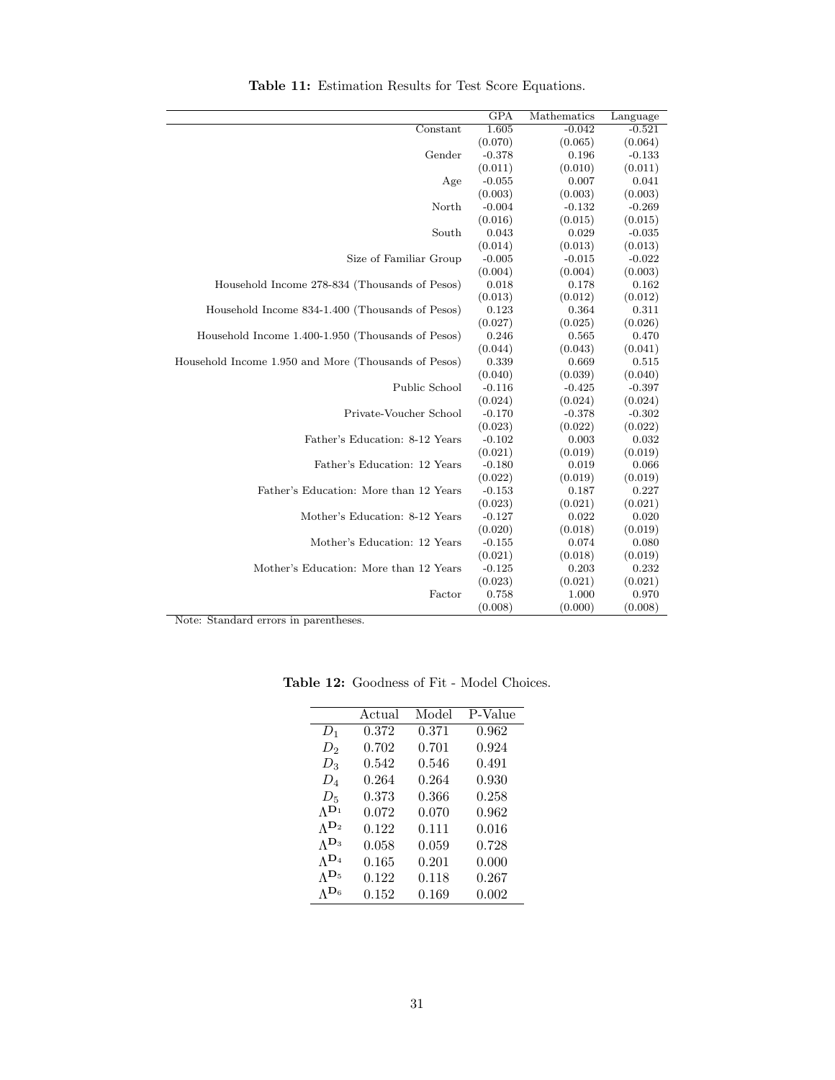<span id="page-30-0"></span>

|                                                      | GPA      | Mathematics | Language |
|------------------------------------------------------|----------|-------------|----------|
| Constant                                             | 1.605    | $-0.042$    | $-0.521$ |
|                                                      | (0.070)  | (0.065)     | (0.064)  |
| Gender                                               | $-0.378$ | 0.196       | $-0.133$ |
|                                                      | (0.011)  | (0.010)     | (0.011)  |
| Age                                                  | $-0.055$ | 0.007       | 0.041    |
|                                                      | (0.003)  | (0.003)     | (0.003)  |
| North                                                | $-0.004$ | $-0.132$    | $-0.269$ |
|                                                      | (0.016)  | (0.015)     | (0.015)  |
| South                                                | 0.043    | 0.029       | $-0.035$ |
|                                                      | (0.014)  | (0.013)     | (0.013)  |
| Size of Familiar Group                               | $-0.005$ | $-0.015$    | $-0.022$ |
|                                                      | (0.004)  | (0.004)     | (0.003)  |
| Household Income 278-834 (Thousands of Pesos)        | 0.018    | 0.178       | 0.162    |
|                                                      | (0.013)  | (0.012)     | (0.012)  |
| Household Income 834-1.400 (Thousands of Pesos)      | 0.123    | 0.364       | 0.311    |
|                                                      | (0.027)  | (0.025)     | (0.026)  |
| Household Income 1.400-1.950 (Thousands of Pesos)    | 0.246    | 0.565       | 0.470    |
|                                                      | (0.044)  | (0.043)     | (0.041)  |
| Household Income 1.950 and More (Thousands of Pesos) | 0.339    | 0.669       | 0.515    |
|                                                      | (0.040)  | (0.039)     | (0.040)  |
| Public School                                        | $-0.116$ | $-0.425$    | $-0.397$ |
|                                                      | (0.024)  | (0.024)     | (0.024)  |
| Private-Voucher School                               | $-0.170$ | $-0.378$    | $-0.302$ |
|                                                      | (0.023)  | (0.022)     | (0.022)  |
| Father's Education: 8-12 Years                       | $-0.102$ | 0.003       | 0.032    |
|                                                      | (0.021)  | (0.019)     | (0.019)  |
| Father's Education: 12 Years                         | $-0.180$ | 0.019       | 0.066    |
|                                                      | (0.022)  | (0.019)     | (0.019)  |
| Father's Education: More than 12 Years               | $-0.153$ | 0.187       | 0.227    |
|                                                      | (0.023)  | (0.021)     | (0.021)  |
| Mother's Education: 8-12 Years                       | $-0.127$ | 0.022       | 0.020    |
|                                                      | (0.020)  | (0.018)     | (0.019)  |
| Mother's Education: 12 Years                         | $-0.155$ | 0.074       | 0.080    |
|                                                      | (0.021)  | (0.018)     | (0.019)  |
| Mother's Education: More than 12 Years               | $-0.125$ | 0.203       | 0.232    |
|                                                      | (0.023)  | (0.021)     | (0.021)  |
| Factor                                               | 0.758    | 1.000       | 0.970    |
|                                                      | (0.008)  | (0.000)     | (0.008)  |

Table 11: Estimation Results for Test Score Equations.

|                 | Actual | Model | P-Value |
|-----------------|--------|-------|---------|
| $D_1$           | 0.372  | 0.371 | 0.962   |
| $D_2$           | 0.702  | 0.701 | 0.924   |
| $D_3$           | 0.542  | 0.546 | 0.491   |
| $D_4$           | 0.264  | 0.264 | 0.930   |
| $D_5$           | 0.373  | 0.366 | 0.258   |
| $\Lambda^{D_1}$ | 0.072  | 0.070 | 0.962   |
| $\Lambda^{D_2}$ | 0.122  | 0.111 | 0.016   |
| $\Lambda^{D_3}$ | 0.058  | 0.059 | 0.728   |
| $\Lambda^{D_4}$ | 0.165  | 0.201 | 0.000   |
| $\Lambda^{D_5}$ | 0.122  | 0.118 | 0.267   |
| $\Lambda^{D_6}$ | 0.152  | 0.169 | 0.002   |

<span id="page-30-1"></span>Table 12: Goodness of Fit - Model Choices.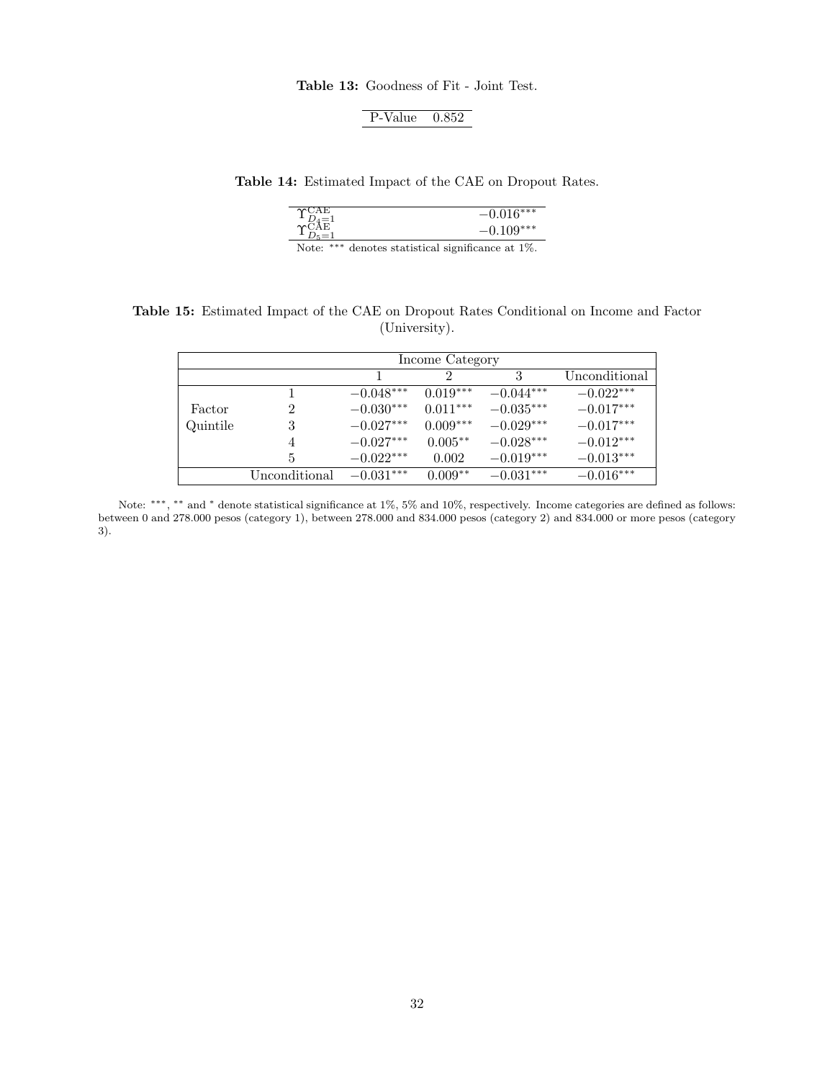Table 13: Goodness of Fit - Joint Test.

| P-Value | 0.852 |
|---------|-------|

<span id="page-31-1"></span><span id="page-31-0"></span>Table 14: Estimated Impact of the CAE on Dropout Rates.

|             | ****    |
|-------------|---------|
| ÷,<br>$-4-$ |         |
|             | $10***$ |
| J.          |         |
|             |         |

Note: ∗∗∗ denotes statistical significance at 1%.

<span id="page-31-2"></span>Table 15: Estimated Impact of the CAE on Dropout Rates Conditional on Income and Factor (University).

|          | Income Category |             |            |             |               |
|----------|-----------------|-------------|------------|-------------|---------------|
|          |                 |             | 2          | 3           | Unconditional |
|          |                 | $-0.048***$ | $0.019***$ | $-0.044***$ | $-0.022***$   |
| Factor   | 2               | $-0.030***$ | $0.011***$ | $-0.035***$ | $-0.017***$   |
| Quintile | 3               | $-0.027***$ | $0.009***$ | $-0.029***$ | $-0.017***$   |
|          | 4               | $-0.027***$ | $0.005**$  | $-0.028***$ | $-0.012***$   |
|          | 5               | $-0.022***$ | 0.002      | $-0.019***$ | $-0.013***$   |
|          | Unconditional   | $-0.031***$ | $0.009**$  | $-0.031***$ | $-0.016***$   |

Note: \*\*\*, \*\* and \* denote statistical significance at 1%, 5% and 10%, respectively. Income categories are defined as follows: between 0 and 278.000 pesos (category 1), between 278.000 and 834.000 pesos (category 2) and 834.000 or more pesos (category 3).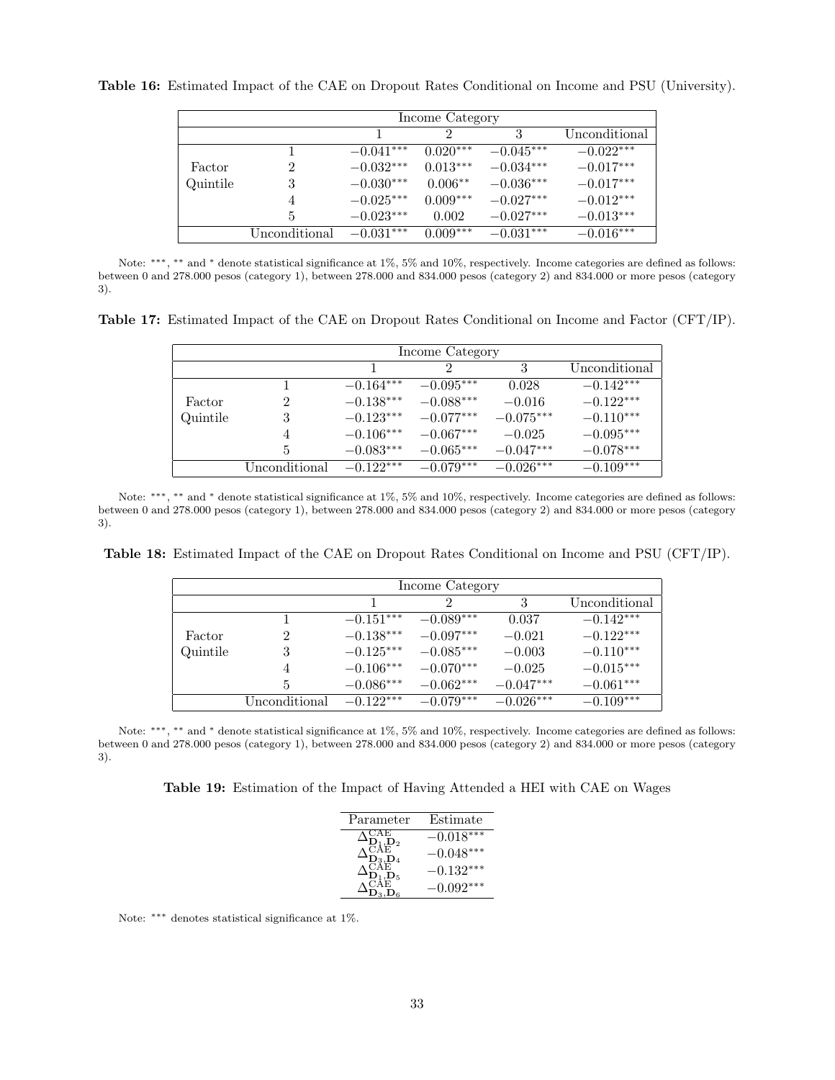|          | Income Category |             |               |             |               |
|----------|-----------------|-------------|---------------|-------------|---------------|
|          |                 |             | $\mathcal{D}$ | 3           | Unconditional |
|          |                 | $-0.041***$ | $0.020***$    | $-0.045***$ | $-0.022***$   |
| Factor   | 2               | $-0.032***$ | $0.013***$    | $-0.034***$ | $-0.017***$   |
| Quintile | 3               | $-0.030***$ | $0.006**$     | $-0.036***$ | $-0.017***$   |
|          | 4               | $-0.025***$ | $0.009***$    | $-0.027***$ | $-0.012***$   |
|          | 5               | $-0.023***$ | 0.002         | $-0.027***$ | $-0.013***$   |
|          | Unconditional   | $-0.031***$ | $0.009***$    | $-0.031***$ | $-0.016***$   |

<span id="page-32-0"></span>Table 16: Estimated Impact of the CAE on Dropout Rates Conditional on Income and PSU (University).

Note: \*\*\*, \*\* and \* denote statistical significance at 1%, 5% and 10%, respectively. Income categories are defined as follows: between 0 and 278.000 pesos (category 1), between 278.000 and 834.000 pesos (category 2) and 834.000 or more pesos (category 3).

<span id="page-32-1"></span>Table 17: Estimated Impact of the CAE on Dropout Rates Conditional on Income and Factor (CFT/IP).

|          | Income Category |             |               |             |               |
|----------|-----------------|-------------|---------------|-------------|---------------|
|          |                 |             | $\mathcal{D}$ | 3           | Unconditional |
|          |                 | $-0.164***$ | $-0.095***$   | 0.028       | $-0.142***$   |
| Factor   | $\mathcal{D}$   | $-0.138***$ | $-0.088***$   | $-0.016$    | $-0.122***$   |
| Quintile | 3               | $-0.123***$ | $-0.077***$   | $-0.075***$ | $-0.110***$   |
|          | 4               | $-0.106***$ | $-0.067***$   | $-0.025$    | $-0.095***$   |
|          | 5.              | $-0.083***$ | $-0.065***$   | $-0.047***$ | $-0.078***$   |
|          | Unconditional   | $-0.122***$ | $-0.079***$   | $-0.026***$ | $-0.109***$   |

Note: \*\*\*, \*\* and \* denote statistical significance at 1%, 5% and 10%, respectively. Income categories are defined as follows: between 0 and 278.000 pesos (category 1), between 278.000 and 834.000 pesos (category 2) and 834.000 or more pesos (category 3).

<span id="page-32-2"></span>Table 18: Estimated Impact of the CAE on Dropout Rates Conditional on Income and PSU (CFT/IP).

|          | Income Category |             |             |             |               |
|----------|-----------------|-------------|-------------|-------------|---------------|
|          |                 |             | 2           | 3           | Unconditional |
|          |                 | $-0.151***$ | $-0.089***$ | 0.037       | $-0.142***$   |
| Factor   | 2               | $-0.138***$ | $-0.097***$ | $-0.021$    | $-0.122***$   |
| Quintile | 3               | $-0.125***$ | $-0.085***$ | $-0.003$    | $-0.110***$   |
|          | 4               | $-0.106***$ | $-0.070***$ | $-0.025$    | $-0.015***$   |
|          | 5               | $-0.086***$ | $-0.062***$ | $-0.047***$ | $-0.061***$   |
|          | Unconditional   | $-0.122***$ | $-0.079***$ | $-0.026***$ | $-0.109***$   |

<span id="page-32-3"></span>Note: \*\*\*, \*\* and \* denote statistical significance at 1%, 5% and 10%, respectively. Income categories are defined as follows: between 0 and 278.000 pesos (category 1), between 278.000 and 834.000 pesos (category 2) and 834.000 or more pesos (category 3).

Table 19: Estimation of the Impact of Having Attended a HEI with CAE on Wages

| Parameter      | Estimate    |
|----------------|-------------|
| ĀĒ             | $-0.018***$ |
|                | $-0.048***$ |
| $\mathbf{D}^5$ | $-0.132***$ |
|                | $0.092***$  |

Note: ∗∗∗ denotes statistical significance at 1%.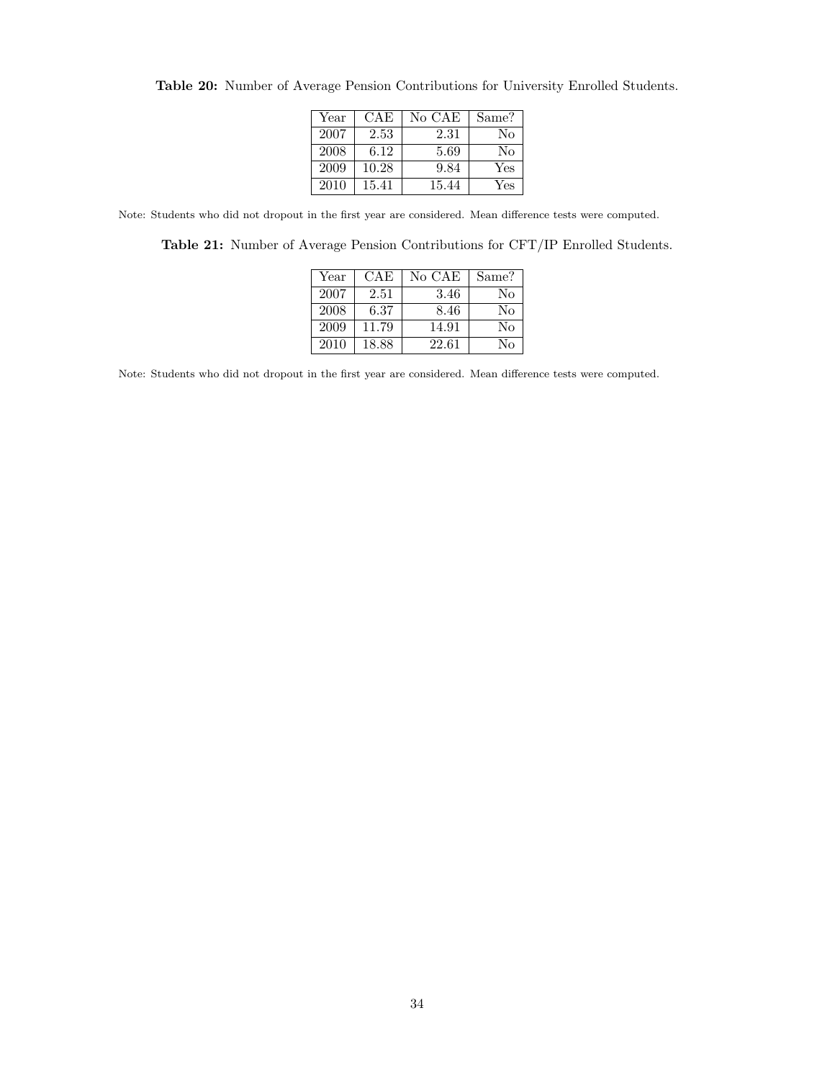| Year | CAE   | No CAE | Same? |
|------|-------|--------|-------|
| 2007 | 2.53  | 2.31   | No    |
| 2008 | 6.12  | 5.69   | No    |
| 2009 | 10.28 | 9.84   | Yes   |
| 2010 | 15.41 | 15.44  | Yes   |

<span id="page-33-0"></span>Table 20: Number of Average Pension Contributions for University Enrolled Students.

<span id="page-33-1"></span>Note: Students who did not dropout in the first year are considered. Mean difference tests were computed.

Table 21: Number of Average Pension Contributions for CFT/IP Enrolled Students.

| Year | CAE   | No CAE | Same? |
|------|-------|--------|-------|
| 2007 | 2.51  | 3.46   | No    |
| 2008 | 6.37  | 8.46   | No    |
| 2009 | 11.79 | 14.91  | Nο    |
| 2010 | 18.88 | 22.61  | Nο    |

Note: Students who did not dropout in the first year are considered. Mean difference tests were computed.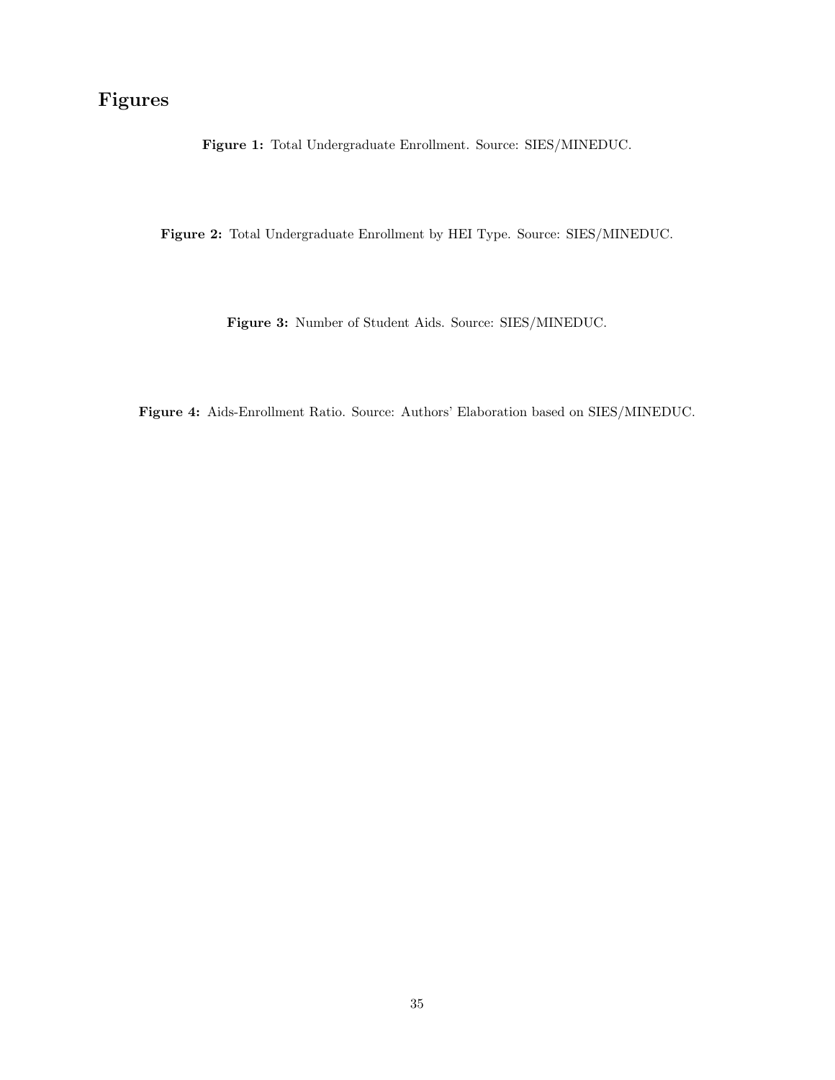## <span id="page-34-0"></span>Figures

Figure 1: Total Undergraduate Enrollment. Source: SIES/MINEDUC.

<span id="page-34-2"></span><span id="page-34-1"></span>Figure 2: Total Undergraduate Enrollment by HEI Type. Source: SIES/MINEDUC.

Figure 3: Number of Student Aids. Source: SIES/MINEDUC.

<span id="page-34-3"></span>Figure 4: Aids-Enrollment Ratio. Source: Authors' Elaboration based on SIES/MINEDUC.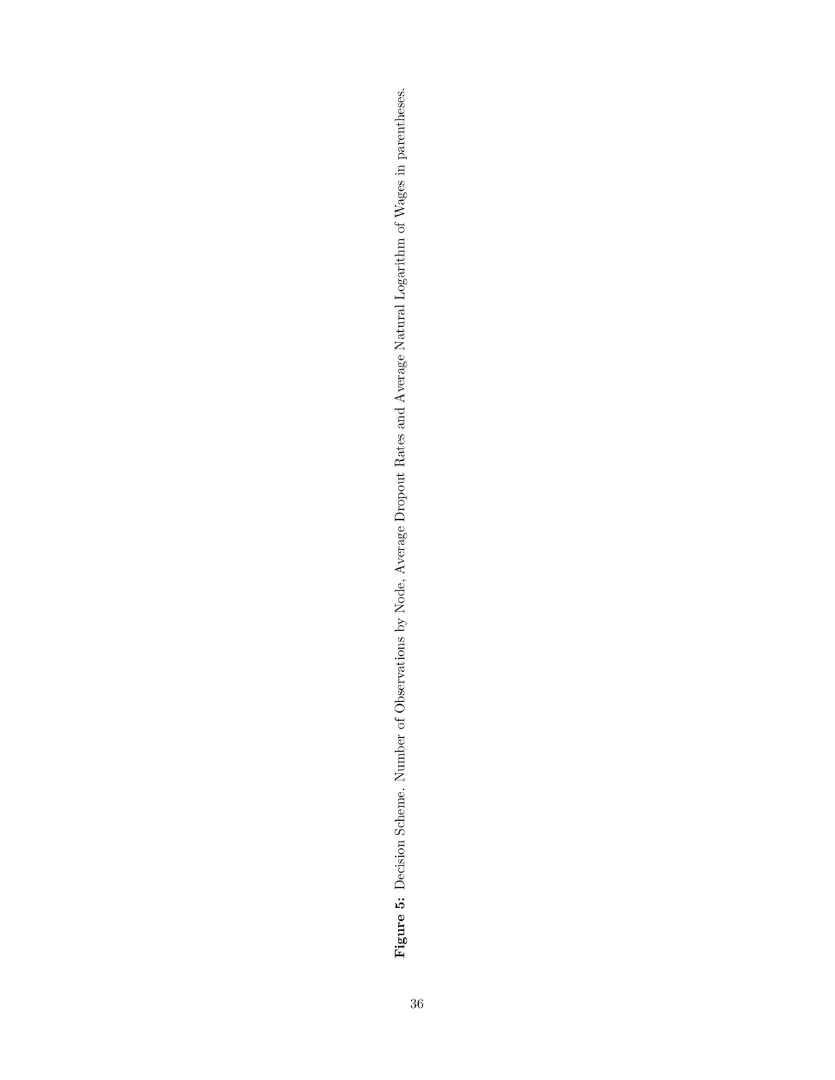<span id="page-35-0"></span>Figure 5: Decision Scheme. Number of Observations by Node, Average Dropout Rates and Average Natural Logarithm of Wages in parentheses. Figure 5: Decision Scheme. Number of Observations by Node, Average Dropout Rates and Average Natural Logarithm of Wages in parentheses.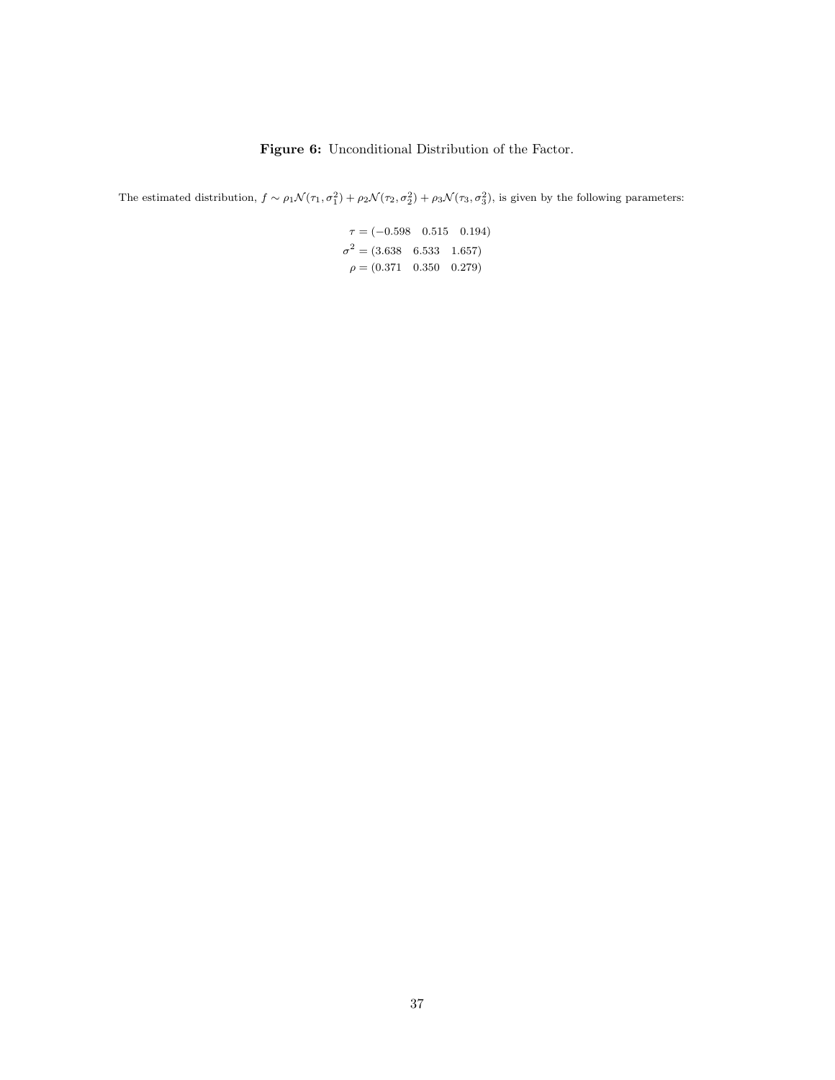#### Figure 6: Unconditional Distribution of the Factor.

<span id="page-36-0"></span>The estimated distribution,  $f \sim \rho_1 \mathcal{N}(\tau_1, \sigma_1^2) + \rho_2 \mathcal{N}(\tau_2, \sigma_2^2) + \rho_3 \mathcal{N}(\tau_3, \sigma_3^2)$ , is given by the following parameters:

 $\tau = (-0.598 \quad 0.515 \quad 0.194)$  $\sigma^2 = (3.638 \quad 6.533 \quad 1.657)$  $\rho = (0.371 \quad 0.350 \quad 0.279)$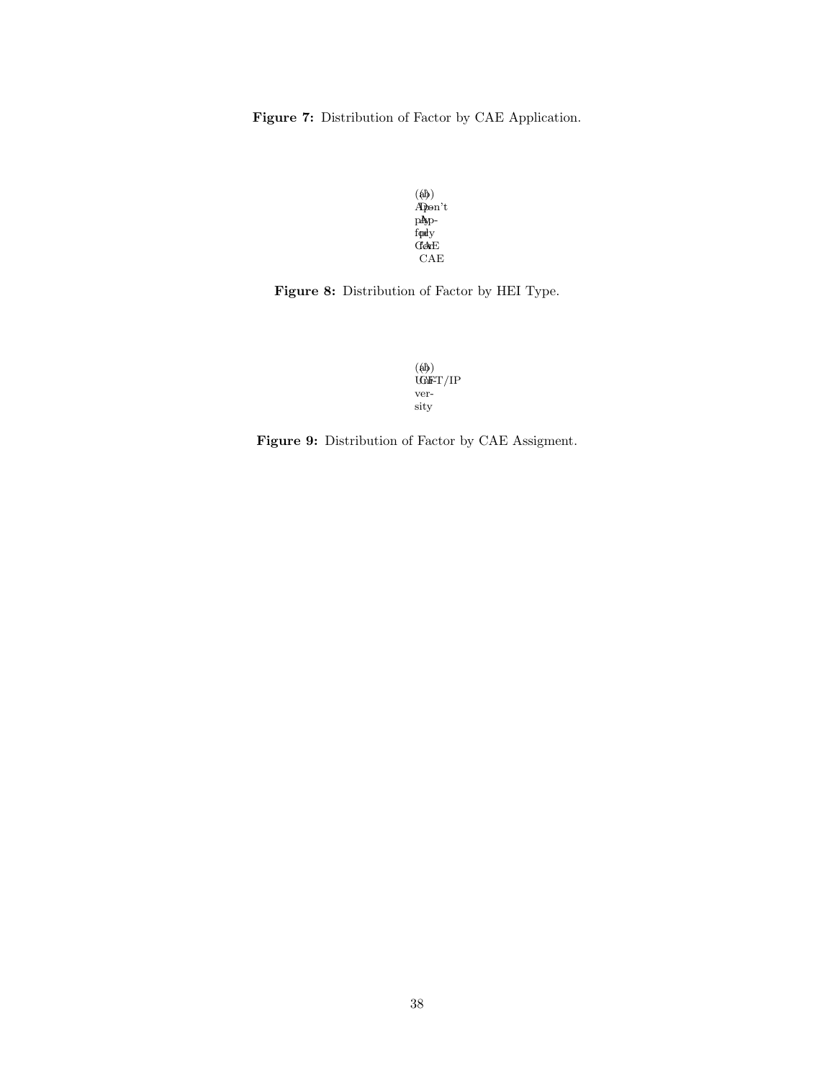<span id="page-37-0"></span>Figure 7: Distribution of Factor by CAE Application.

(a) Appe pAy ford CAE (b) Don't Ap- $\mathbf{p}$ dy for CAE

<span id="page-37-1"></span>Figure 8: Distribution of Factor by HEI Type.



Figure 9: Distribution of Factor by CAE Assigment.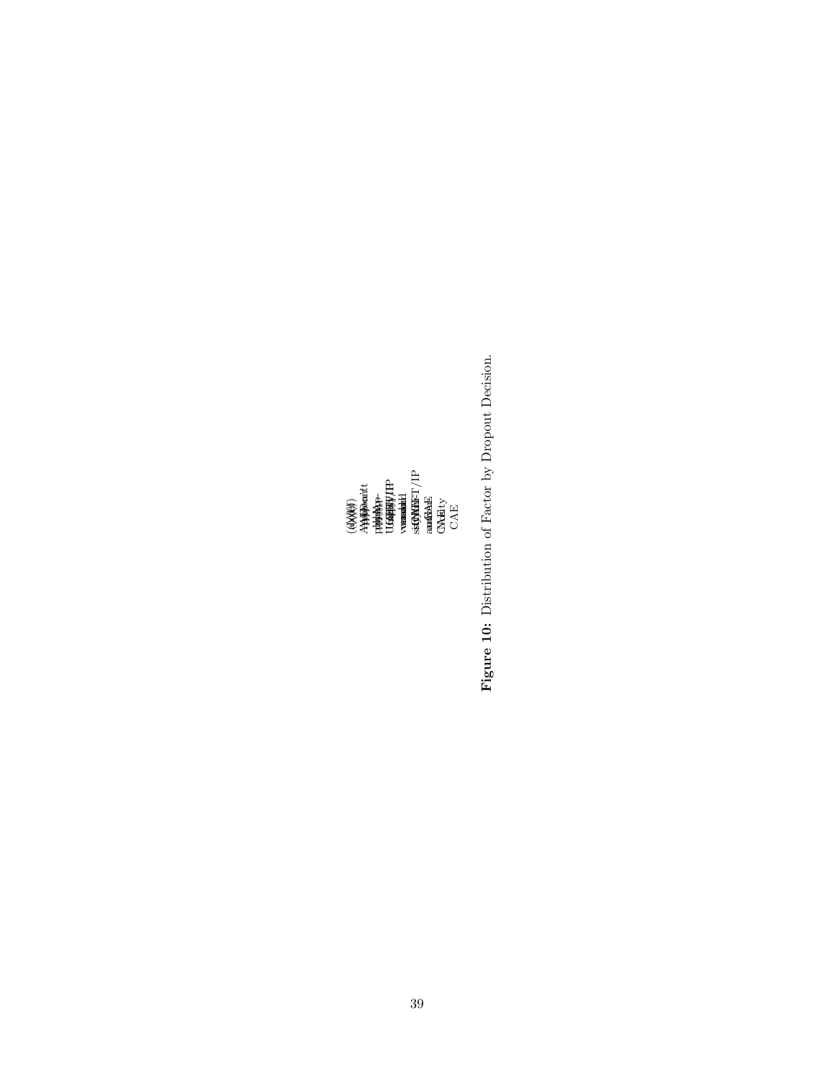(a) Ap-ply, Uni-ver-sity and CAE (b) Ap-ply, Uni-ver-sity and No CAE (c) Ap-ply, CFT/IP and CAE (d) Ap-ply, CFT/IP and No CAE (e) Don't Ap-ply and Uni-ver-sity (f) Don't Ap-ply and CFT/IP

<span id="page-38-0"></span>Figure 10: Distribution of Factor by Dropout Decision. Figure 10: Distribution of Factor by Dropout Decision.